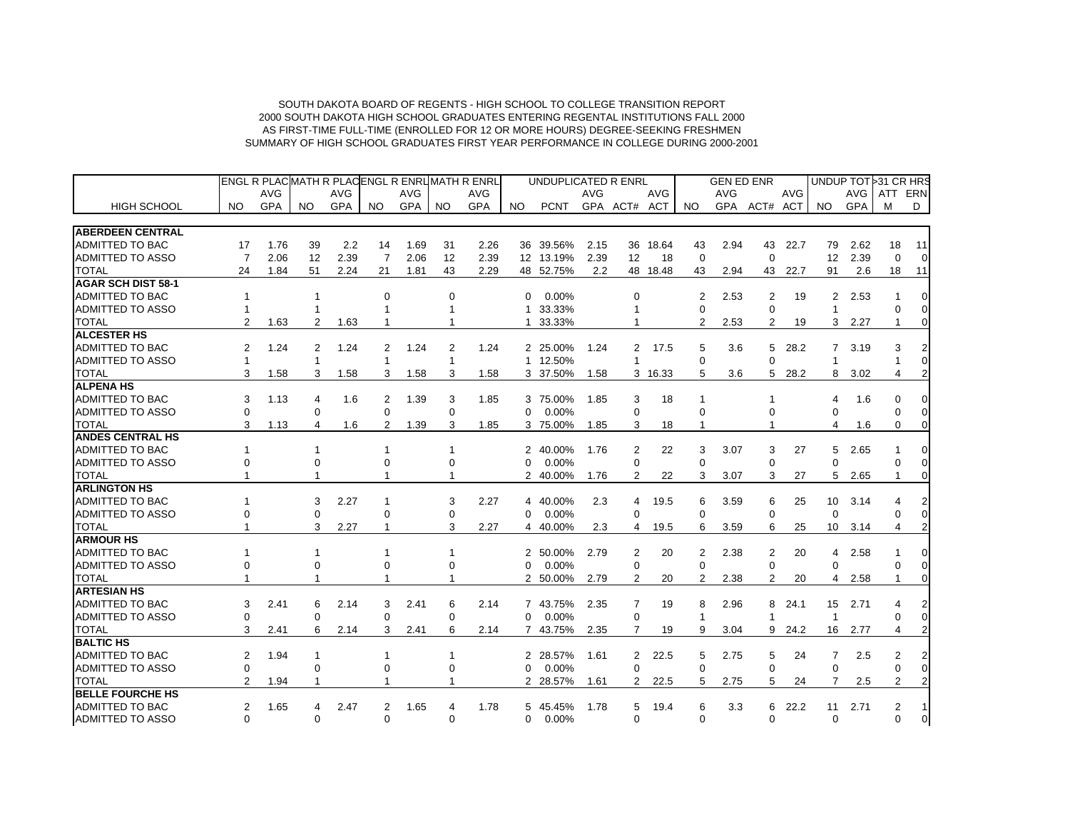|                           |                |            |                |            |                |            |                | ENGL R PLACMATH R PLACENGL R ENRL MATH R ENRL |                | UNDUPLICATED R ENRL |            |                |            |                | <b>GEN ED ENR</b> |                |            |                      |            | UNDUP TOT 31 CR HRS |                |
|---------------------------|----------------|------------|----------------|------------|----------------|------------|----------------|-----------------------------------------------|----------------|---------------------|------------|----------------|------------|----------------|-------------------|----------------|------------|----------------------|------------|---------------------|----------------|
|                           |                | <b>AVG</b> |                | <b>AVG</b> |                | <b>AVG</b> |                | AVG                                           |                |                     | <b>AVG</b> |                | <b>AVG</b> |                | AVG               |                | <b>AVG</b> |                      | AVG        | ATT                 | ERN            |
| <b>HIGH SCHOOL</b>        | NO.            | <b>GPA</b> | NO.            | <b>GPA</b> | NO.            | <b>GPA</b> | NO.            | <b>GPA</b>                                    | NO.            | <b>PCNT</b>         |            | GPA ACT# ACT   |            | NO.            | <b>GPA</b>        | ACT#           | ACT        | NO.                  | <b>GPA</b> | м                   | D              |
| <b>ABERDEEN CENTRAL</b>   |                |            |                |            |                |            |                |                                               |                |                     |            |                |            |                |                   |                |            |                      |            |                     |                |
| <b>ADMITTED TO BAC</b>    | 17             | 1.76       | 39             | 2.2        | 14             | 1.69       | 31             | 2.26                                          | 36             | 39.56%              | 2.15       |                | 36 18.64   | 43             | 2.94              | 43             | 22.7       | 79                   | 2.62       | 18                  | 11             |
| <b>ADMITTED TO ASSO</b>   | $\overline{7}$ | 2.06       | 12             | 2.39       | $\overline{7}$ | 2.06       | 12             | 2.39                                          |                | 12 13.19%           | 2.39       | 12             | 18         | $\mathbf 0$    |                   | $\mathbf 0$    |            | 12                   | 2.39       | $\mathbf 0$         | $\mathbf 0$    |
| <b>TOTAL</b>              | 24             | 1.84       | 51             | 2.24       | 21             | 1.81       | 43             | 2.29                                          |                | 48 52.75%           | 2.2        |                | 48 18.48   | 43             | 2.94              | 43             | 22.7       | 91                   | 2.6        | 18                  | 11             |
| <b>AGAR SCH DIST 58-1</b> |                |            |                |            |                |            |                |                                               |                |                     |            |                |            |                |                   |                |            |                      |            |                     |                |
| <b>ADMITTED TO BAC</b>    |                |            | 1              |            | $\Omega$       |            | 0              |                                               | 0              | 0.00%               |            | $\Omega$       |            | $\mathcal{P}$  | 2.53              | 2              | 19         | $\mathbf{2}^{\circ}$ | 2.53       |                     | 0              |
| <b>ADMITTED TO ASSO</b>   |                |            |                |            |                |            |                |                                               | 1              | 33.33%              |            |                |            | $\Omega$       |                   | $\Omega$       |            | 1                    |            |                     | $\Omega$       |
| <b>TOTAL</b>              | $\overline{2}$ | 1.63       | $\overline{2}$ | 1.63       |                |            |                |                                               | 1              | 33.33%              |            |                |            | 2              | 2.53              | $\overline{2}$ | 19         | 3                    | 2.27       |                     |                |
| <b>ALCESTER HS</b>        |                |            |                |            |                |            |                |                                               |                |                     |            |                |            |                |                   |                |            |                      |            |                     |                |
| <b>ADMITTED TO BAC</b>    | 2              | 1.24       | 2              | 1.24       | $\overline{2}$ | 1.24       | $\overline{2}$ | 1.24                                          |                | 2 25.00%            | 1.24       | $\overline{2}$ | 17.5       | 5              | 3.6               | 5              | 28.2       | $7^{\circ}$          | 3.19       | 3                   | 2              |
| <b>ADMITTED TO ASSO</b>   | 1              |            | 1              |            |                |            |                |                                               |                | 1 12.50%            |            |                |            | $\Omega$       |                   | $\Omega$       |            | 1                    |            |                     | $\Omega$       |
| <b>TOTAL</b>              | 3              | 1.58       | 3              | 1.58       | 3              | 1.58       | 3              | 1.58                                          |                | 3 37.50%            | 1.58       |                | 3 16.33    | 5              | 3.6               | 5              | 28.2       | 8                    | 3.02       |                     | $\overline{2}$ |
| <b>ALPENA HS</b>          |                |            |                |            |                |            |                |                                               |                |                     |            |                |            |                |                   |                |            |                      |            |                     |                |
| <b>ADMITTED TO BAC</b>    | 3              | 1.13       | 4              | 1.6        | 2              | 1.39       | 3              | 1.85                                          | 3              | 75.00%              | 1.85       | 3              | 18         | -1             |                   |                |            | 4                    | 1.6        | $\Omega$            | 0              |
| <b>ADMITTED TO ASSO</b>   | $\Omega$       |            | $\Omega$       |            | 0              |            | $\Omega$       |                                               | $\Omega$       | 0.00%               |            | $\Omega$       |            | $\Omega$       |                   | ∩              |            | $\Omega$             |            |                     | $\Omega$       |
| <b>TOTAL</b>              | 3              | 1.13       | 4              | 1.6        | $\overline{2}$ | 1.39       | 3              | 1.85                                          |                | 3 75.00%            | 1.85       | 3              | 18         | -1             |                   |                |            | 4                    | 1.6        | $\Omega$            | 0              |
| <b>ANDES CENTRAL HS</b>   |                |            |                |            |                |            |                |                                               |                |                     |            |                |            |                |                   |                |            |                      |            |                     |                |
| <b>ADMITTED TO BAC</b>    |                |            | -1             |            | 1              |            |                |                                               | 2              | 40.00%              | 1.76       | 2              | 22         | 3              | 3.07              | 3              | 27         | 5                    | 2.65       |                     | 0              |
| <b>ADMITTED TO ASSO</b>   | $\Omega$       |            | $\Omega$       |            | $\Omega$       |            | $\Omega$       |                                               | $\Omega$       | 0.00%               |            | $\Omega$       |            | $\Omega$       |                   | $\Omega$       |            | $\Omega$             |            |                     | $\Omega$       |
| <b>TOTAL</b>              |                |            |                |            |                |            |                |                                               | 2              | 40.00%              | 1.76       | 2              | 22         | 3              | 3.07              | 3              | 27         | 5                    | 2.65       |                     | 0              |
| <b>ARLINGTON HS</b>       |                |            |                |            |                |            |                |                                               |                |                     |            |                |            |                |                   |                |            |                      |            |                     |                |
| <b>ADMITTED TO BAC</b>    |                |            | 3              | 2.27       |                |            | 3              | 2.27                                          | 4              | 40.00%              | 2.3        | 4              | 19.5       | 6              | 3.59              | 6              | 25         | 10 <sup>1</sup>      | 3.14       |                     |                |
| <b>ADMITTED TO ASSO</b>   | ∩              |            | 0              |            | $\Omega$       |            | 0              |                                               | 0              | 0.00%               |            | $\Omega$       |            | $\Omega$       |                   | $\Omega$       |            | $\mathbf 0$          |            | $\Omega$            | 0              |
| <b>TOTAL</b>              |                |            | 3              | 2.27       | 1              |            | 3              | 2.27                                          |                | 4 40.00%            | 2.3        | 4              | 19.5       | 6              | 3.59              | 6              | 25         | 10                   | 3.14       |                     |                |
| <b>ARMOUR HS</b>          |                |            |                |            |                |            |                |                                               |                |                     |            |                |            |                |                   |                |            |                      |            |                     |                |
| <b>ADMITTED TO BAC</b>    |                |            | -1             |            |                |            |                |                                               | 2              | 50.00%              | 2.79       | 2              | 20         | 2              | 2.38              | 2              | 20         | 4                    | 2.58       |                     | 0              |
| <b>ADMITTED TO ASSO</b>   | $\Omega$       |            | 0              |            | $\Omega$       |            | 0              |                                               | 0              | 0.00%               |            | 0              |            | $\Omega$       |                   | 0              |            | 0                    |            | $\Omega$            | 0              |
| <b>TOTAL</b>              |                |            |                |            |                |            |                |                                               | 2              | 50.00%              | 2.79       | 2              | 20         | 2              | 2.38              | 2              | 20         | 4                    | 2.58       |                     |                |
| <b>ARTESIAN HS</b>        |                |            |                |            |                |            |                |                                               |                |                     |            |                |            |                |                   |                |            |                      |            |                     |                |
| <b>ADMITTED TO BAC</b>    | 3              | 2.41       | 6              | 2.14       | 3              | 2.41       | 6              | 2.14                                          |                | 7 43.75%            | 2.35       | 7              | 19         | 8              | 2.96              | 8              | 24.1       | 15                   | 2.71       |                     |                |
| <b>ADMITTED TO ASSO</b>   | $\Omega$       |            | $\Omega$       |            | $\Omega$       |            | 0              |                                               | 0              | 0.00%               |            | 0              |            | $\overline{1}$ |                   | 1              |            | $\mathbf{1}$         |            | $\Omega$            | $\Omega$       |
| <b>TOTAL</b>              | 3              | 2.41       | 6              | 2.14       | 3              | 2.41       | 6              | 2.14                                          | 7              | 43.75%              | 2.35       | 7              | 19         | 9              | 3.04              | 9              | 24.2       | 16                   | 2.77       |                     | $\mathfrak{p}$ |
| <b>BALTIC HS</b>          |                |            |                |            |                |            |                |                                               |                |                     |            |                |            |                |                   |                |            |                      |            |                     |                |
| <b>ADMITTED TO BAC</b>    | 2              | 1.94       | 1              |            |                |            |                |                                               | 2              | 28.57%              | 1.61       | $\overline{2}$ | 22.5       | 5              | 2.75              | 5              | 24         | $\overline{7}$       | 2.5        | 2                   |                |
| <b>ADMITTED TO ASSO</b>   | $\Omega$       |            | $\Omega$       |            | 0              |            | 0              |                                               | 0              | 0.00%               |            | 0              |            | $\Omega$       |                   | $\Omega$       |            | 0                    |            | $\Omega$            | $\Omega$       |
| <b>TOTAL</b>              | 2              | 1.94       |                |            |                |            |                |                                               | $\overline{2}$ | 28.57%              | 1.61       | $\overline{2}$ | 22.5       | 5              | 2.75              | 5              | 24         | 7                    | 2.5        | 2                   | $\overline{2}$ |
| <b>BELLE FOURCHE HS</b>   |                |            |                |            |                |            |                |                                               |                |                     |            |                |            |                |                   |                |            |                      |            |                     |                |
| <b>ADMITTED TO BAC</b>    | 2              | 1.65       | 4              | 2.47       | 2              | 1.65       | 4              | 1.78                                          | 5              | 45.45%              | 1.78       | 5              | 19.4       | 6              | 3.3               | 6              | 22.2       | 11                   | 2.71       | 2                   |                |
| <b>ADMITTED TO ASSO</b>   | $\Omega$       |            | $\Omega$       |            | $\Omega$       |            | $\Omega$       |                                               | $\Omega$       | 0.00%               |            | $\Omega$       |            | $\Omega$       |                   | 0              |            | $\Omega$             |            | $\Omega$            | 0              |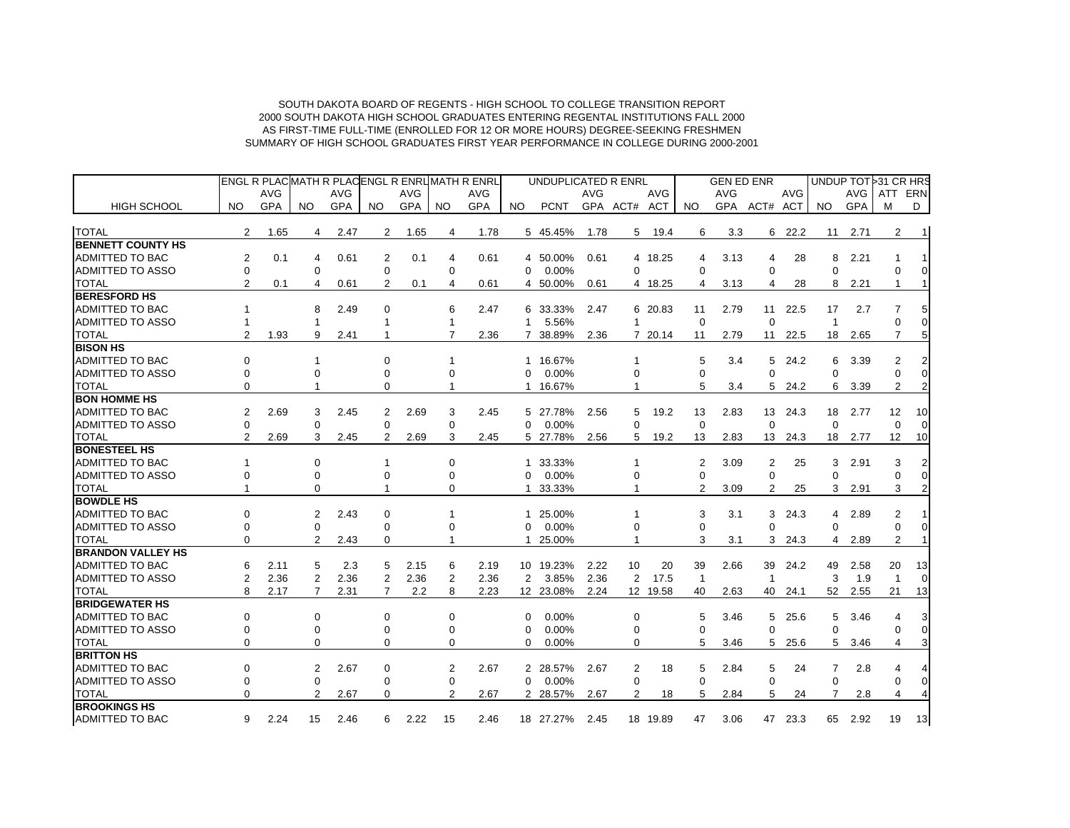|                          |                |            |                |            |          |            |          | ENGL R PLACMATH R PLACENGL R ENRUMATH R ENRL |          | UNDUPLICATED R ENRL |            |                |          |                | <b>GEN ED ENR</b> |                |            |                | UNDUP TOT 31 CR HRS |                |                |
|--------------------------|----------------|------------|----------------|------------|----------|------------|----------|----------------------------------------------|----------|---------------------|------------|----------------|----------|----------------|-------------------|----------------|------------|----------------|---------------------|----------------|----------------|
|                          |                | AVG        |                | <b>AVG</b> |          | <b>AVG</b> |          | <b>AVG</b>                                   |          |                     | <b>AVG</b> |                | AVG      |                | AVG               |                | <b>AVG</b> |                | AVG                 | ATT            | ERN            |
| <b>HIGH SCHOOL</b>       | NO.            | <b>GPA</b> | NO.            | <b>GPA</b> | NO.      | GPA        | NO.      | <b>GPA</b>                                   | NO.      | <b>PCNT</b>         |            | GPA ACT# ACT   |          | NO.            | GPA               | ACT# ACT       |            | NO.            | <b>GPA</b>          | M              | D              |
| <b>TOTAL</b>             | 2              | 1.65       | 4              | 2.47       | 2        | 1.65       | 4        | 1.78                                         |          | 5 45.45%            | 1.78       | 5              | 19.4     | 6              | 3.3               |                | 6 22.2     | 11             | 2.71                | 2              | $\overline{1}$ |
| <b>BENNETT COUNTY HS</b> |                |            |                |            |          |            |          |                                              |          |                     |            |                |          |                |                   |                |            |                |                     |                |                |
| <b>ADMITTED TO BAC</b>   | 2              | 0.1        | 4              | 0.61       | 2        | 0.1        | 4        | 0.61                                         |          | 4 50.00%            | 0.61       |                | 4 18.25  | 4              | 3.13              | 4              | 28         | 8              | 2.21                |                |                |
| <b>ADMITTED TO ASSO</b>  | 0              |            | $\Omega$       |            | 0        |            | 0        |                                              | $\Omega$ | 0.00%               |            | $\Omega$       |          | $\Omega$       |                   | $\Omega$       |            | $\Omega$       |                     | $\Omega$       |                |
| <b>TOTAL</b>             |                | 0.1        | 4              | 0.61       | 2        | 0.1        | 4        | 0.61                                         | 4        | 50.00%              | 0.61       |                | 4 18.25  | 4              | 3.13              | 4              | 28         | 8              | 2.21                | -1             |                |
| <b>BERESFORD HS</b>      |                |            |                |            |          |            |          |                                              |          |                     |            |                |          |                |                   |                |            |                |                     |                |                |
| ADMITTED TO BAC          |                |            | 8              | 2.49       | $\Omega$ |            | 6        | 2.47                                         | 6        | 33.33%              | 2.47       |                | 6 20.83  | 11             | 2.79              | 11             | 22.5       | 17             | 2.7                 | 7              | 5              |
| <b>ADMITTED TO ASSO</b>  |                |            | 1              |            |          |            | 1        |                                              |          | 5.56%               |            | 1              |          | $\mathbf 0$    |                   | $\mathbf 0$    |            | $\overline{1}$ |                     | O              | $\Omega$       |
| <b>TOTAL</b>             | 2              | 1.93       | 9              | 2.41       |          |            | 7        | 2.36                                         | 7        | 38.89%              | 2.36       |                | 7 20.14  | 11             | 2.79              | 11             | 22.5       | 18             | 2.65                | 7              | 5              |
| <b>BISON HS</b>          |                |            |                |            |          |            |          |                                              |          |                     |            |                |          |                |                   |                |            |                |                     |                |                |
| ADMITTED TO BAC          | $\Omega$       |            |                |            | 0        |            |          |                                              |          | 1 16.67%            |            |                |          | 5              | 3.4               | 5              | 24.2       | 6              | 3.39                | 2              |                |
| <b>ADMITTED TO ASSO</b>  | $\Omega$       |            | 0              |            | 0        |            | 0        |                                              | $\Omega$ | 0.00%               |            | 0              |          | 0              |                   | $\Omega$       |            | $\Omega$       |                     | $\Omega$       | $\Omega$       |
| <b>TOTAL</b>             | ∩              |            |                |            | $\Omega$ |            |          |                                              |          | 16.67%              |            |                |          | 5              | 3.4               | 5              | 24.2       | 6              | 3.39                | 2              |                |
| <b>BON HOMME HS</b>      |                |            |                |            |          |            |          |                                              |          |                     |            |                |          |                |                   |                |            |                |                     |                |                |
| ADMITTED TO BAC          | 2              | 2.69       | 3              | 2.45       | 2        | 2.69       | 3        | 2.45                                         | 5        | 27.78%              | 2.56       | 5              | 19.2     | 13             | 2.83              | 13             | 24.3       | 18             | 2.77                | 12             | 10             |
| <b>ADMITTED TO ASSO</b>  | 0              |            | 0              |            | 0        |            | 0        |                                              | 0        | 0.00%               |            | $\mathbf 0$    |          | $\mathbf 0$    |                   | $\mathbf 0$    |            | $\mathbf 0$    |                     | $\mathbf 0$    | $\Omega$       |
| <b>TOTAL</b>             | $\overline{2}$ | 2.69       | 3              | 2.45       | 2        | 2.69       | 3        | 2.45                                         |          | 5 27.78%            | 2.56       | 5              | 19.2     | 13             | 2.83              | 13             | 24.3       | 18             | 2.77                | 12             | 10             |
| <b>BONESTEEL HS</b>      |                |            |                |            |          |            |          |                                              |          |                     |            |                |          |                |                   |                |            |                |                     |                |                |
| <b>ADMITTED TO BAC</b>   |                |            | $\Omega$       |            |          |            | 0        |                                              | 1        | 33.33%              |            | 1              |          | $\overline{2}$ | 3.09              | $\overline{2}$ | 25         | 3              | 2.91                | 3              |                |
| <b>ADMITTED TO ASSO</b>  | 0              |            | 0              |            | 0        |            | 0        |                                              | 0        | 0.00%               |            | $\Omega$       |          | $\mathbf 0$    |                   | $\mathbf 0$    |            | 0              |                     | $\Omega$       | $\mathbf 0$    |
| <b>TOTAL</b>             |                |            | $\Omega$       |            |          |            | 0        |                                              | 1        | 33.33%              |            | 1              |          | 2              | 3.09              | $\overline{2}$ | 25         | 3              | 2.91                | 3              | 2              |
| <b>BOWDLE HS</b>         |                |            |                |            |          |            |          |                                              |          |                     |            |                |          |                |                   |                |            |                |                     |                |                |
| <b>ADMITTED TO BAC</b>   | $\Omega$       |            | 2              | 2.43       | 0        |            |          |                                              | 1        | 25.00%              |            |                |          | 3              | 3.1               | 3              | 24.3       | 4              | 2.89                | $\overline{2}$ |                |
| <b>ADMITTED TO ASSO</b>  | $\Omega$       |            | $\mathbf 0$    |            | 0        |            | $\Omega$ |                                              | $\Omega$ | 0.00%               |            | 0              |          | $\mathbf 0$    |                   | $\Omega$       |            | $\Omega$       |                     | $\mathbf 0$    | $\Omega$       |
| <b>TOTAL</b>             | $\Omega$       |            | 2              | 2.43       | 0        |            | 1        |                                              | 1        | 25.00%              |            | 1              |          | 3              | 3.1               | 3              | 24.3       | 4              | 2.89                | 2              |                |
| <b>BRANDON VALLEY HS</b> |                |            |                |            |          |            |          |                                              |          |                     |            |                |          |                |                   |                |            |                |                     |                |                |
| <b>ADMITTED TO BAC</b>   | 6              | 2.11       | 5              | 2.3        | 5        | 2.15       | 6        | 2.19                                         |          | 10 19.23%           | 2.22       | 10             | 20       | 39             | 2.66              | 39             | 24.2       | 49             | 2.58                | 20             | 13             |
| <b>ADMITTED TO ASSO</b>  | $\overline{2}$ | 2.36       | $\overline{2}$ | 2.36       | 2        | 2.36       | 2        | 2.36                                         | 2        | 3.85%               | 2.36       | $\overline{2}$ | 17.5     | $\mathbf{1}$   |                   | -1             |            | 3              | 1.9                 | $\overline{1}$ | $\Omega$       |
| <b>TOTAL</b>             | 8              | 2.17       | 7              | 2.31       | 7        | 2.2        | 8        | 2.23                                         |          | 12 23.08%           | 2.24       |                | 12 19.58 | 40             | 2.63              | 40             | 24.1       | 52             | 2.55                | 21             | 13             |
| <b>BRIDGEWATER HS</b>    |                |            |                |            |          |            |          |                                              |          |                     |            |                |          |                |                   |                |            |                |                     |                |                |
| ADMITTED TO BAC          | 0              |            | $\Omega$       |            | 0        |            | 0        |                                              | $\Omega$ | 0.00%               |            | 0              |          | 5              | 3.46              | 5              | 25.6       | 5              | 3.46                | 4              | 3              |
| <b>ADMITTED TO ASSO</b>  | $\Omega$       |            | 0              |            | 0        |            | 0        |                                              | $\Omega$ | 0.00%               |            | $\Omega$       |          | $\Omega$       |                   | $\Omega$       |            | $\Omega$       |                     | $\Omega$       | $\mathbf 0$    |
| <b>TOTAL</b>             | $\Omega$       |            | 0              |            | 0        |            | 0        |                                              | 0        | 0.00%               |            | 0              |          | 5              | 3.46              | 5              | 25.6       | 5              | 3.46                | 4              | 3              |
| <b>BRITTON HS</b>        |                |            |                |            |          |            |          |                                              |          |                     |            |                |          |                |                   |                |            |                |                     |                |                |
| ADMITTED TO BAC          | $\Omega$       |            | 2              | 2.67       | 0        |            | 2        | 2.67                                         |          | 2 28.57%            | 2.67       | 2              | 18       | 5              | 2.84              | 5              | 24         | 7              | 2.8                 | 4              |                |
| <b>ADMITTED TO ASSO</b>  | $\mathbf 0$    |            | $\Omega$       |            | $\Omega$ |            | 0        |                                              | $\Omega$ | 0.00%               |            | $\Omega$       |          | $\Omega$       |                   | $\Omega$       |            | $\Omega$       |                     | 0              | $\mathbf 0$    |
| <b>TOTAL</b>             | 0              |            | 2              | 2.67       | 0        |            | 2        | 2.67                                         |          | 2 28.57%            | 2.67       | 2              | 18       | 5              | 2.84              | 5              | 24         | 7              | 2.8                 | 4              |                |
| <b>BROOKINGS HS</b>      |                |            |                |            |          |            |          |                                              |          |                     |            |                |          |                |                   |                |            |                |                     |                |                |
| <b>ADMITTED TO BAC</b>   | 9              | 2.24       | 15             | 2.46       | 6        | 2.22       | 15       | 2.46                                         |          | 18 27.27%           | 2.45       |                | 18 19.89 | 47             | 3.06              |                | 47 23.3    | 65             | 2.92                | 19             | 13             |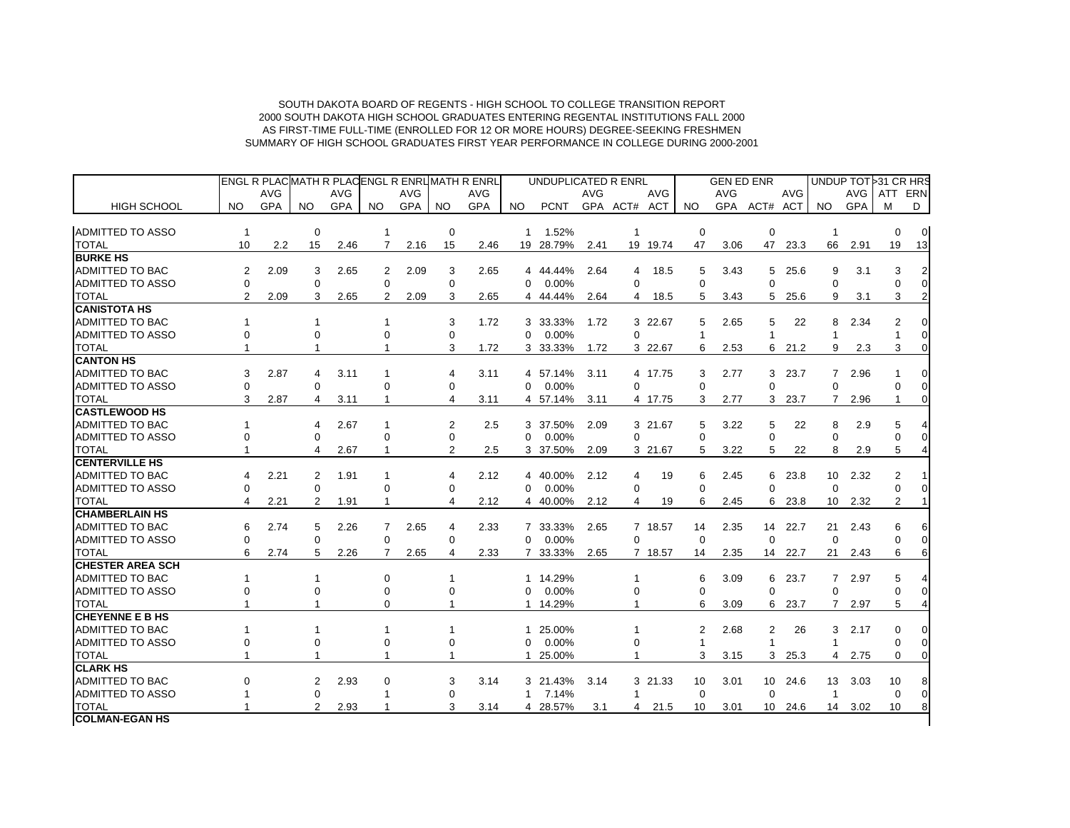|                         |                |            |                |            |                |            |                | <b>ENGL R PLACMATH R PLACENGL R ENRUMATH R ENRL</b> |              | UNDUPLICATED R ENRL |            |                |            |              | <b>GEN ED ENR</b> |              |         |                 |            | UNDUP TOT 31 CR HRS |                |
|-------------------------|----------------|------------|----------------|------------|----------------|------------|----------------|-----------------------------------------------------|--------------|---------------------|------------|----------------|------------|--------------|-------------------|--------------|---------|-----------------|------------|---------------------|----------------|
|                         |                | <b>AVG</b> |                | <b>AVG</b> |                | <b>AVG</b> |                | AVG                                                 |              |                     | <b>AVG</b> |                | <b>AVG</b> |              | <b>AVG</b>        |              | AVG     |                 | AVG        | ATT ERN             |                |
| <b>HIGH SCHOOL</b>      | NO.            | <b>GPA</b> | NO.            | <b>GPA</b> | NO.            | <b>GPA</b> | NO.            | <b>GPA</b>                                          | NO.          | <b>PCNT</b>         |            | GPA ACT# ACT   |            | NO.          |                   | GPA ACT# ACT |         | NO.             | <b>GPA</b> | M                   | D              |
|                         |                |            |                |            |                |            |                |                                                     |              |                     |            |                |            |              |                   |              |         |                 |            |                     |                |
| <b>ADMITTED TO ASSO</b> | $\mathbf{1}$   |            | $\mathbf 0$    |            |                |            | 0              |                                                     | $\mathbf{1}$ | 1.52%               |            | -1             |            | $\mathbf 0$  |                   | $\mathbf 0$  |         | $\mathbf{1}$    |            | 0                   | $\overline{0}$ |
| <b>TOTAL</b>            | 10             | 2.2        | 15             | 2.46       | 7              | 2.16       | 15             | 2.46                                                |              | 19 28.79%           | 2.41       |                | 19 19.74   | 47           | 3.06              |              | 47 23.3 | 66              | 2.91       | 19                  | 13             |
| <b>BURKE HS</b>         |                |            |                |            |                |            |                |                                                     |              |                     |            |                |            |              |                   |              |         |                 |            |                     |                |
| <b>ADMITTED TO BAC</b>  | 2              | 2.09       | 3              | 2.65       | 2              | 2.09       | 3              | 2.65                                                |              | 4 44.44%            | 2.64       | 4              | 18.5       | 5            | 3.43              | 5            | 25.6    | 9               | 3.1        | 3                   |                |
| <b>ADMITTED TO ASSO</b> | $\Omega$       |            | $\Omega$       |            | $\Omega$       |            | $\Omega$       |                                                     | $\Omega$     | 0.00%               |            | $\Omega$       |            | $\Omega$     |                   | $\Omega$     |         | $\Omega$        |            | $\Omega$            |                |
| <b>TOTAL</b>            | $\overline{2}$ | 2.09       | 3              | 2.65       | 2              | 2.09       | 3              | 2.65                                                |              | 4 44.44%            | 2.64       | 4              | 18.5       | 5            | 3.43              | 5            | 25.6    | 9               | 3.1        | 3                   |                |
| <b>CANISTOTA HS</b>     |                |            |                |            |                |            |                |                                                     |              |                     |            |                |            |              |                   |              |         |                 |            |                     |                |
| <b>ADMITTED TO BAC</b>  | 1              |            | 1              |            | -1             |            | 3              | 1.72                                                |              | 3 33.33%            | 1.72       |                | 3 22.67    | 5            | 2.65              | 5            | 22      | 8               | 2.34       | $\overline{2}$      |                |
| ADMITTED TO ASSO        | $\Omega$       |            | $\Omega$       |            | 0              |            | $\Omega$       |                                                     | $\Omega$     | 0.00%               |            | $\Omega$       |            | $\mathbf{1}$ |                   |              |         | $\mathbf{1}$    |            |                     |                |
| <b>TOTAL</b>            |                |            |                |            |                |            | 3              | 1.72                                                |              | 3 33.33%            | 1.72       |                | 3 22.67    | 6            | 2.53              |              | 6 21.2  | 9               | 2.3        | 3                   |                |
| <b>CANTON HS</b>        |                |            |                |            |                |            |                |                                                     |              |                     |            |                |            |              |                   |              |         |                 |            |                     |                |
| <b>ADMITTED TO BAC</b>  | 3              | 2.87       | 4              | 3.11       | -1             |            | 4              | 3.11                                                |              | 4 57.14%            | 3.11       |                | 4 17.75    | 3            | 2.77              |              | 3, 23.7 | $7^{\circ}$     | 2.96       |                     |                |
| <b>ADMITTED TO ASSO</b> | $\Omega$       |            | $\Omega$       |            | 0              |            | $\Omega$       |                                                     | $\Omega$     | 0.00%               |            | $\Omega$       |            | $\Omega$     |                   | $\Omega$     |         | $\Omega$        |            | 0                   |                |
| <b>TOTAL</b>            | 3              | 2.87       | 4              | 3.11       | -1             |            | 4              | 3.11                                                |              | 4 57.14%            | 3.11       |                | 4 17.75    | 3            | 2.77              |              | 3 23.7  | $7^{\circ}$     | 2.96       |                     |                |
| <b>CASTLEWOOD HS</b>    |                |            |                |            |                |            |                |                                                     |              |                     |            |                |            |              |                   |              |         |                 |            |                     |                |
| <b>ADMITTED TO BAC</b>  |                |            | 4              | 2.67       | $\mathbf 1$    |            | $\overline{2}$ | 2.5                                                 |              | 3 37.50%            | 2.09       |                | 3 21.67    | 5            | 3.22              | 5            | 22      | 8               | 2.9        | 5                   |                |
| <b>ADMITTED TO ASSO</b> | $\Omega$       |            | $\Omega$       |            | 0              |            | 0              |                                                     | $\Omega$     | 0.00%               |            | $\Omega$       |            | $\Omega$     |                   | $\mathbf 0$  |         | $\Omega$        |            | $\Omega$            |                |
| <b>TOTAL</b>            |                |            | 4              | 2.67       | 1              |            | $\overline{2}$ | 2.5                                                 |              | 3 37.50%            | 2.09       |                | 3 21.67    | 5            | 3.22              | 5            | 22      | 8               | 2.9        | 5                   |                |
| <b>CENTERVILLE HS</b>   |                |            |                |            |                |            |                |                                                     |              |                     |            |                |            |              |                   |              |         |                 |            |                     |                |
| <b>ADMITTED TO BAC</b>  | 4              | 2.21       | 2              | 1.91       | -1             |            | 4              | 2.12                                                |              | 4 40.00%            | 2.12       | 4              | 19         | 6            | 2.45              | 6            | 23.8    | 10 <sup>1</sup> | 2.32       | $\overline{2}$      |                |
| ADMITTED TO ASSO        | $\Omega$       |            | 0              |            | 0              |            | $\Omega$       |                                                     | $\Omega$     | 0.00%               |            | 0              |            | $\Omega$     |                   | $\Omega$     |         | $\Omega$        |            | $\Omega$            |                |
| <b>TOTAL</b>            | 4              | 2.21       | 2              | 1.91       |                |            | 4              | 2.12                                                |              | 4 40.00%            | 2.12       | 4              | 19         | 6            | 2.45              | 6            | 23.8    | 10 <sup>°</sup> | 2.32       | $\overline{2}$      |                |
| <b>CHAMBERLAIN HS</b>   |                |            |                |            |                |            |                |                                                     |              |                     |            |                |            |              |                   |              |         |                 |            |                     |                |
| <b>ADMITTED TO BAC</b>  | 6              | 2.74       | 5              | 2.26       | $\overline{7}$ | 2.65       | 4              | 2.33                                                |              | 7 33.33%            | 2.65       |                | 7 18.57    | 14           | 2.35              | 14           | 22.7    | 21              | 2.43       | 6                   |                |
| <b>ADMITTED TO ASSO</b> | $\Omega$       |            | $\Omega$       |            | $\Omega$       |            | $\Omega$       |                                                     | $\Omega$     | 0.00%               |            | $\Omega$       |            | $\Omega$     |                   | $\Omega$     |         | $\Omega$        |            | $\Omega$            |                |
| <b>TOTAL</b>            | 6              | 2.74       | 5              | 2.26       | $\overline{7}$ | 2.65       | 4              | 2.33                                                |              | 7 33.33%            | 2.65       |                | 7 18.57    | 14           | 2.35              |              | 14 22.7 | 21              | 2.43       | 6                   |                |
| <b>CHESTER AREA SCH</b> |                |            |                |            |                |            |                |                                                     |              |                     |            |                |            |              |                   |              |         |                 |            |                     |                |
| <b>ADMITTED TO BAC</b>  | 1              |            | $\mathbf{1}$   |            | $\mathbf 0$    |            | 1              |                                                     | $\mathbf{1}$ | 14.29%              |            | $\overline{1}$ |            | 6            | 3.09              | 6            | 23.7    | $7^{\circ}$     | 2.97       | 5                   |                |
| <b>ADMITTED TO ASSO</b> |                |            | $\Omega$       |            | 0              |            | $\Omega$       |                                                     | $\Omega$     | 0.00%               |            | $\Omega$       |            | $\Omega$     |                   | $\Omega$     |         | $\Omega$        |            | U                   |                |
| <b>TOTAL</b>            |                |            |                |            | 0              |            |                |                                                     | $\mathbf{1}$ | 14.29%              |            |                |            | 6            | 3.09              | 6            | 23.7    | $7^{\circ}$     | 2.97       | 5                   |                |
| <b>CHEYENNE E B HS</b>  |                |            |                |            |                |            |                |                                                     |              |                     |            |                |            |              |                   |              |         |                 |            |                     |                |
| <b>ADMITTED TO BAC</b>  | 1              |            | 1              |            | -1             |            | 1              |                                                     | 1            | 25.00%              |            |                |            | 2            | 2.68              | 2            | 26      | 3               | 2.17       | 0                   |                |
| <b>ADMITTED TO ASSO</b> | $\Omega$       |            | $\Omega$       |            | 0              |            | $\Omega$       |                                                     | $\Omega$     | 0.00%               |            | $\Omega$       |            |              |                   |              |         |                 |            | $\Omega$            |                |
| <b>TOTAL</b>            |                |            |                |            | 1              |            | 1              |                                                     | $\mathbf{1}$ | 25.00%              |            | 1              |            | 3            | 3.15              |              | 3 25.3  | 4               | 2.75       | 0                   |                |
| <b>CLARK HS</b>         |                |            |                |            |                |            |                |                                                     |              |                     |            |                |            |              |                   |              |         |                 |            |                     |                |
| <b>ADMITTED TO BAC</b>  | $\Omega$       |            | 2              | 2.93       | $\mathbf 0$    |            | 3              | 3.14                                                |              | 3 21.43%            | 3.14       |                | 3 21.33    | 10           | 3.01              |              | 10 24.6 | 13              | 3.03       | 10                  |                |
| ADMITTED TO ASSO        |                |            | $\Omega$       |            | 1              |            | 0              |                                                     | $\mathbf 1$  | 7.14%               |            | 1              |            | $\Omega$     |                   | $\Omega$     |         | $\mathbf{1}$    |            | $\Omega$            |                |
| <b>TOTAL</b>            |                |            | $\overline{2}$ | 2.93       |                |            | 3              | 3.14                                                |              | 4 28.57%            | 3.1        | 4              | 21.5       | 10           | 3.01              | 10           | 24.6    | 14              | 3.02       | 10                  |                |
| <b>COLMAN-EGAN HS</b>   |                |            |                |            |                |            |                |                                                     |              |                     |            |                |            |              |                   |              |         |                 |            |                     |                |
|                         |                |            |                |            |                |            |                |                                                     |              |                     |            |                |            |              |                   |              |         |                 |            |                     |                |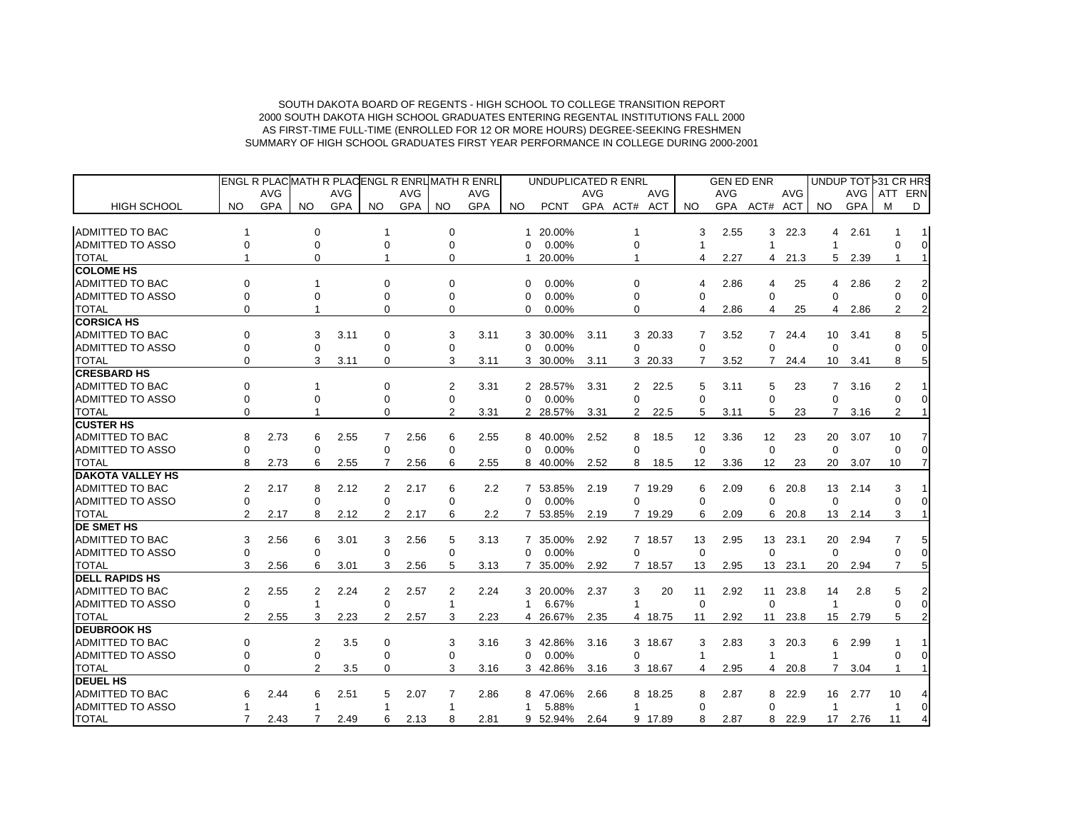|                         |                |      |                |            |             | ENGL R PLACIMATH R PLACIENGL R ENRLIMATH R ENRL |                |            |                | UNDUPLICATED R ENRL |            |                |      |                       | <b>GEN ED ENR</b> |                |            |                 |            | UNDUP TOT 31 CR HRS |                |
|-------------------------|----------------|------|----------------|------------|-------------|-------------------------------------------------|----------------|------------|----------------|---------------------|------------|----------------|------|-----------------------|-------------------|----------------|------------|-----------------|------------|---------------------|----------------|
|                         |                | AVG  |                | <b>AVG</b> |             | <b>AVG</b>                                      |                | <b>AVG</b> |                |                     | <b>AVG</b> | <b>AVG</b>     |      |                       | <b>AVG</b>        |                | <b>AVG</b> |                 | <b>AVG</b> | <b>ATT</b>          | ERN            |
| <b>HIGH SCHOOL</b>      | NO.            | GPA  | NO.            | GPA        | NO.         | GPA                                             | <b>NO</b>      | <b>GPA</b> | NO.            | <b>PCNT</b>         |            | GPA ACT# ACT   |      | NO                    |                   | GPA ACT# ACT   |            | NO.             | GPA        | м                   | D              |
| <b>ADMITTED TO BAC</b>  |                |      | 0              |            |             |                                                 | $\mathbf 0$    |            | 1              | 20.00%              |            |                |      | 3                     | 2.55              | 3              | 22.3       | 4               | 2.61       |                     | 1              |
| <b>ADMITTED TO ASSO</b> | $\Omega$       |      | $\Omega$       |            | 0           |                                                 | 0              |            | $\Omega$       | 0.00%               |            | 0              |      | $\overline{1}$        |                   | -1             |            | $\overline{1}$  |            | $\Omega$            | $\overline{0}$ |
| <b>TOTAL</b>            |                |      | 0              |            |             |                                                 | 0              |            |                | 20.00%              |            |                |      | 4                     | 2.27              |                | 4 21.3     | 5               | 2.39       | 1                   | $\mathbf{1}$   |
| <b>COLOME HS</b>        |                |      |                |            |             |                                                 |                |            |                |                     |            |                |      |                       |                   |                |            |                 |            |                     |                |
| <b>ADMITTED TO BAC</b>  | ŋ              |      |                |            | ŋ           |                                                 | 0              |            | $\Omega$       | $0.00\%$            |            | 0              |      | $\boldsymbol{\Delta}$ | 2.86              | 4              | 25         | 4               | 2.86       | $\overline{2}$      | 2              |
| <b>ADMITTED TO ASSO</b> | $\Omega$       |      | $\Omega$       |            | $\Omega$    |                                                 | $\Omega$       |            | $\Omega$       | $0.00\%$            |            | 0              |      | $\Omega$              |                   | $\Omega$       |            | $\Omega$        |            | $\Omega$            | $\overline{0}$ |
| <b>TOTAL</b>            | $\Omega$       |      |                |            | $\Omega$    |                                                 | $\Omega$       |            | $\Omega$       | 0.00%               |            | 0              |      | $\overline{4}$        | 2.86              | 4              | 25         | 4               | 2.86       | 2                   | 2              |
| <b>CORSICA HS</b>       |                |      |                |            |             |                                                 |                |            |                |                     |            |                |      |                       |                   |                |            |                 |            |                     |                |
| ADMITTED TO BAC         | $\Omega$       |      | 3              | 3.11       | $\Omega$    |                                                 | 3              | 3.11       | 3              | 30.00%              | 3.11       | 3 20.33        |      | 7                     | 3.52              | $\overline{7}$ | 24.4       | 10              | 3.41       | 8                   | 5              |
| <b>ADMITTED TO ASSO</b> | $\Omega$       |      | 0              |            | $\mathbf 0$ |                                                 | 0              |            | $\Omega$       | 0.00%               |            | 0              |      | $\mathbf 0$           |                   | $\Omega$       |            | $\Omega$        |            |                     | 0              |
| <b>TOTAL</b>            | $\Omega$       |      | 3              | 3.11       | $\Omega$    |                                                 | 3              | 3.11       | 3              | 30.00%              | 3.11       | 3 20.33        |      | 7                     | 3.52              | $7^{\circ}$    | 24.4       | 10              | 3.41       | 8                   | 5              |
| <b>CRESBARD HS</b>      |                |      |                |            |             |                                                 |                |            |                |                     |            |                |      |                       |                   |                |            |                 |            |                     |                |
| <b>ADMITTED TO BAC</b>  | $\Omega$       |      | 1              |            | 0           |                                                 | 2              | 3.31       | 2              | 28.57%              | 3.31       | 2              | 22.5 | 5                     | 3.11              | 5              | 23         | $\overline{7}$  | 3.16       | 2                   |                |
| <b>ADMITTED TO ASSO</b> | $\Omega$       |      | 0              |            | 0           |                                                 | $\Omega$       |            | $\Omega$       | 0.00%               |            | 0              |      | $\Omega$              |                   | $\Omega$       |            | $\Omega$        |            | $\Omega$            | 0              |
| <b>TOTAL</b>            | $\Omega$       |      | 1              |            | 0           |                                                 | $\overline{2}$ | 3.31       |                | 2 28.57%            | 3.31       | $\overline{2}$ | 22.5 | 5                     | 3.11              | 5              | 23         | $\overline{7}$  | 3.16       | $\overline{2}$      |                |
| <b>CUSTER HS</b>        |                |      |                |            |             |                                                 |                |            |                |                     |            |                |      |                       |                   |                |            |                 |            |                     |                |
| <b>ADMITTED TO BAC</b>  | 8              | 2.73 | 6              | 2.55       | 7           | 2.56                                            | 6              | 2.55       | 8              | 40.00%              | 2.52       | 8              | 18.5 | 12                    | 3.36              | 12             | 23         | 20              | 3.07       | 10                  | 7              |
| <b>ADMITTED TO ASSO</b> | $\Omega$       |      | 0              |            | $\Omega$    |                                                 | 0              |            | $\Omega$       | 0.00%               |            | 0              |      | $\Omega$              |                   | $\Omega$       |            | $\Omega$        |            | $\Omega$            |                |
| <b>TOTAL</b>            | 8              | 2.73 | 6              | 2.55       | 7           | 2.56                                            | 6              | 2.55       | 8              | 40.00%              | 2.52       | 8              | 18.5 | 12                    | 3.36              | 12             | 23         | 20              | 3.07       | 10                  |                |
| <b>DAKOTA VALLEY HS</b> |                |      |                |            |             |                                                 |                |            |                |                     |            |                |      |                       |                   |                |            |                 |            |                     |                |
| <b>ADMITTED TO BAC</b>  | 2              | 2.17 | 8              | 2.12       | 2           | 2.17                                            | 6              | 2.2        |                | 7 53.85%            | 2.19       | 7 19.29        |      | 6                     | 2.09              | 6              | 20.8       | 13              | 2.14       | 3                   |                |
| <b>ADMITTED TO ASSO</b> | 0              |      | 0              |            | 0           |                                                 | 0              |            | 0              | 0.00%               |            | 0              |      | $\mathbf 0$           |                   | $\Omega$       |            | $\mathbf 0$     |            | $\Omega$            |                |
| <b>TOTAL</b>            | 2              | 2.17 | 8              | 2.12       | 2           | 2.17                                            | 6              | 2.2        | 7              | 53.85%              | 2.19       | 7 19.29        |      | 6                     | 2.09              | 6              | 20.8       | 13              | 2.14       | 3                   |                |
| <b>DE SMET HS</b>       |                |      |                |            |             |                                                 |                |            |                |                     |            |                |      |                       |                   |                |            |                 |            |                     |                |
| <b>ADMITTED TO BAC</b>  | 3              | 2.56 | 6              | 3.01       | 3           | 2.56                                            | 5              | 3.13       | $\overline{7}$ | 35.00%              | 2.92       | 7 18.57        |      | 13                    | 2.95              | 13             | 23.1       | 20              | 2.94       | 7                   | 5              |
| <b>ADMITTED TO ASSO</b> | $\Omega$       |      | $\Omega$       |            | $\Omega$    |                                                 | 0              |            | 0              | 0.00%               |            | 0              |      | $\mathbf 0$           |                   | $\Omega$       |            | $\Omega$        |            | $\Omega$            | $\Omega$       |
| <b>TOTAL</b>            | 3              | 2.56 | 6              | 3.01       | 3           | 2.56                                            | 5              | 3.13       | 7              | 35.00%              | 2.92       | 7 18.57        |      | 13                    | 2.95              | 13             | 23.1       | 20              | 2.94       | $\overline{7}$      | 5              |
| <b>DELL RAPIDS HS</b>   |                |      |                |            |             |                                                 |                |            |                |                     |            |                |      |                       |                   |                |            |                 |            |                     |                |
| <b>ADMITTED TO BAC</b>  | 2              | 2.55 | 2              | 2.24       | 2           | 2.57                                            | 2              | 2.24       |                | 3 20.00%            | 2.37       | 3              | 20   | 11                    | 2.92              | 11             | 23.8       | 14              | 2.8        | 5                   |                |
| <b>ADMITTED TO ASSO</b> | 0              |      | $\mathbf{1}$   |            | 0           |                                                 | $\mathbf 1$    |            | 1              | 6.67%               |            | 1              |      | $\mathbf 0$           |                   | $\mathbf 0$    |            | -1              |            | $\Omega$            | $\overline{0}$ |
| <b>TOTAL</b>            | $\overline{2}$ | 2.55 | 3              | 2.23       | 2           | 2.57                                            | 3              | 2.23       | 4              | 26.67%              | 2.35       | 4 18.75        |      | 11                    | 2.92              | 11             | 23.8       | 15              | 2.79       | 5                   | 2              |
| <b>DEUBROOK HS</b>      |                |      |                |            |             |                                                 |                |            |                |                     |            |                |      |                       |                   |                |            |                 |            |                     |                |
| <b>ADMITTED TO BAC</b>  | $\mathbf 0$    |      | 2              | 3.5        | 0           |                                                 | 3              | 3.16       |                | 3 42.86%            | 3.16       | 3 18.67        |      | 3                     | 2.83              | 3              | 20.3       | 6               | 2.99       |                     |                |
| <b>ADMITTED TO ASSO</b> | 0              |      | 0              |            | $\Omega$    |                                                 | $\Omega$       |            | $\Omega$       | 0.00%               |            | 0              |      |                       |                   | -1             |            | -1              |            | $\Omega$            | 0              |
| <b>TOTAL</b>            | $\Omega$       |      | $\overline{2}$ | 3.5        | $\Omega$    |                                                 | 3              | 3.16       |                | 3 42.86%            | 3.16       | 3 18.67        |      | $\overline{4}$        | 2.95              | 4              | 20.8       | 7               | 3.04       | $\mathbf{1}$        | $\mathbf{1}$   |
| <b>DEUEL HS</b>         |                |      |                |            |             |                                                 |                |            |                |                     |            |                |      |                       |                   |                |            |                 |            |                     |                |
| ADMITTED TO BAC         | 6              | 2.44 | 6              | 2.51       | 5           | 2.07                                            | 7              | 2.86       | 8              | 47.06%              | 2.66       | 8 18.25        |      | 8                     | 2.87              | 8              | 22.9       | 16              | 2.77       | 10                  |                |
| <b>ADMITTED TO ASSO</b> |                |      | 1              |            |             |                                                 |                |            | 1              | 5.88%               |            | 1              |      | $\Omega$              |                   | $\Omega$       |            | $\overline{1}$  |            | $\mathbf{1}$        | $\Omega$       |
| <b>TOTAL</b>            | 7              | 2.43 | 7              | 2.49       | 6           | 2.13                                            | 8              | 2.81       |                | 9 52.94%            | 2.64       | 9 17.89        |      | 8                     | 2.87              | 8              | 22.9       | 17 <sup>2</sup> | 2.76       | 11                  |                |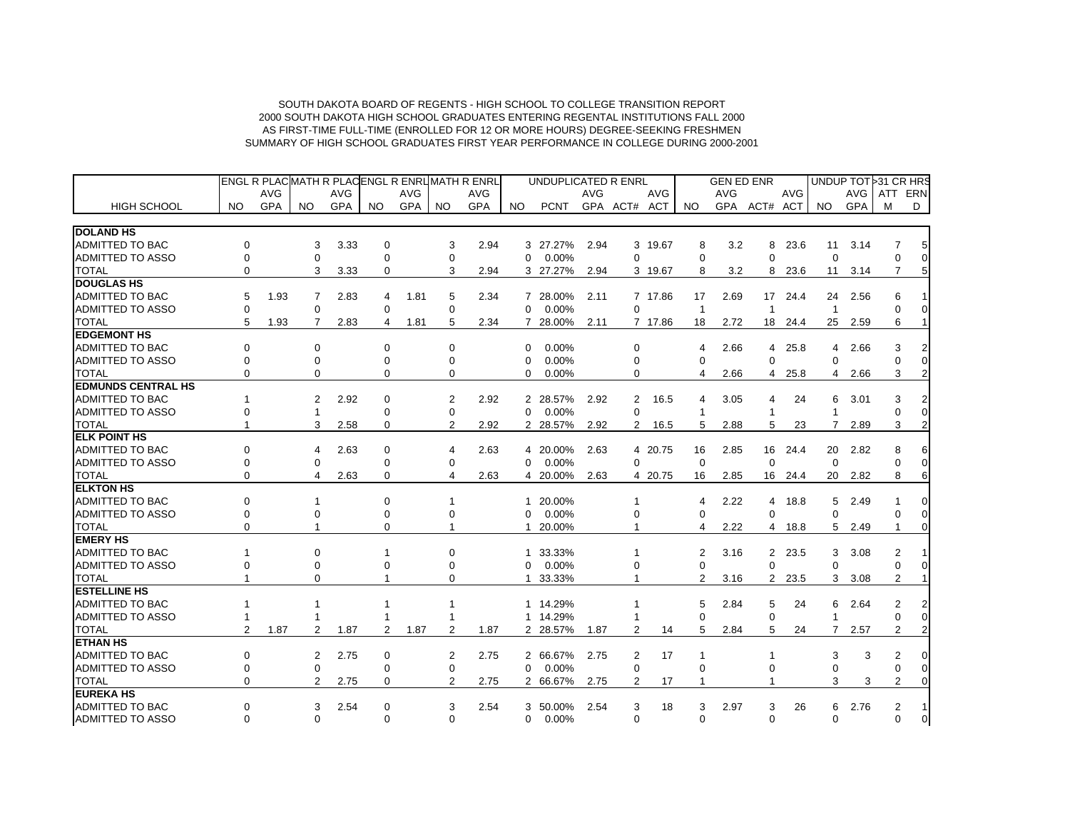|                           |                |            |          |            |                |            |                | ENGL R PLACMATH R PLACENGL R ENRL MATH R ENRL |                | UNDUPLICATED R ENRL |            |              |            |                | <b>GEN ED ENR</b> |                |            |              | UNDUP TOT 31 CR HRS |                |                |
|---------------------------|----------------|------------|----------|------------|----------------|------------|----------------|-----------------------------------------------|----------------|---------------------|------------|--------------|------------|----------------|-------------------|----------------|------------|--------------|---------------------|----------------|----------------|
|                           |                | <b>AVG</b> |          | <b>AVG</b> |                | <b>AVG</b> |                | AVG                                           |                |                     | <b>AVG</b> |              | <b>AVG</b> |                | <b>AVG</b>        |                | <b>AVG</b> |              | AVG                 | ATT            | ERN            |
| <b>HIGH SCHOOL</b>        | NO.            | <b>GPA</b> | NO.      | <b>GPA</b> | NO.            | <b>GPA</b> | NO.            | <b>GPA</b>                                    | NO.            | <b>PCNT</b>         |            | GPA ACT# ACT |            | NO.            | <b>GPA</b>        | ACT#           | ACT        | NO.          | <b>GPA</b>          | м              | D              |
| <b>DOLAND HS</b>          |                |            |          |            |                |            |                |                                               |                |                     |            |              |            |                |                   |                |            |              |                     |                |                |
| <b>ADMITTED TO BAC</b>    | $\Omega$       |            | 3        | 3.33       | $\Omega$       |            | 3              | 2.94                                          |                | 3 27.27%            | 2.94       |              | 3 19.67    | 8              | 3.2               | 8              | 23.6       | 11           | 3.14                | 7              | 5              |
| <b>ADMITTED TO ASSO</b>   | $\Omega$       |            | $\Omega$ |            | $\Omega$       |            | $\Omega$       |                                               | $\Omega$       | 0.00%               |            | $\Omega$     |            | $\Omega$       |                   | $\Omega$       |            | $\Omega$     |                     | $\Omega$       | $\mathbf 0$    |
| <b>TOTAL</b>              | $\Omega$       |            | 3        | 3.33       | 0              |            | 3              | 2.94                                          |                | 3 27.27%            | 2.94       |              | 3 19.67    | 8              | 3.2               | 8              | 23.6       | 11           | 3.14                | $\overline{7}$ | 5              |
| <b>DOUGLAS HS</b>         |                |            |          |            |                |            |                |                                               |                |                     |            |              |            |                |                   |                |            |              |                     |                |                |
| <b>ADMITTED TO BAC</b>    | 5              | 1.93       | 7        | 2.83       | 4              | 1.81       | 5              | 2.34                                          | 7              | 28.00%              | 2.11       |              | 7 17.86    | 17             | 2.69              | 17             | 24.4       | 24           | 2.56                | 6              |                |
| <b>ADMITTED TO ASSO</b>   | $\Omega$       |            | $\Omega$ |            | $\Omega$       |            | $\Omega$       |                                               | $\Omega$       | 0.00%               |            | $\Omega$     |            | $\overline{1}$ |                   | $\overline{1}$ |            | $\mathbf{1}$ |                     |                | 0              |
| <b>TOTAL</b>              | 5              | 1.93       | 7        | 2.83       | 4              | 1.81       | 5              | 2.34                                          |                | 7 28.00%            | 2.11       |              | 7 17.86    | 18             | 2.72              | 18             | 24.4       | 25           | 2.59                | 6              |                |
| <b>EDGEMONT HS</b>        |                |            |          |            |                |            |                |                                               |                |                     |            |              |            |                |                   |                |            |              |                     |                |                |
| <b>ADMITTED TO BAC</b>    | $\Omega$       |            | $\Omega$ |            | $\Omega$       |            | 0              |                                               | $\Omega$       | 0.00%               |            | $\Omega$     |            | 4              | 2.66              | 4              | 25.8       | 4            | 2.66                | 3              |                |
| <b>ADMITTED TO ASSO</b>   | $\Omega$       |            | $\Omega$ |            | $\Omega$       |            | 0              |                                               | $\Omega$       | 0.00%               |            | $\Omega$     |            | $\Omega$       |                   | $\Omega$       |            | 0            |                     |                | $\Omega$       |
| <b>TOTAL</b>              | $\Omega$       |            | $\Omega$ |            | 0              |            | 0              |                                               | $\Omega$       | 0.00%               |            | 0            |            | 4              | 2.66              | 4              | 25.8       | 4            | 2.66                | 3              | $\overline{2}$ |
| <b>EDMUNDS CENTRAL HS</b> |                |            |          |            |                |            |                |                                               |                |                     |            |              |            |                |                   |                |            |              |                     |                |                |
| <b>ADMITTED TO BAC</b>    |                |            | 2        | 2.92       | $\Omega$       |            | 2              | 2.92                                          | $\overline{2}$ | 28.57%              | 2.92       | 2            | 16.5       | 4              | 3.05              | 4              | 24         | 6            | 3.01                | 3              |                |
| <b>ADMITTED TO ASSO</b>   |                |            |          |            | $\Omega$       |            | 0              |                                               | $\Omega$       | 0.00%               |            | $\Omega$     |            | -1             |                   | 1              |            | 1            |                     |                | 0              |
| <b>TOTAL</b>              |                |            | 3        | 2.58       | 0              |            | $\overline{2}$ | 2.92                                          |                | 2 28.57%            | 2.92       | 2            | 16.5       | 5              | 2.88              | 5              | 23         | 7            | 2.89                | 3              |                |
| <b>ELK POINT HS</b>       |                |            |          |            |                |            |                |                                               |                |                     |            |              |            |                |                   |                |            |              |                     |                |                |
| <b>ADMITTED TO BAC</b>    | $\Omega$       |            | 4        | 2.63       | $\Omega$       |            | 4              | 2.63                                          | 4              | 20.00%              | 2.63       |              | 4 20.75    | 16             | 2.85              |                | 16 24.4    | 20           | 2.82                | 8              | 6              |
| <b>ADMITTED TO ASSO</b>   | $\Omega$       |            | 0        |            | $\Omega$       |            | 0              |                                               | $\Omega$       | 0.00%               |            | $\Omega$     |            | $\Omega$       |                   | $\Omega$       |            | 0            |                     | $\Omega$       | 0              |
| <b>TOTAL</b>              | $\Omega$       |            | 4        | 2.63       | $\Omega$       |            | 4              | 2.63                                          | 4              | 20.00%              | 2.63       |              | 4 20.75    | 16             | 2.85              |                | 16 24.4    | 20           | 2.82                | 8              | 6              |
| <b>ELKTON HS</b>          |                |            |          |            |                |            |                |                                               |                |                     |            |              |            |                |                   |                |            |              |                     |                |                |
| <b>ADMITTED TO BAC</b>    | O              |            |          |            | $\Omega$       |            |                |                                               | 1              | 20.00%              |            | 1            |            | 4              | 2.22              | 4              | 18.8       | 5            | 2.49                |                | 0              |
| <b>ADMITTED TO ASSO</b>   | $\Omega$       |            | 0        |            | $\Omega$       |            | 0              |                                               | $\Omega$       | 0.00%               |            | 0            |            | $\Omega$       |                   | $\Omega$       |            | 0            |                     | $\Omega$       |                |
| <b>TOTAL</b>              | $\Omega$       |            |          |            | $\Omega$       |            |                |                                               | 1              | 20.00%              |            |              |            | 4              | 2.22              | 4              | 18.8       | 5            | 2.49                |                |                |
| <b>EMERY HS</b>           |                |            |          |            |                |            |                |                                               |                |                     |            |              |            |                |                   |                |            |              |                     |                |                |
| <b>ADMITTED TO BAC</b>    |                |            | $\Omega$ |            |                |            | $\Omega$       |                                               |                | 33.33%              |            |              |            | 2              | 3.16              | $\mathbf{2}$   | 23.5       | 3            | 3.08                | 2              |                |
| <b>ADMITTED TO ASSO</b>   | $\Omega$       |            | $\Omega$ |            |                |            | 0              |                                               | $\Omega$       | 0.00%               |            | $\Omega$     |            | $\Omega$       |                   | $\Omega$       |            | 0            |                     | $\Omega$       | $\Omega$       |
| <b>TOTAL</b>              |                |            | $\Omega$ |            |                |            | $\Omega$       |                                               |                | 33.33%              |            |              |            | 2              | 3.16              | $\overline{2}$ | 23.5       | 3            | 3.08                | $\overline{2}$ |                |
| <b>ESTELLINE HS</b>       |                |            |          |            |                |            |                |                                               |                |                     |            |              |            |                |                   |                |            |              |                     |                |                |
| <b>ADMITTED TO BAC</b>    |                |            |          |            |                |            |                |                                               |                | 1 14.29%            |            |              |            | 5              | 2.84              | 5              | 24         | 6            | 2.64                | 2              |                |
| <b>ADMITTED TO ASSO</b>   |                |            |          |            |                |            |                |                                               |                | 1 14.29%            |            |              |            | $\Omega$       |                   | $\Omega$       |            | $\mathbf{1}$ |                     | $\Omega$       | $\Omega$       |
| <b>TOTAL</b>              | $\overline{2}$ | 1.87       | 2        | 1.87       | $\overline{2}$ | 1.87       | 2              | 1.87                                          |                | 2 28.57%            | 1.87       | 2            | 14         | 5              | 2.84              | 5              | 24         | 7            | 2.57                | $\overline{2}$ | $\overline{2}$ |
| <b>ETHAN HS</b>           |                |            |          |            |                |            |                |                                               |                |                     |            |              |            |                |                   |                |            |              |                     |                |                |
| <b>ADMITTED TO BAC</b>    | $\Omega$       |            | 2        | 2.75       | 0              |            | 2              | 2.75                                          |                | 2 66.67%            | 2.75       | 2            | 17         | -1             |                   |                |            | 3            | 3                   | 2              |                |
| <b>ADMITTED TO ASSO</b>   | $\Omega$       |            | $\Omega$ |            | $\Omega$       |            | $\Omega$       |                                               | $\Omega$       | 0.00%               |            | $\Omega$     |            | $\Omega$       |                   | 0              |            | 0            |                     | $\Omega$       | 0              |
| <b>TOTAL</b>              | $\Omega$       |            | 2        | 2.75       | 0              |            | $\overline{2}$ | 2.75                                          |                | 2 66.67%            | 2.75       | 2            | 17         |                |                   |                |            | 3            | 3                   | $\overline{2}$ | $\Omega$       |
| <b>EUREKA HS</b>          |                |            |          |            |                |            |                |                                               |                |                     |            |              |            |                |                   |                |            |              |                     |                |                |
| <b>ADMITTED TO BAC</b>    | O              |            | 3        | 2.54       | 0              |            | 3              | 2.54                                          |                | 3 50.00%            | 2.54       | 3            | 18         | 3              | 2.97              | 3              | 26         | 6            | 2.76                | $\overline{2}$ |                |
| <b>ADMITTED TO ASSO</b>   | $\Omega$       |            | $\Omega$ |            | $\Omega$       |            | $\Omega$       |                                               | $\Omega$       | 0.00%               |            | $\Omega$     |            | $\Omega$       |                   | $\Omega$       |            | $\Omega$     |                     | $\Omega$       | $\overline{0}$ |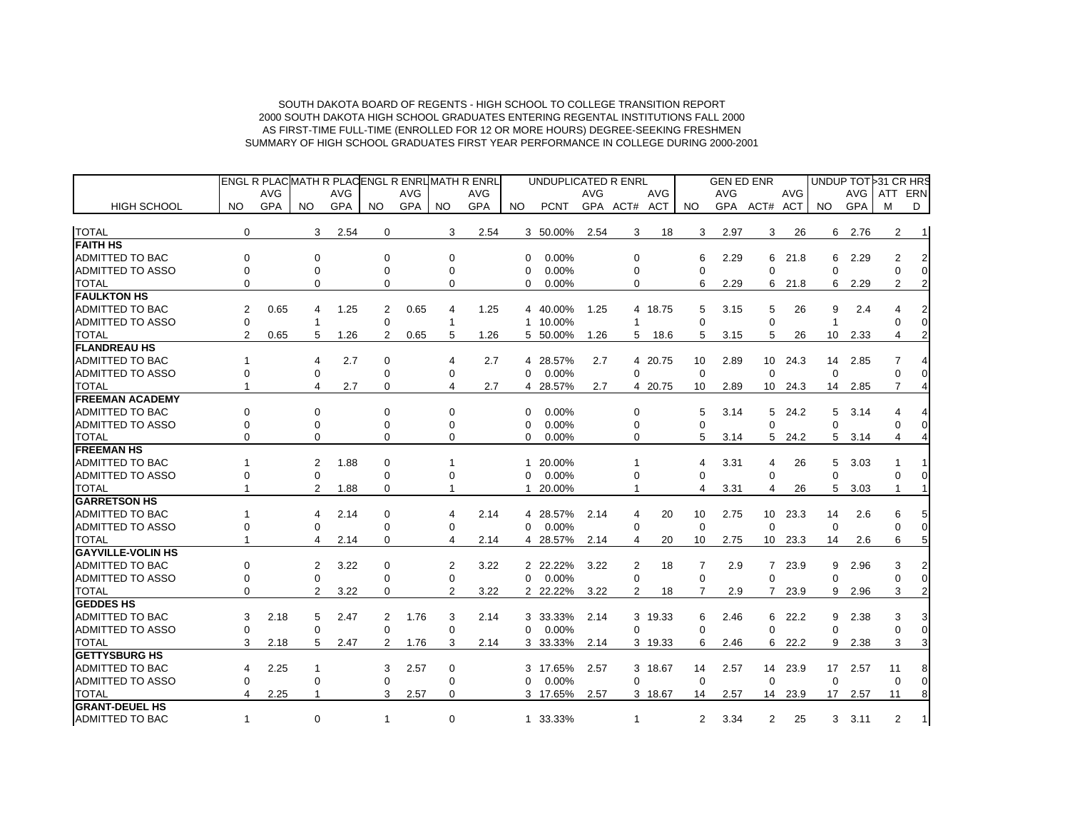|                                   |                |            |                |            |                |            |                | <b>ENGL R PLACMATH R PLACENGL R ENRUMATH R ENRL</b> |             | UNDUPLICATED R ENRL |            |                |            |             | <b>GEN ED ENR</b> |                |            |             |      | UNDUP TOT 31 CR HRS |                |
|-----------------------------------|----------------|------------|----------------|------------|----------------|------------|----------------|-----------------------------------------------------|-------------|---------------------|------------|----------------|------------|-------------|-------------------|----------------|------------|-------------|------|---------------------|----------------|
|                                   |                | <b>AVG</b> |                | <b>AVG</b> |                | <b>AVG</b> |                | <b>AVG</b>                                          |             |                     | <b>AVG</b> |                | <b>AVG</b> |             | AVG               |                | <b>AVG</b> |             | AVG  | ATT                 | ERN            |
| <b>HIGH SCHOOL</b>                | NO.            | GPA        | NO.            | GPA        | NO.            | GPA        | NO.            | GPA                                                 | NO.         | <b>PCNT</b>         |            | GPA ACT# ACT   |            | NO.         |                   | GPA ACT# ACT   |            | NO.         | GPA  | м                   | D              |
| <b>TOTAL</b>                      | $\mathbf 0$    |            | 3              | 2.54       | $\mathbf 0$    |            | 3              | 2.54                                                |             | 3 50.00%            | 2.54       | 3              | 18         | 3           | 2.97              | 3              | 26         | 6           | 2.76 | $\overline{2}$      | $\overline{1}$ |
| <b>FAITH HS</b>                   |                |            |                |            |                |            |                |                                                     |             |                     |            |                |            |             |                   |                |            |             |      |                     |                |
| <b>ADMITTED TO BAC</b>            | $\Omega$       |            | $\Omega$       |            | $\Omega$       |            | 0              |                                                     | $\Omega$    | 0.00%               |            | 0              |            | 6           | 2.29              | 6              | 21.8       | 6           | 2.29 | 2                   |                |
| <b>ADMITTED TO ASSO</b>           | 0              |            | 0              |            | 0              |            | 0              |                                                     | $\Omega$    | 0.00%               |            | 0              |            | $\Omega$    |                   | $\Omega$       |            | $\Omega$    |      |                     | $\Omega$       |
| <b>TOTAL</b>                      |                |            | 0              |            | $\Omega$       |            | 0              |                                                     | $\Omega$    | 0.00%               |            | 0              |            | 6           | 2.29              | 6              | 21.8       | 6           | 2.29 | $\overline{2}$      |                |
| <b>FAULKTON HS</b>                |                |            |                |            |                |            |                |                                                     |             |                     |            |                |            |             |                   |                |            |             |      |                     |                |
| <b>ADMITTED TO BAC</b>            | 2              | 0.65       | 4              | 1.25       | 2              | 0.65       | 4              | 1.25                                                |             | 4 40.00%            | 1.25       |                | 4 18.75    | 5           | 3.15              | 5              | 26         | 9           | 2.4  |                     |                |
| <b>ADMITTED TO ASSO</b>           | $\mathbf 0$    |            | -1             |            | 0              |            | 1              |                                                     | 1           | 10.00%              |            | 1              |            | $\Omega$    |                   | $\Omega$       |            | 1           |      | ∩                   | $\Omega$       |
| <b>TOTAL</b>                      | $\overline{2}$ | 0.65       | 5              | 1.26       | $\overline{2}$ | 0.65       | 5              | 1.26                                                |             | 5 50.00%            | 1.26       | 5              | 18.6       | 5           | 3.15              | 5              | 26         | 10          | 2.33 | 4                   |                |
| <b>FLANDREAU HS</b>               |                |            |                |            |                |            |                |                                                     |             |                     |            |                |            |             |                   |                |            |             |      |                     |                |
| <b>ADMITTED TO BAC</b>            |                |            | 4              | 2.7        | 0              |            | 4              | 2.7                                                 |             | 4 28.57%            | 2.7        |                | 4 20.75    | 10          | 2.89              |                | 10 24.3    | 14          | 2.85 | 7                   |                |
| <b>ADMITTED TO ASSO</b>           | $\Omega$       |            | 0              |            | 0              |            | 0              |                                                     | 0           | 0.00%               |            | $\mathbf 0$    |            | $\mathbf 0$ |                   | $\mathbf 0$    |            | $\mathbf 0$ |      | 0                   |                |
| <b>TOTAL</b>                      |                |            | 4              | 2.7        | 0              |            | 4              | 2.7                                                 | 4           | 28.57%              | 2.7        |                | 4 20.75    | 10          |                   | 10             |            | 14          |      | 7                   |                |
| <b>FREEMAN ACADEMY</b>            |                |            |                |            |                |            |                |                                                     |             |                     |            |                |            |             | 2.89              |                | 24.3       |             | 2.85 |                     |                |
| ADMITTED TO BAC                   | ∩              |            | $\Omega$       |            | $\Omega$       |            | 0              |                                                     |             |                     |            | 0              |            |             |                   |                |            |             |      | Δ                   |                |
| <b>ADMITTED TO ASSO</b>           | ∩              |            |                |            |                |            |                |                                                     | $\Omega$    | 0.00%<br>0.00%      |            |                |            | 5           | 3.14              | 5              | 24.2       | 5           | 3.14 |                     | $\Omega$       |
|                                   |                |            | 0              |            | 0              |            | 0              |                                                     | $\Omega$    |                     |            | 0<br>0         |            | $\Omega$    |                   | $\Omega$       |            | $\Omega$    |      | $\Omega$            |                |
| <b>TOTAL</b><br><b>FREEMAN HS</b> | $\Omega$       |            | 0              |            | 0              |            | 0              |                                                     | $\Omega$    | 0.00%               |            |                |            | 5           | 3.14              | 5              | 24.2       | 5           | 3.14 | 4                   |                |
|                                   |                |            |                |            |                |            |                |                                                     |             |                     |            |                |            |             |                   |                |            |             |      |                     |                |
| <b>ADMITTED TO BAC</b>            |                |            | 2              | 1.88       | 0              |            |                |                                                     | 1           | 20.00%              |            |                |            | 4           | 3.31              | 4              | 26         | 5           | 3.03 |                     |                |
| <b>ADMITTED TO ASSO</b>           | $\Omega$       |            | $\mathbf 0$    |            | 0              |            | 0              |                                                     | $\mathbf 0$ | 0.00%               |            | $\Omega$       |            | $\Omega$    |                   | $\Omega$       |            | $\Omega$    |      |                     |                |
| <b>TOTAL</b>                      |                |            | $\overline{2}$ | 1.88       | 0              |            |                |                                                     | 1           | 20.00%              |            | 1              |            | 4           | 3.31              | 4              | 26         | 5           | 3.03 | -1                  |                |
| <b>GARRETSON HS</b>               |                |            |                |            |                |            |                |                                                     |             |                     |            |                |            |             |                   |                |            |             |      |                     |                |
| <b>ADMITTED TO BAC</b>            |                |            | 4              | 2.14       | 0              |            | 4              | 2.14                                                |             | 4 28.57%            | 2.14       | 4              | 20         | 10          | 2.75              | 10             | 23.3       | 14          | 2.6  |                     | 5              |
| <b>ADMITTED TO ASSO</b>           | $\Omega$       |            | 0              |            | 0              |            | 0              |                                                     | $\Omega$    | 0.00%               |            | $\mathbf 0$    |            | $\mathbf 0$ |                   | $\mathbf 0$    |            | $\mathbf 0$ |      | 0                   | $\mathbf 0$    |
| <b>TOTAL</b>                      |                |            | 4              | 2.14       | 0              |            | 4              | 2.14                                                |             | 4 28.57%            | 2.14       | 4              | 20         | 10          | 2.75              | 10             | 23.3       | 14          | 2.6  | 6                   | 5              |
| <b>GAYVILLE-VOLIN HS</b>          |                |            |                |            |                |            |                |                                                     |             |                     |            |                |            |             |                   |                |            |             |      |                     |                |
| ADMITTED TO BAC                   | 0              |            | 2              | 3.22       | $\Omega$       |            | 2              | 3.22                                                |             | 2 22.22%            | 3.22       | 2              | 18         | 7           | 2.9               | $7^{\circ}$    | 23.9       | 9           | 2.96 | 3                   |                |
| <b>ADMITTED TO ASSO</b>           | $\Omega$       |            | $\Omega$       |            | $\Omega$       |            | $\Omega$       |                                                     | $\Omega$    | 0.00%               |            | $\Omega$       |            | 0           |                   | $\Omega$       |            | $\Omega$    |      |                     | $\Omega$       |
| <b>TOTAL</b>                      | $\Omega$       |            | $\overline{2}$ | 3.22       | 0              |            | $\overline{2}$ | 3.22                                                |             | 2 22.22%            | 3.22       | $\overline{2}$ | 18         | 7           | 2.9               |                | 23.9       | 9           | 2.96 | 3                   | $\overline{2}$ |
| <b>GEDDES HS</b>                  |                |            |                |            |                |            |                |                                                     |             |                     |            |                |            |             |                   |                |            |             |      |                     |                |
| <b>ADMITTED TO BAC</b>            | 3              | 2.18       | 5              | 2.47       | 2              | 1.76       | 3              | 2.14                                                |             | 3 33.33%            | 2.14       |                | 3 19.33    | 6           | 2.46              | 6              | 22.2       | 9           | 2.38 | 3                   |                |
| <b>ADMITTED TO ASSO</b>           | $\Omega$       |            | $\Omega$       |            | $\Omega$       |            | $\Omega$       |                                                     | $\Omega$    | 0.00%               |            | $\Omega$       |            | $\Omega$    |                   | $\Omega$       |            | $\Omega$    |      | $\Omega$            | $\Omega$       |
| <b>TOTAL</b>                      | 3              | 2.18       | 5              | 2.47       | $\overline{2}$ | 1.76       | 3              | 2.14                                                |             | 3 33.33%            | 2.14       |                | 3 19.33    | 6           | 2.46              | 6              | 22.2       | 9           | 2.38 | 3                   | 3              |
| <b>IGETTYSBURG HS</b>             |                |            |                |            |                |            |                |                                                     |             |                     |            |                |            |             |                   |                |            |             |      |                     |                |
| <b>ADMITTED TO BAC</b>            | 4              | 2.25       | 1              |            | 3              | 2.57       | 0              |                                                     | 3           | 17.65%              | 2.57       |                | 3 18.67    | 14          | 2.57              |                | 14 23.9    | 17          | 2.57 | 11                  | 8              |
| <b>ADMITTED TO ASSO</b>           | $\Omega$       |            | 0              |            | $\Omega$       |            | 0              |                                                     | $\Omega$    | 0.00%               |            | $\Omega$       |            | $\Omega$    |                   | $\Omega$       |            | $\Omega$    |      | $\Omega$            | $\Omega$       |
| <b>TOTAL</b>                      | 4              | 2.25       | 1              |            | 3              | 2.57       | 0              |                                                     |             | 3 17.65%            | 2.57       |                | 3 18.67    | 14          | 2.57              | 14             | 23.9       | 17          | 2.57 | 11                  | 8              |
| <b>GRANT-DEUEL HS</b>             |                |            |                |            |                |            |                |                                                     |             |                     |            |                |            |             |                   |                |            |             |      |                     |                |
| ADMITTED TO BAC                   | $\mathbf{1}$   |            | $\Omega$       |            | $\overline{1}$ |            | $\Omega$       |                                                     |             | 1 33.33%            |            | $\mathbf{1}$   |            | 2           | 3.34              | $\overline{2}$ | 25         | 3           | 3.11 | $\overline{2}$      | 1 <sup>1</sup> |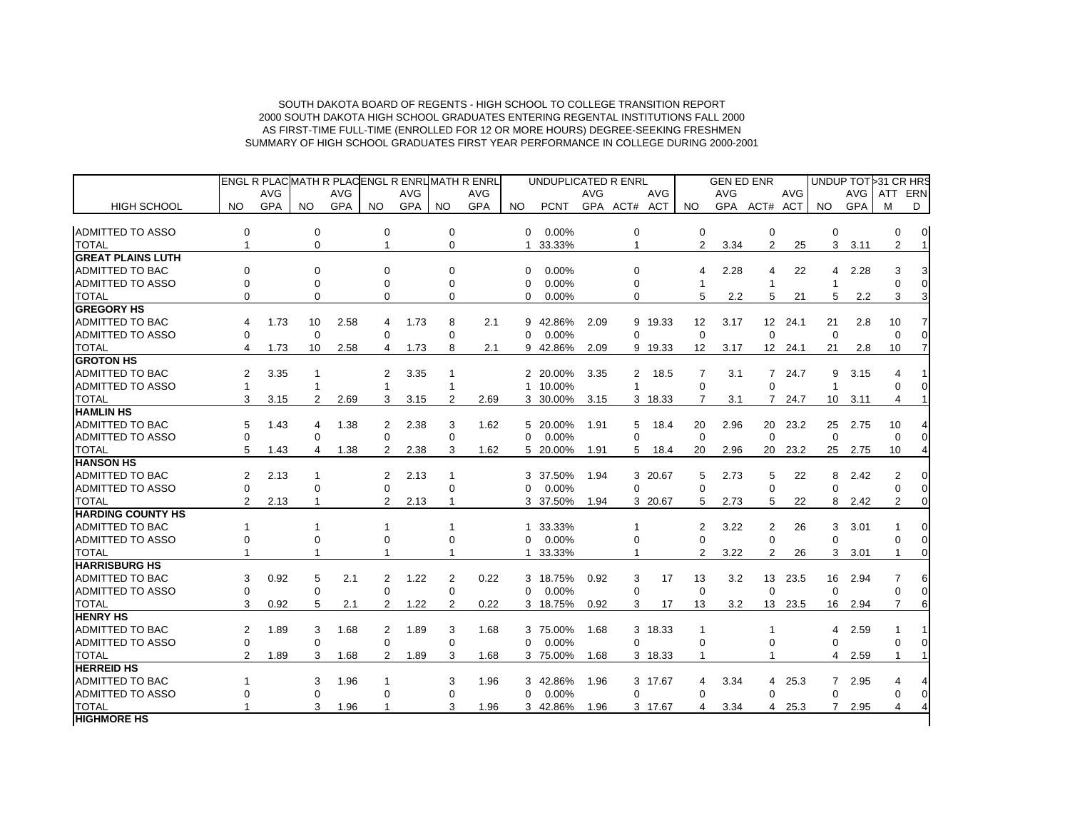| ENGL R PLACMATH R PLACENGL R ENRUMATH R ENRL                                             |            |              |             |            | UNDUPLICATED R ENRL  |                   | <b>GEN ED ENR</b> |                |            |                 |            | UNDUP TOT 31 CR HRS |                |
|------------------------------------------------------------------------------------------|------------|--------------|-------------|------------|----------------------|-------------------|-------------------|----------------|------------|-----------------|------------|---------------------|----------------|
| AVG<br><b>AVG</b><br><b>AVG</b>                                                          | <b>AVG</b> |              |             | <b>AVG</b> | <b>AVG</b>           |                   | <b>AVG</b>        |                | <b>AVG</b> |                 | AVG        | ATT ERN             |                |
| <b>GPA</b><br><b>GPA</b><br><b>GPA</b><br><b>HIGH SCHOOL</b><br>NO.<br>NO.<br>NO.<br>NO. | <b>GPA</b> | NO.          | <b>PCNT</b> |            | GPA ACT# ACT         | NO.               |                   | GPA ACT# ACT   |            | NO.             | <b>GPA</b> | M                   | D              |
|                                                                                          |            |              |             |            |                      |                   |                   |                |            |                 |            |                     |                |
| <b>ADMITTED TO ASSO</b><br>0<br>0<br>$\mathbf 0$<br>$\mathbf 0$                          |            | $\Omega$     | 0.00%       |            | $\mathbf 0$          | $\mathbf 0$       |                   | $\mathbf 0$    |            | $\mathbf 0$     |            | 0                   | $\overline{0}$ |
| <b>TOTAL</b><br>$\mathbf 0$<br>$\mathbf{1}$<br>$\mathbf 0$<br>$\mathbf{1}$               |            | $\mathbf{1}$ | 33.33%      |            | $\mathbf{1}$         | 2                 | 3.34              | $\overline{2}$ | 25         | 3 <sup>7</sup>  | 3.11       | $\overline{2}$      |                |
| <b>GREAT PLAINS LUTH</b>                                                                 |            |              |             |            |                      |                   |                   |                |            |                 |            |                     |                |
| <b>ADMITTED TO BAC</b><br>$\Omega$<br>$\Omega$<br>$\Omega$<br>$\Omega$                   |            | $\Omega$     | 0.00%       |            | 0                    | $\overline{4}$    | 2.28              | $\overline{4}$ | 22         | $\overline{4}$  | 2.28       | 3                   |                |
| <b>ADMITTED TO ASSO</b><br>$\Omega$<br>$\Omega$<br>$\Omega$<br>$\Omega$                  |            | $\Omega$     | 0.00%       |            | 0                    | $\mathbf{1}$      |                   | $\mathbf{1}$   |            | $\mathbf{1}$    |            | $\Omega$            |                |
| <b>TOTAL</b><br>$\Omega$<br>$\Omega$<br>0<br>$\Omega$                                    |            | $\Omega$     | 0.00%       |            | 0                    | 5                 | 2.2               | 5              | 21         | 5               | 2.2        | 3                   |                |
| <b>GREGORY HS</b>                                                                        |            |              |             |            |                      |                   |                   |                |            |                 |            |                     |                |
| <b>ADMITTED TO BAC</b><br>1.73<br>10<br>2.58<br>1.73<br>8<br>4<br>4                      | 2.1        | 9            | 42.86%      | 2.09       | 9 19.33              | $12 \overline{ }$ | 3.17              | 12             | 24.1       | 21              | 2.8        | 10                  |                |
| <b>ADMITTED TO ASSO</b><br>$\Omega$<br>$\Omega$<br>$\Omega$<br>$\Omega$                  |            | $\Omega$     | 0.00%       |            | 0                    | $\Omega$          |                   | $\Omega$       |            | $\Omega$        |            | $\Omega$            |                |
| <b>TOTAL</b><br>8<br>4<br>1.73<br>10<br>2.58<br>4<br>1.73                                | 2.1        | 9            | 42.86%      | 2.09       | 9 19.33              | $12 \overline{ }$ | 3.17              |                | 12 24.1    | 21              | 2.8        | 10 <sup>1</sup>     |                |
| <b>GROTON HS</b>                                                                         |            |              |             |            |                      |                   |                   |                |            |                 |            |                     |                |
| ADMITTED TO BAC<br>2<br>3.35<br>$\mathbf{1}$<br>2<br>3.35<br>1                           |            |              | 2 20.00%    | 3.35       | $\mathbf{2}$<br>18.5 | 7                 | 3.1               |                | 7 24.7     | 9               | 3.15       | 4                   |                |
| ADMITTED TO ASSO<br>$\mathbf{1}$<br>1                                                    |            |              | 1 10.00%    |            | $\overline{1}$       | $\Omega$          |                   | $\Omega$       |            | $\mathbf{1}$    |            | 0                   |                |
| <b>TOTAL</b><br>3<br>$\overline{2}$<br>2.69<br>3<br>3.15<br>$\overline{2}$<br>3.15       | 2.69       |              | 3 30.00%    | 3.15       | 3 18.33              | $\overline{7}$    | 3.1               |                | 7 24.7     | 10 <sup>1</sup> | 3.11       | 4                   |                |
| <b>HAMLIN HS</b>                                                                         |            |              |             |            |                      |                   |                   |                |            |                 |            |                     |                |
| ADMITTED TO BAC<br>1.43<br>5<br>1.38<br>2<br>2.38<br>3<br>4                              | 1.62       |              | 5 20.00%    | 1.91       | 5<br>18.4            | 20                | 2.96              | 20             | 23.2       | 25              | 2.75       | 10                  |                |
| <b>ADMITTED TO ASSO</b><br>$\Omega$<br>$\Omega$<br>$\Omega$<br>$\Omega$                  |            | $\Omega$     | 0.00%       |            | $\Omega$             | $\Omega$          |                   | $\Omega$       |            | $\Omega$        |            | $\Omega$            |                |
| <b>TOTAL</b><br>5<br>1.43<br>4<br>1.38<br>$\overline{2}$<br>2.38<br>3                    | 1.62       |              | 5 20.00%    | 1.91       | 5<br>18.4            | 20                | 2.96              |                | 20 23.2    | 25              | 2.75       | 10                  |                |
| <b>HANSON HS</b>                                                                         |            |              |             |            |                      |                   |                   |                |            |                 |            |                     |                |
| <b>ADMITTED TO BAC</b><br>2.13<br>2.13<br>$\overline{2}$<br>1<br>2<br>1                  |            | 3            | 37.50%      | 1.94       | 3 20.67              | 5                 | 2.73              | 5              | 22         | 8               | 2.42       | $\overline{2}$      |                |
| <b>ADMITTED TO ASSO</b><br>$\Omega$<br>$\Omega$<br>$\Omega$<br>$\Omega$                  |            | $\Omega$     | 0.00%       |            | 0                    | $\Omega$          |                   | $\Omega$       |            | $\Omega$        |            | $\Omega$            |                |
| <b>TOTAL</b><br>$\overline{2}$<br>2<br>2.13<br>2.13<br>$\mathbf 1$                       |            |              | 3 37.50%    | 1.94       | 3 20.67              | 5                 | 2.73              | 5              | 22         | 8               | 2.42       | $\overline{2}$      |                |
| <b>HARDING COUNTY HS</b>                                                                 |            |              |             |            |                      |                   |                   |                |            |                 |            |                     |                |
| <b>ADMITTED TO BAC</b><br>1<br>$\mathbf{1}$<br>$\mathbf 1$<br>1                          |            | 1            | 33.33%      |            |                      | 2                 | 3.22              | 2              | 26         | 3               | 3.01       |                     |                |
| <b>ADMITTED TO ASSO</b><br>$\Omega$<br>$\Omega$<br>$\Omega$<br>$\Omega$                  |            | $\Omega$     | 0.00%       |            | 0                    | $\Omega$          |                   | $\Omega$       |            | $\Omega$        |            | 0                   |                |
| <b>TOTAL</b><br>1                                                                        |            | 1            | 33.33%      |            |                      | 2                 | 3.22              | $\overline{2}$ | 26         | 3               | 3.01       |                     |                |
| <b>HARRISBURG HS</b>                                                                     |            |              |             |            |                      |                   |                   |                |            |                 |            |                     |                |
| ADMITTED TO BAC<br>$\overline{2}$<br>3<br>0.92<br>5<br>2.1<br>2<br>1.22                  | 0.22       | 3            | 18.75%      | 0.92       | 3<br>17              | 13                | 3.2               | 13             | 23.5       | 16              | 2.94       | 7                   |                |
| <b>ADMITTED TO ASSO</b><br>$\Omega$<br>$\Omega$<br>0<br>0                                |            | $\Omega$     | 0.00%       |            | $\Omega$             | $\Omega$          |                   | $\Omega$       |            | $\Omega$        |            | $\Omega$            |                |
| <b>TOTAL</b><br>5<br>1.22<br>3<br>0.92<br>2.1<br>2<br>$\overline{2}$                     | 0.22       |              | 3 18.75%    | 0.92       | 3<br>17              | 13                | 3.2               | 13             | 23.5       | 16              | 2.94       | 7                   |                |
| <b>HENRY HS</b>                                                                          |            |              |             |            |                      |                   |                   |                |            |                 |            |                     |                |
| ADMITTED TO BAC<br>1.89<br>$\overline{2}$<br>3<br>1.68<br>2<br>1.89<br>3                 | 1.68       |              | 3 75.00%    | 1.68       | 3 18.33              | $\mathbf{1}$      |                   | $\mathbf{1}$   |            | 4               | 2.59       |                     |                |
| <b>ADMITTED TO ASSO</b><br>$\Omega$<br>0<br>$\Omega$<br>$\Omega$                         |            | $\Omega$     | 0.00%       |            | 0                    | $\Omega$          |                   | $\Omega$       |            | $\Omega$        |            | $\Omega$            |                |
| <b>TOTAL</b><br>$\overline{2}$<br>1.89<br>3<br>1.68<br>2<br>1.89<br>3                    | 1.68       |              | 3 75.00%    | 1.68       | 3 18.33              | $\mathbf{1}$      |                   |                |            | $\overline{4}$  | 2.59       | 1                   |                |
| <b>HERREID HS</b>                                                                        |            |              |             |            |                      |                   |                   |                |            |                 |            |                     |                |
| <b>ADMITTED TO BAC</b><br>3<br>1.96<br>3<br>1                                            | 1.96       |              | 3 42.86%    | 1.96       | 3 17.67              | 4                 | 3.34              | 4              | 25.3       | $7^{\circ}$     | 2.95       | 4                   |                |
| <b>ADMITTED TO ASSO</b><br>$\Omega$<br>$\Omega$<br>$\Omega$<br>0                         |            | $\Omega$     | 0.00%       |            | 0                    | $\Omega$          |                   | $\Omega$       |            | $\Omega$        |            | 0                   |                |
| <b>TOTAL</b><br>3<br>3<br>1.96                                                           | 1.96       |              | 3 42.86%    | 1.96       | 3 17.67              | $\overline{4}$    | 3.34              | 4              | 25.3       | $\overline{7}$  | 2.95       | 4                   |                |
| <b>HIGHMORE HS</b>                                                                       |            |              |             |            |                      |                   |                   |                |            |                 |            |                     |                |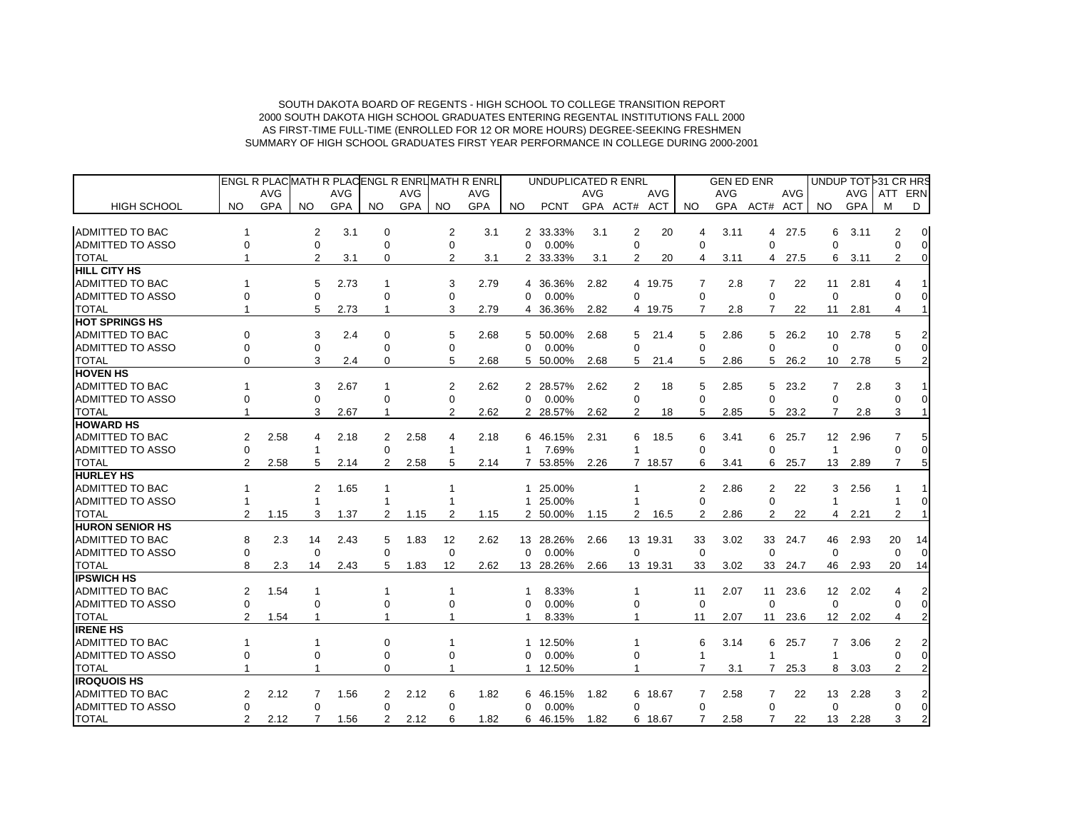|                                     |                |            |                            |            |               |            |                | ENGL R PLACMATH R PLACENGL R ENRUMATH R ENRL |                | UNDUPLICATED R ENRL |            |                |            |                  | <b>GEN ED ENR</b> |                |            |                 |            | UNDUP TOT 31 CR HRS   |                                    |
|-------------------------------------|----------------|------------|----------------------------|------------|---------------|------------|----------------|----------------------------------------------|----------------|---------------------|------------|----------------|------------|------------------|-------------------|----------------|------------|-----------------|------------|-----------------------|------------------------------------|
|                                     |                | AVG        |                            | <b>AVG</b> |               | <b>AVG</b> |                | <b>AVG</b>                                   |                |                     | <b>AVG</b> |                | <b>AVG</b> |                  | <b>AVG</b>        |                | <b>AVG</b> |                 | AVG        | ATT                   | ERN                                |
| <b>HIGH SCHOOL</b>                  | NO.            | <b>GPA</b> | NO.                        | <b>GPA</b> | NO.           | <b>GPA</b> | <b>NO</b>      | <b>GPA</b>                                   | NO.            | <b>PCNT</b>         |            | GPA ACT# ACT   |            | NO.              |                   | GPA ACT#       | ACT        | NO.             | <b>GPA</b> | м                     | D                                  |
| <b>ADMITTED TO BAC</b>              |                |            |                            | 3.1        |               |            |                |                                              |                | 2 33.33%            |            |                |            |                  |                   |                |            |                 |            |                       |                                    |
| <b>ADMITTED TO ASSO</b>             | $\Omega$       |            | $\overline{c}$<br>$\Omega$ |            | 0<br>$\Omega$ |            | 2<br>0         | 3.1                                          | 0              | 0.00%               | 3.1        | 2<br>0         | 20         | 4<br>$\Omega$    | 3.11              | 4<br>$\Omega$  | 27.5       | 6<br>0          | 3.11       | 2<br>$\Omega$         | $\boldsymbol{0}$<br>$\overline{0}$ |
|                                     |                |            | 2                          |            | $\Omega$      |            | $\overline{2}$ |                                              |                |                     |            | $\overline{2}$ |            |                  |                   |                |            |                 |            | $\overline{2}$        | 0                                  |
| <b>TOTAL</b><br><b>HILL CITY HS</b> |                |            |                            | 3.1        |               |            |                | 3.1                                          | $\overline{2}$ | 33.33%              | 3.1        |                | 20         | 4                | 3.11              | 4              | 27.5       | 6               | 3.11       |                       |                                    |
| <b>ADMITTED TO BAC</b>              |                |            | 5                          |            |               |            |                |                                              |                |                     |            |                |            |                  |                   |                |            |                 |            |                       |                                    |
| <b>ADMITTED TO ASSO</b>             | $\Omega$       |            | $\Omega$                   | 2.73       | $\Omega$      |            | 3<br>0         | 2.79                                         | 4<br>0         | 36.36%<br>0.00%     | 2.82       | $\Omega$       | 4 19.75    | 7<br>$\mathbf 0$ | 2.8               | 7<br>$\Omega$  | 22         | 11<br>$\Omega$  | 2.81       | $\Omega$              | 0                                  |
| <b>TOTAL</b>                        |                |            | 5                          | 2.73       | 1             |            | 3              | 2.79                                         |                | 4 36.36%            | 2.82       |                | 4 19.75    | 7                | 2.8               | 7              | 22         | 11              | 2.81       | 4                     |                                    |
| <b>HOT SPRINGS HS</b>               |                |            |                            |            |               |            |                |                                              |                |                     |            |                |            |                  |                   |                |            |                 |            |                       |                                    |
| <b>ADMITTED TO BAC</b>              | $\Omega$       |            | 3                          | 2.4        | $\Omega$      |            | 5              | 2.68                                         |                | 50.00%              |            | 5              |            |                  |                   | 5              |            | 10              |            | 5                     |                                    |
| <b>ADMITTED TO ASSO</b>             | $\Omega$       |            | 0                          |            | 0             |            | $\Omega$       |                                              | 5<br>$\Omega$  | 0.00%               | 2.68       | $\Omega$       | 21.4       | 5<br>$\Omega$    | 2.86              | $\Omega$       | 26.2       | $\Omega$        | 2.78       |                       | $\Omega$                           |
| <b>TOTAL</b>                        | $\Omega$       |            | 3                          | 2.4        | 0             |            | 5              | 2.68                                         |                | 5 50.00%            | 2.68       | 5              | 21.4       | 5                | 2.86              | 5              | 26.2       | 10              | 2.78       | 5                     | 2                                  |
| <b>HOVEN HS</b>                     |                |            |                            |            |               |            |                |                                              |                |                     |            |                |            |                  |                   |                |            |                 |            |                       |                                    |
| <b>ADMITTED TO BAC</b>              |                |            | 3                          | 2.67       |               |            | 2              | 2.62                                         | 2              | 28.57%              | 2.62       | 2              | 18         | 5                | 2.85              | 5              | 23.2       | 7               | 2.8        | 3                     |                                    |
| <b>ADMITTED TO ASSO</b>             |                |            | $\Omega$                   |            | ∩             |            | 0              |                                              | $\Omega$       | 0.00%               |            | $\Omega$       |            | $\Omega$         |                   | $\Omega$       |            | $\mathbf 0$     |            |                       |                                    |
| <b>TOTAL</b>                        |                |            | 3                          |            |               |            | $\overline{2}$ | 2.62                                         |                | 2 28.57%            |            | $\overline{2}$ |            |                  | 2.85              |                | 23.2       |                 |            | 3                     |                                    |
| <b>HOWARD HS</b>                    |                |            |                            | 2.67       |               |            |                |                                              |                |                     | 2.62       |                | 18         | 5                |                   | 5              |            | 7               | 2.8        |                       |                                    |
| ADMITTED TO BAC                     | 2              | 2.58       | 4                          | 2.18       | 2             | 2.58       | 4              | 2.18                                         | 6              | 46.15%              | 2.31       | 6              | 18.5       | 6                | 3.41              | 6              | 25.7       | 12 <sup>°</sup> | 2.96       | 7                     |                                    |
| <b>ADMITTED TO ASSO</b>             | $\Omega$       |            | -1                         |            | 0             |            |                |                                              | 1              | 7.69%               |            |                |            | $\Omega$         |                   | 0              |            | 1               |            | $\Omega$              |                                    |
|                                     | 2              | 2.58       | 5                          |            | 2             | 2.58       | 5              | 2.14                                         | 7              | 53.85%              |            |                | 7 18.57    | 6                |                   |                |            |                 |            | 7                     |                                    |
| <b>TOTAL</b><br><b>HURLEY HS</b>    |                |            |                            | 2.14       |               |            |                |                                              |                |                     | 2.26       |                |            |                  | 3.41              | 6              | 25.7       | 13              | 2.89       |                       |                                    |
| <b>ADMITTED TO BAC</b>              |                |            | 2                          | 1.65       | 1             |            |                |                                              |                | 1 25.00%            |            |                |            | 2                | 2.86              | 2              | 22         | 3               | 2.56       |                       |                                    |
| <b>ADMITTED TO ASSO</b>             |                |            | -1                         |            |               |            |                |                                              | 1              | 25.00%              |            |                |            | $\Omega$         |                   | $\Omega$       |            | 1               |            |                       |                                    |
| <b>TOTAL</b>                        | $\overline{2}$ | 1.15       | 3                          | 1.37       | 2             | 1.15       | 2              | 1.15                                         |                | 2 50.00%            | 1.15       | $\overline{2}$ | 16.5       | 2                | 2.86              | 2              | 22         | 4               | 2.21       | 2                     |                                    |
| <b>HURON SENIOR HS</b>              |                |            |                            |            |               |            |                |                                              |                |                     |            |                |            |                  |                   |                |            |                 |            |                       |                                    |
| <b>ADMITTED TO BAC</b>              | 8              | 2.3        | 14                         | 2.43       | 5             | 1.83       | 12             | 2.62                                         |                | 13 28.26%           | 2.66       |                | 13 19.31   | 33               | 3.02              |                | 33 24.7    | 46              | 2.93       | 20                    | 14                                 |
| <b>ADMITTED TO ASSO</b>             | $\Omega$       |            | $\Omega$                   |            | $\Omega$      |            | 0              |                                              | $\Omega$       | 0.00%               |            | $\Omega$       |            | $\mathbf 0$      |                   | $\Omega$       |            | $\Omega$        |            | $\Omega$              |                                    |
| <b>TOTAL</b>                        |                | 2.3        | 14                         | 2.43       | 5             | 1.83       | 12             | 2.62                                         |                | 13 28.26%           | 2.66       |                | 13 19.31   | 33               | 3.02              | 33             | 24.7       | 46              | 2.93       | 20                    | 14                                 |
| <b>IPSWICH HS</b>                   |                |            |                            |            |               |            |                |                                              |                |                     |            |                |            |                  |                   |                |            |                 |            |                       |                                    |
| <b>ADMITTED TO BAC</b>              | 2              | 1.54       | 1                          |            | 1             |            | 1              |                                              |                | 8.33%               |            | 1              |            | 11               | 2.07              | 11             | 23.6       | 12              | 2.02       | $\boldsymbol{\Delta}$ | 2                                  |
| <b>ADMITTED TO ASSO</b>             | $\mathbf 0$    |            | $\Omega$                   |            | 0             |            | 0              |                                              | 0              | 0.00%               |            | $\Omega$       |            | $\mathbf 0$      |                   | $\mathbf 0$    |            | $\mathbf 0$     |            | $\Omega$              | 0                                  |
| <b>TOTAL</b>                        | 2              | 1.54       | 1                          |            |               |            |                |                                              | 1              | 8.33%               |            | 1              |            | 11               | 2.07              | 11             | 23.6       | 12              | 2.02       | 4                     | 2                                  |
| <b>IRENE HS</b>                     |                |            |                            |            |               |            |                |                                              |                |                     |            |                |            |                  |                   |                |            |                 |            |                       |                                    |
| ADMITTED TO BAC                     |                |            | 1                          |            | 0             |            |                |                                              |                | 1 12.50%            |            |                |            | 6                | 3.14              | 6              | 25.7       | 7               | 3.06       | 2                     | 2                                  |
| <b>ADMITTED TO ASSO</b>             | $\Omega$       |            | $\Omega$                   |            | 0             |            | 0              |                                              | 0              | 0.00%               |            | $\Omega$       |            | -1               |                   |                |            | 1               |            | $\Omega$              | $\overline{0}$                     |
| <b>TOTAL</b>                        |                |            |                            |            | $\Omega$      |            |                |                                              |                | 1 12.50%            |            | 1              |            | $\overline{7}$   | 3.1               | $\overline{7}$ | 25.3       | 8               | 3.03       | 2                     | 2                                  |
| <b>IROQUOIS HS</b>                  |                |            |                            |            |               |            |                |                                              |                |                     |            |                |            |                  |                   |                |            |                 |            |                       |                                    |
| <b>ADMITTED TO BAC</b>              | 2              | 2.12       | 7                          | 1.56       | 2             | 2.12       | 6              | 1.82                                         | 6              | 46.15%              | 1.82       |                | 6 18.67    | 7                | 2.58              | 7              | 22         | 13              | 2.28       | 3                     |                                    |
| <b>ADMITTED TO ASSO</b>             | $\Omega$       |            | $\Omega$                   |            | $\Omega$      |            | $\Omega$       |                                              | 0              | 0.00%               |            | $\Omega$       |            | $\Omega$         |                   | $\Omega$       |            | $\Omega$        |            | $\Omega$              | 0                                  |
| <b>TOTAL</b>                        | 2              | 2.12       | 7                          | 1.56       | 2             | 2.12       | 6              | 1.82                                         | 6              | 46.15%              | 1.82       |                | 6 18.67    |                  | 2.58              |                | 22         | 13              | 2.28       | 3                     |                                    |
|                                     |                |            |                            |            |               |            |                |                                              |                |                     |            |                |            |                  |                   |                |            |                 |            |                       |                                    |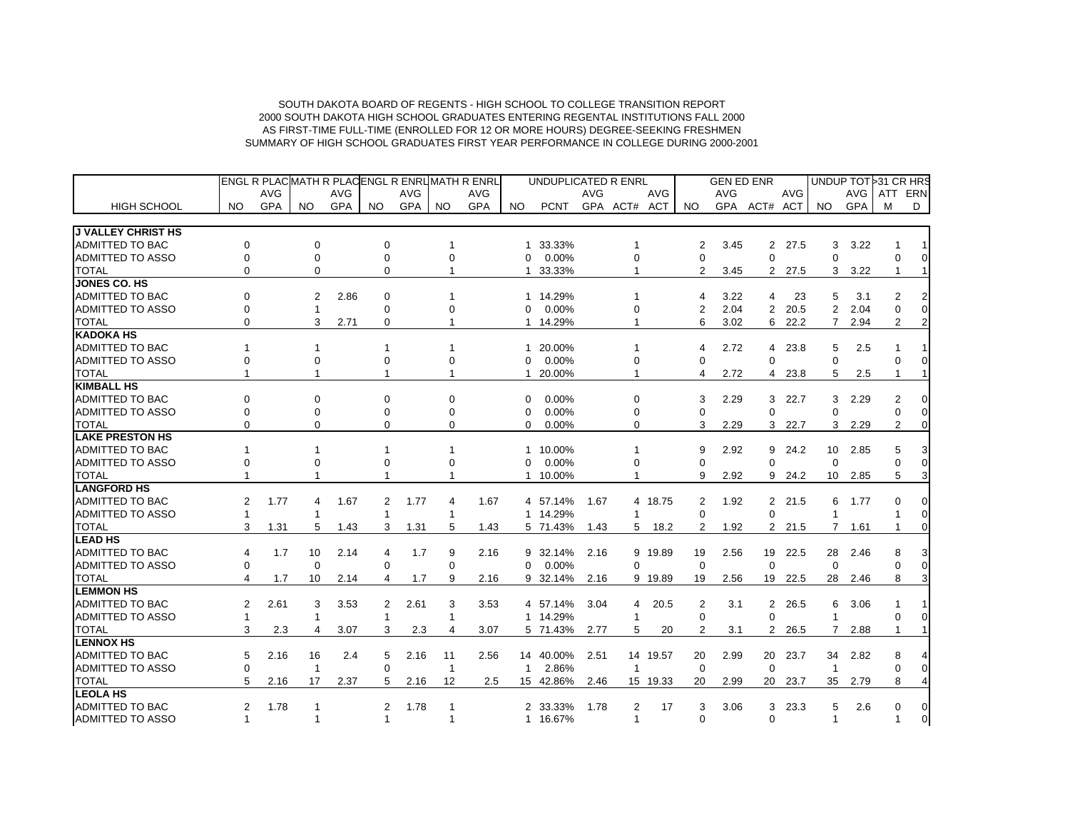|                           |                      | ENGL R PLACMATH R PLACENGL R ENRL MATH R ENRL |              |            |             |            |     |            |              | UNDUPLICATED R ENRL |            |                |            |                | <b>GEN ED ENR</b> |                |         |                 | UNDUP TOT > 31 CR HRS |                |          |
|---------------------------|----------------------|-----------------------------------------------|--------------|------------|-------------|------------|-----|------------|--------------|---------------------|------------|----------------|------------|----------------|-------------------|----------------|---------|-----------------|-----------------------|----------------|----------|
|                           |                      | AVG                                           |              | <b>AVG</b> |             | <b>AVG</b> |     | AVG        |              |                     | <b>AVG</b> |                | <b>AVG</b> |                | AVG               |                | AVG     |                 | AVG                   | ATT            | ERN      |
| <b>HIGH SCHOOL</b>        | NO.                  | <b>GPA</b>                                    | NO.          | <b>GPA</b> | NO.         | GPA        | NO. | <b>GPA</b> | NO.          | <b>PCNT</b>         |            | GPA ACT# ACT   |            | NO.            | <b>GPA</b>        | ACT# ACT       |         | NO.             | <b>GPA</b>            | м              | D        |
| <b>J VALLEY CHRIST HS</b> |                      |                                               |              |            |             |            |     |            |              |                     |            |                |            |                |                   |                |         |                 |                       |                |          |
| <b>ADMITTED TO BAC</b>    | $\Omega$             |                                               | $\Omega$     |            | $\Omega$    |            |     |            | 1            | 33.33%              |            | 1              |            | 2              | 3.45              | 2              | 27.5    | 3               | 3.22                  |                |          |
| <b>ADMITTED TO ASSO</b>   | $\mathbf 0$          |                                               | $\mathbf 0$  |            | $\mathbf 0$ |            | 0   |            | $\Omega$     | 0.00%               |            | $\overline{0}$ |            | $\Omega$       |                   | $\Omega$       |         | 0               |                       |                | $\Omega$ |
| <b>TOTAL</b>              | $\Omega$             |                                               | $\Omega$     |            | $\Omega$    |            |     |            | 1            | 33.33%              |            | 1              |            | 2              | 3.45              |                | 2 27.5  | 3               | 3.22                  |                |          |
| <b>JONES CO. HS</b>       |                      |                                               |              |            |             |            |     |            |              |                     |            |                |            |                |                   |                |         |                 |                       |                |          |
| <b>ADMITTED TO BAC</b>    | $\Omega$             |                                               | 2            | 2.86       | $\Omega$    |            |     |            | 1            | 14.29%              |            |                |            | 4              | 3.22              | 4              | 23      | 5               | 3.1                   | $\mathcal{P}$  |          |
| <b>ADMITTED TO ASSO</b>   | $\Omega$             |                                               | 1            |            | $\Omega$    |            | 0   |            | $\Omega$     | 0.00%               |            | $\Omega$       |            | $\overline{2}$ | 2.04              | $\overline{2}$ | 20.5    | $\overline{2}$  | 2.04                  |                | $\Omega$ |
| <b>TOTAL</b>              | $\Omega$             |                                               | 3            | 2.71       | 0           |            |     |            |              | 1 14.29%            |            | 1              |            | 6              | 3.02              | 6              | 22.2    | $\overline{7}$  | 2.94                  | 2              | 2        |
| <b>KADOKA HS</b>          |                      |                                               |              |            |             |            |     |            |              |                     |            |                |            |                |                   |                |         |                 |                       |                |          |
| <b>ADMITTED TO BAC</b>    |                      |                                               | $\mathbf{1}$ |            |             |            |     |            | 1            | 20.00%              |            | 1              |            | 4              | 2.72              |                | 4 23.8  | 5               | 2.5                   |                |          |
| <b>ADMITTED TO ASSO</b>   | $\Omega$             |                                               | $\Omega$     |            | $\Omega$    |            | 0   |            | $\Omega$     | 0.00%               |            | $\Omega$       |            | $\Omega$       |                   | $\Omega$       |         | $\Omega$        |                       |                | $\Omega$ |
| <b>TOTAL</b>              |                      |                                               | -1           |            |             |            |     |            |              | 20.00%              |            | 1              |            | 4              | 2.72              | 4              | 23.8    | 5               | 2.5                   |                |          |
| <b>KIMBALL HS</b>         |                      |                                               |              |            |             |            |     |            |              |                     |            |                |            |                |                   |                |         |                 |                       |                |          |
| <b>ADMITTED TO BAC</b>    | $\Omega$             |                                               | $\Omega$     |            | $\Omega$    |            | 0   |            | $\Omega$     | 0.00%               |            | 0              |            | 3              | 2.29              | 3              | 22.7    | 3               | 2.29                  | $\mathcal{P}$  | $\Omega$ |
| <b>ADMITTED TO ASSO</b>   | ∩                    |                                               | U            |            |             |            | 0   |            | ∩            | 0.00%               |            | O              |            | $\Omega$       |                   | $\Omega$       |         | $\Omega$        |                       |                | $\Omega$ |
| <b>TOTAL</b>              | $\Omega$             |                                               | 0            |            | 0           |            | 0   |            | 0            | 0.00%               |            | $\mathbf 0$    |            | 3              | 2.29              | 3              | 22.7    | 3               | 2.29                  | $\overline{2}$ | $\Omega$ |
| <b>LAKE PRESTON HS</b>    |                      |                                               |              |            |             |            |     |            |              |                     |            |                |            |                |                   |                |         |                 |                       |                |          |
| <b>ADMITTED TO BAC</b>    |                      |                                               | 1            |            |             |            |     |            | 1            | 10.00%              |            |                |            | 9              | 2.92              | 9              | 24.2    | 10              | 2.85                  | 5              |          |
| <b>ADMITTED TO ASSO</b>   | $\Omega$             |                                               | 0            |            | $\Omega$    |            | 0   |            | $\Omega$     | 0.00%               |            | 0              |            | $\Omega$       |                   | $\Omega$       |         | $\Omega$        |                       |                | $\Omega$ |
| <b>TOTAL</b>              |                      |                                               |              |            |             |            |     |            | 1            | 10.00%              |            |                |            | 9              | 2.92              | 9              | 24.2    | 10 <sup>°</sup> | 2.85                  | 5              |          |
| <b>LANGFORD HS</b>        |                      |                                               |              |            |             |            |     |            |              |                     |            |                |            |                |                   |                |         |                 |                       |                |          |
| <b>ADMITTED TO BAC</b>    | 2                    | 1.77                                          | 4            | 1.67       | 2           | 1.77       | 4   | 1.67       |              | 4 57.14%            | 1.67       |                | 4 18.75    | 2              | 1.92              |                | 2 21.5  | 6               | 1.77                  |                | 0        |
| <b>ADMITTED TO ASSO</b>   |                      |                                               | 1            |            | 1           |            | 1   |            |              | 1 14.29%            |            | 1              |            | $\Omega$       |                   | $\Omega$       |         | $\mathbf{1}$    |                       |                | $\Omega$ |
| <b>TOTAL</b>              | 3                    | 1.31                                          | 5            | 1.43       | 3           | 1.31       | 5   | 1.43       |              | 5 71.43%            | 1.43       | 5              | 18.2       | 2              | 1.92              | 2              | 21.5    | 7               | 1.61                  |                | $\Omega$ |
| <b>LEAD HS</b>            |                      |                                               |              |            |             |            |     |            |              |                     |            |                |            |                |                   |                |         |                 |                       |                |          |
| <b>ADMITTED TO BAC</b>    | 4                    | 1.7                                           | 10           | 2.14       | 4           | 1.7        | 9   | 2.16       |              | 9 32.14%            | 2.16       |                | 9 19.89    | 19             | 2.56              |                | 19 22.5 | 28              | 2.46                  |                |          |
| <b>ADMITTED TO ASSO</b>   | $\mathbf 0$          |                                               | 0            |            | 0           |            | 0   |            | $\Omega$     | 0.00%               |            | $\Omega$       |            | $\mathbf 0$    |                   | $\Omega$       |         | $\Omega$        |                       |                | $\Omega$ |
| <b>TOTAL</b>              | 4                    | 1.7                                           | 10           | 2.14       | 4           | 1.7        | 9   | 2.16       | 9            | 32.14%              | 2.16       |                | 9 19.89    | 19             | 2.56              |                | 19 22.5 | 28              | 2.46                  | 8              |          |
| <b>LEMMON HS</b>          |                      |                                               |              |            |             |            |     |            |              |                     |            |                |            |                |                   |                |         |                 |                       |                |          |
| <b>ADMITTED TO BAC</b>    | 2                    | 2.61                                          | 3            | 3.53       | 2           | 2.61       | 3   | 3.53       |              | 4 57.14%            | 3.04       | 4              | 20.5       | 2              | 3.1               | $\overline{2}$ | 26.5    | 6               | 3.06                  |                |          |
| <b>ADMITTED TO ASSO</b>   | 1                    |                                               | 1            |            | 1           |            | 1   |            |              | 1 14.29%            |            | 1              |            | $\Omega$       |                   | $\Omega$       |         | 1               |                       | ∩              |          |
| <b>TOTAL</b>              | 3                    | 2.3                                           | 4            | 3.07       | 3           | 2.3        | 4   | 3.07       |              | 5 71.43%            | 2.77       | 5              | 20         | 2              | 3.1               | $\overline{2}$ | 26.5    | 7               | 2.88                  |                |          |
| <b>LENNOX HS</b>          |                      |                                               |              |            |             |            |     |            |              |                     |            |                |            |                |                   |                |         |                 |                       |                |          |
| <b>ADMITTED TO BAC</b>    | 5                    | 2.16                                          | 16           | 2.4        | 5           | 2.16       | 11  | 2.56       |              | 14 40.00%           | 2.51       |                | 14 19.57   | 20             | 2.99              |                | 20 23.7 | 34              | 2.82                  |                |          |
| <b>ADMITTED TO ASSO</b>   | $\Omega$             |                                               | $\mathbf{1}$ |            | 0           |            | -1  |            | $\mathbf{1}$ | 2.86%               |            | $\mathbf{1}$   |            | $\Omega$       |                   | $\Omega$       |         | -1              |                       |                | $\Omega$ |
| <b>TOTAL</b>              | 5                    | 2.16                                          | 17           | 2.37       | 5           | 2.16       | 12  | 2.5        |              | 15 42.86%           | 2.46       |                | 15 19.33   | 20             | 2.99              | 20             | 23.7    | 35              | 2.79                  | 8              |          |
| <b>LEOLA HS</b>           |                      |                                               |              |            |             |            |     |            |              |                     |            |                |            |                |                   |                |         |                 |                       |                |          |
| <b>ADMITTED TO BAC</b>    | 2                    | 1.78                                          | 1            |            | 2           | 1.78       |     |            |              | 2 33.33%            | 1.78       | 2              | 17         | 3              | 3.06              | 3              | 23.3    | 5               | 2.6                   | 0              | $\Omega$ |
| <b>ADMITTED TO ASSO</b>   | $\blacktriangleleft$ |                                               | -1           |            | 1           |            |     |            |              | 1 16.67%            |            | $\mathbf{1}$   |            | $\Omega$       |                   | $\Omega$       |         | $\mathbf{1}$    |                       |                | $\Omega$ |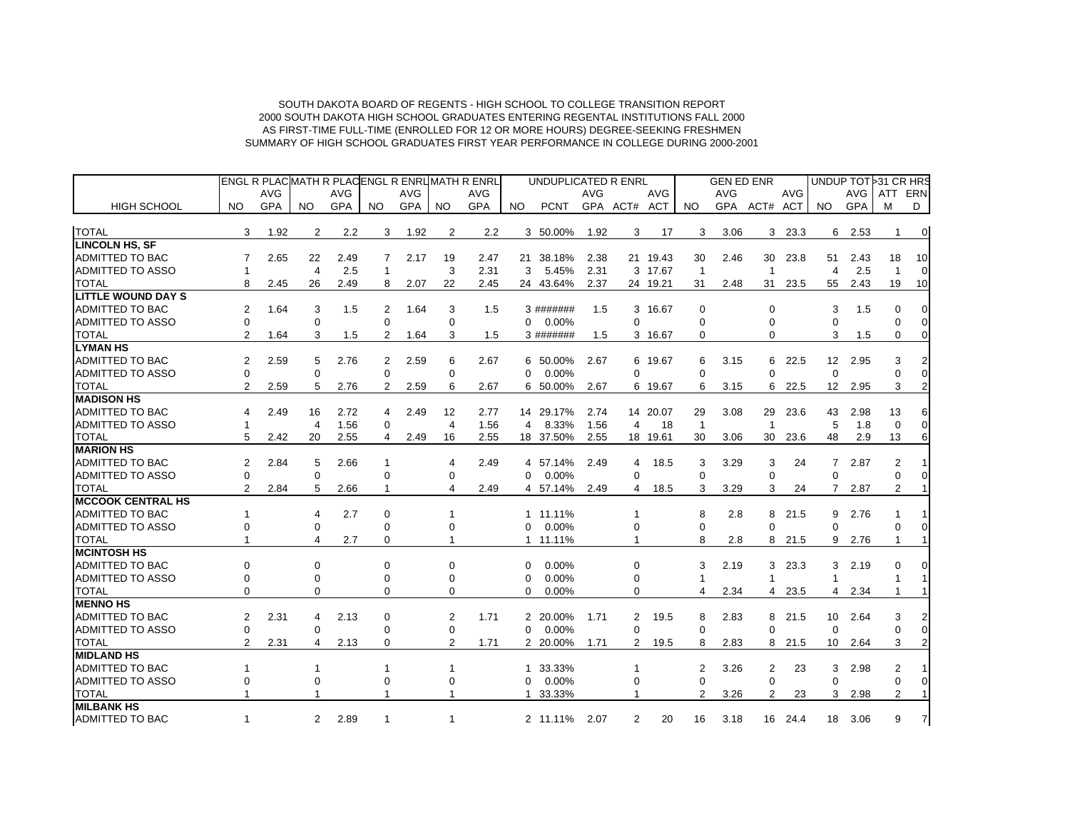|                           |                |            |                |            |              |            |                | ENGL R PLACMATH R PLACENGL R ENRUMATH R ENRL |          | UNDUPLICATED R ENRL |            |                |          |                | <b>GEN ED ENR</b> |                         |            | UNDUP TOT 31 CR HRS |            |                |                |
|---------------------------|----------------|------------|----------------|------------|--------------|------------|----------------|----------------------------------------------|----------|---------------------|------------|----------------|----------|----------------|-------------------|-------------------------|------------|---------------------|------------|----------------|----------------|
|                           |                | <b>AVG</b> |                | <b>AVG</b> |              | <b>AVG</b> |                | AVG                                          |          |                     | <b>AVG</b> |                | AVG      |                | <b>AVG</b>        |                         | <b>AVG</b> |                     | <b>AVG</b> | ATT            | ERN            |
| <b>HIGH SCHOOL</b>        | NO.            | GPA        | NO.            | <b>GPA</b> | NO.          | GPA        | <b>NO</b>      | GPA                                          | NO.      | <b>PCNT</b>         |            | GPA ACT# ACT   |          | NO.            | GPA               | ACT# ACT                |            | NO.                 | <b>GPA</b> | м              | D              |
| <b>TOTAL</b>              | 3              | 1.92       | 2              | 2.2        | 3            | 1.92       | 2              | 2.2                                          |          | 3 50.00%            | 1.92       | 3              | 17       | 3              | 3.06              | 3                       | 23.3       | 6                   | 2.53       |                | $\mathbf 0$    |
| <b>LINCOLN HS, SF</b>     |                |            |                |            |              |            |                |                                              |          |                     |            |                |          |                |                   |                         |            |                     |            |                |                |
| <b>ADMITTED TO BAC</b>    | 7              | 2.65       | 22             | 2.49       | 7            | 2.17       | 19             | 2.47                                         |          | 21 38.18%           | 2.38       |                | 21 19.43 | 30             | 2.46              | 30                      | 23.8       | 51                  | 2.43       | 18             | 10             |
| ADMITTED TO ASSO          | -1             |            | $\overline{4}$ | 2.5        | $\mathbf 1$  |            | 3              | 2.31                                         | 3        | 5.45%               | 2.31       |                | 3 17.67  | $\overline{1}$ |                   | $\overline{\mathbf{1}}$ |            | 4                   | 2.5        | -1             | $\Omega$       |
| <b>TOTAL</b>              | 8              | 2.45       | 26             | 2.49       | 8            | 2.07       | 22             | 2.45                                         |          | 24 43.64%           | 2.37       |                | 24 19.21 | 31             | 2.48              | 31                      | 23.5       | 55                  | 2.43       | 19             | 10             |
| <b>LITTLE WOUND DAY S</b> |                |            |                |            |              |            |                |                                              |          |                     |            |                |          |                |                   |                         |            |                     |            |                |                |
| ADMITTED TO BAC           | 2              | 1.64       | 3              | 1.5        | 2            | 1.64       | 3              | 1.5                                          |          | 3 #######           | 1.5        |                | 3 16.67  | $\Omega$       |                   | $\Omega$                |            | 3                   | 1.5        | $\Omega$       | $\Omega$       |
| <b>ADMITTED TO ASSO</b>   | $\mathbf 0$    |            | 0              |            | 0            |            | 0              |                                              | 0        | 0.00%               |            | $\Omega$       |          | $\Omega$       |                   | $\Omega$                |            | 0                   |            | $\Omega$       | $\Omega$       |
| <b>TOTAL</b>              | 2              | 1.64       | 3              | 1.5        | 2            | 1.64       | 3              | 1.5                                          |          | 3 #######           | 1.5        |                | 3 16.67  | $\Omega$       |                   | $\Omega$                |            | 3                   | 1.5        | $\Omega$       | $\mathbf 0$    |
| <b>LYMAN HS</b>           |                |            |                |            |              |            |                |                                              |          |                     |            |                |          |                |                   |                         |            |                     |            |                |                |
| <b>ADMITTED TO BAC</b>    | 2              | 2.59       | 5              | 2.76       | 2            | 2.59       | 6              | 2.67                                         |          | 6 50.00%            | 2.67       |                | 6 19.67  | 6              | 3.15              | 6                       | 22.5       | 12 <sup>2</sup>     | 2.95       | 3              |                |
| <b>ADMITTED TO ASSO</b>   | $\Omega$       |            | $\Omega$       |            | $\Omega$     |            | $\Omega$       |                                              | $\Omega$ | 0.00%               |            | 0              |          | $\Omega$       |                   | $\Omega$                |            | $\Omega$            |            | 0              | $\Omega$       |
| <b>TOTAL</b>              | $\overline{2}$ | 2.59       | 5              | 2.76       | 2            | 2.59       | 6              | 2.67                                         | 6        | 50.00%              | 2.67       |                | 6 19.67  | 6              | 3.15              | 6                       | 22.5       | $12 \overline{ }$   | 2.95       | 3              |                |
| <b>MADISON HS</b>         |                |            |                |            |              |            |                |                                              |          |                     |            |                |          |                |                   |                         |            |                     |            |                |                |
| <b>ADMITTED TO BAC</b>    | 4              | 2.49       | 16             | 2.72       | 4            | 2.49       | 12             | 2.77                                         |          | 14 29.17%           | 2.74       |                | 14 20.07 | 29             | 3.08              | 29                      | 23.6       | 43                  | 2.98       | 13             | 6              |
| <b>ADMITTED TO ASSO</b>   | -1             |            | $\overline{4}$ | 1.56       | 0            |            | $\overline{4}$ | 1.56                                         | 4        | 8.33%               | 1.56       | $\overline{4}$ | 18       | $\overline{1}$ |                   | $\overline{1}$          |            | 5                   | 1.8        | $\Omega$       | $\mathbf 0$    |
| <b>TOTAL</b>              | 5              | 2.42       | 20             | 2.55       | 4            | 2.49       | 16             | 2.55                                         |          | 18 37.50%           | 2.55       |                | 18 19.61 | 30             | 3.06              | 30                      | 23.6       | 48                  | 2.9        | 13             | 6              |
| <b>MARION HS</b>          |                |            |                |            |              |            |                |                                              |          |                     |            |                |          |                |                   |                         |            |                     |            |                |                |
| ADMITTED TO BAC           | 2              | 2.84       | 5              | 2.66       | 1            |            | 4              | 2.49                                         |          | 4 57.14%            | 2.49       | 4              | 18.5     | 3              | 3.29              | 3                       | 24         | $\overline{7}$      | 2.87       | 2              |                |
| <b>ADMITTED TO ASSO</b>   | $\Omega$       |            | $\Omega$       |            | $\Omega$     |            | $\Omega$       |                                              | $\Omega$ | 0.00%               |            | $\Omega$       |          | $\Omega$       |                   | $\Omega$                |            | $\Omega$            |            | $\Omega$       | $\Omega$       |
| <b>TOTAL</b>              | 2              | 2.84       | 5              | 2.66       | $\mathbf{1}$ |            | 4              | 2.49                                         |          | 4 57.14%            | 2.49       | 4              | 18.5     | 3              | 3.29              | 3                       | 24         | $\overline{7}$      | 2.87       | 2              |                |
| <b>IMCCOOK CENTRAL HS</b> |                |            |                |            |              |            |                |                                              |          |                     |            |                |          |                |                   |                         |            |                     |            |                |                |
| <b>ADMITTED TO BAC</b>    |                |            | 4              | 2.7        | 0            |            |                |                                              |          | 1 11.11%            |            | 1              |          | 8              | 2.8               | 8                       | 21.5       | 9                   | 2.76       |                |                |
| <b>ADMITTED TO ASSO</b>   |                |            | 0              |            | $\Omega$     |            | 0              |                                              | $\Omega$ | 0.00%               |            | 0              |          | 0              |                   | $\Omega$                |            | $\Omega$            |            | $\Omega$       | $\Omega$       |
| <b>TOTAL</b>              |                |            | 4              | 2.7        | $\Omega$     |            | 1              |                                              |          | 1 11.11%            |            | $\mathbf{1}$   |          | 8              | 2.8               | 8                       | 21.5       | 9                   | 2.76       | $\overline{1}$ |                |
| <b>MCINTOSH HS</b>        |                |            |                |            |              |            |                |                                              |          |                     |            |                |          |                |                   |                         |            |                     |            |                |                |
| <b>ADMITTED TO BAC</b>    | $\Omega$       |            | 0              |            | 0            |            | 0              |                                              | ∩        | 0.00%               |            | 0              |          | 3              | 2.19              | 3                       | 23.3       | 3                   | 2.19       | $\Omega$       |                |
| <b>ADMITTED TO ASSO</b>   | $\Omega$       |            | 0              |            | $\Omega$     |            | 0              |                                              | $\Omega$ | 0.00%               |            | 0              |          |                |                   |                         |            |                     |            |                |                |
| <b>TOTAL</b>              | $\Omega$       |            | 0              |            | $\Omega$     |            | $\Omega$       |                                              | $\Omega$ | 0.00%               |            | 0              |          | 4              | 2.34              | 4                       | 23.5       | 4                   | 2.34       |                |                |
| <b>MENNO HS</b>           |                |            |                |            |              |            |                |                                              |          |                     |            |                |          |                |                   |                         |            |                     |            |                |                |
| <b>ADMITTED TO BAC</b>    | 2              | 2.31       | 4              | 2.13       | 0            |            | 2              | 1.71                                         |          | 2 20.00%            | 1.71       | $\overline{2}$ | 19.5     | 8              | 2.83              | 8                       | 21.5       | 10                  | 2.64       | 3              |                |
| <b>ADMITTED TO ASSO</b>   | $\Omega$       |            | $\Omega$       |            | $\Omega$     |            | $\Omega$       |                                              | $\Omega$ | 0.00%               |            | $\Omega$       |          | $\Omega$       |                   | $\Omega$                |            | $\Omega$            |            | $\Omega$       | $\Omega$       |
| <b>TOTAL</b>              | 2              | 2.31       | 4              | 2.13       | 0            |            | $\overline{2}$ | 1.71                                         |          | 2 20.00%            | 1.71       | $\overline{2}$ | 19.5     | 8              | 2.83              | 8                       | 21.5       | 10                  | 2.64       | 3              | $\overline{2}$ |
| <b>MIDLAND HS</b>         |                |            |                |            |              |            |                |                                              |          |                     |            |                |          |                |                   |                         |            |                     |            |                |                |
| <b>ADMITTED TO BAC</b>    |                |            | 1              |            |              |            |                |                                              | 1        | 33.33%              |            |                |          | 2              | 3.26              | 2                       | 23         | 3                   | 2.98       | $\overline{2}$ |                |
| <b>ADMITTED TO ASSO</b>   | $\Omega$       |            | 0              |            | $\Omega$     |            | $\Omega$       |                                              | $\Omega$ | 0.00%               |            | $\Omega$       |          | $\Omega$       |                   | $\Omega$                |            | $\Omega$            |            | $\Omega$       | $\Omega$       |
| <b>TOTAL</b>              |                |            | -1             |            |              |            |                |                                              | 1        | 33.33%              |            | 1              |          | 2              | 3.26              | 2                       | 23         | 3                   | 2.98       | 2              |                |
| <b>MILBANK HS</b>         |                |            |                |            |              |            |                |                                              |          |                     |            |                |          |                |                   |                         |            |                     |            |                |                |
| <b>ADMITTED TO BAC</b>    | -1             |            | 2              | 2.89       | $\mathbf 1$  |            | $\mathbf 1$    |                                              |          | 2 11.11%            | 2.07       | 2              | 20       | 16             | 3.18              |                         | 16 24.4    | 18                  | 3.06       | 9              | 7              |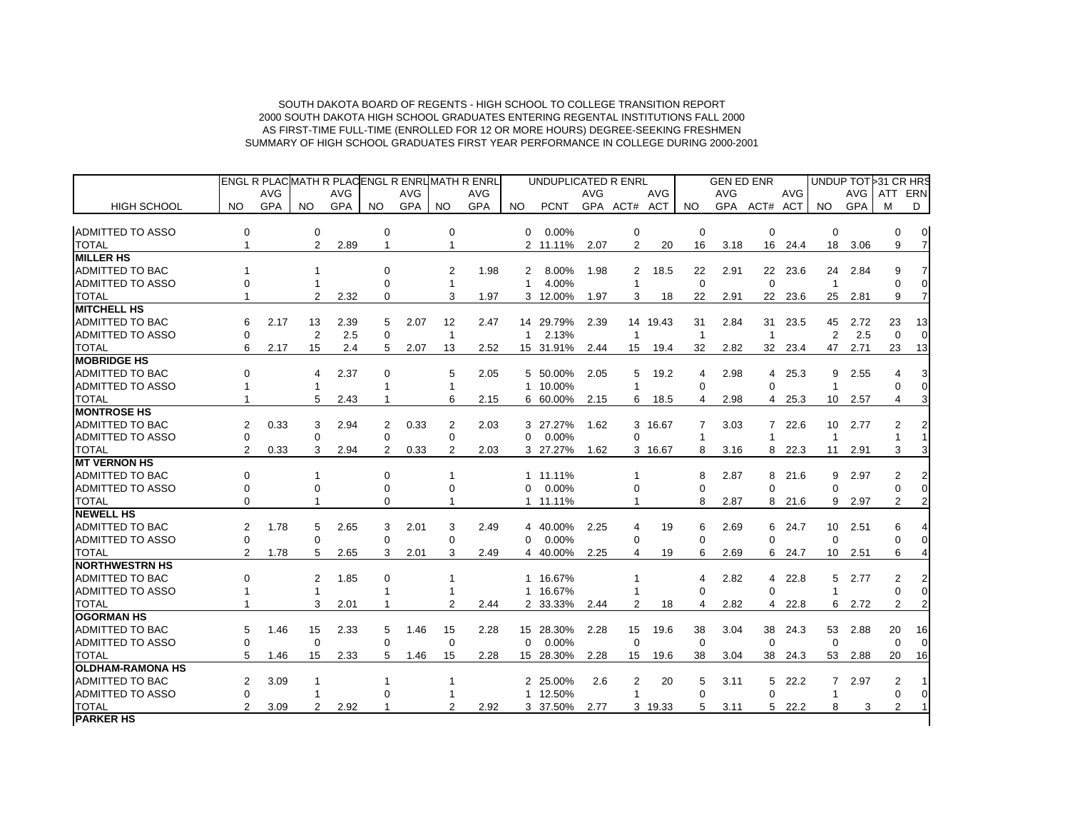|                         |                |            |              |            |                |            |                | ENGL R PLACMATH R PLACENGL R ENRUMATH R ENRL |              | UNDUPLICATED R ENRL |            |                |            |                | <b>GEN ED ENR</b> |                |            |                 |            | UNDUP TOT 31 CR HRS |                |
|-------------------------|----------------|------------|--------------|------------|----------------|------------|----------------|----------------------------------------------|--------------|---------------------|------------|----------------|------------|----------------|-------------------|----------------|------------|-----------------|------------|---------------------|----------------|
|                         |                | AVG        |              | <b>AVG</b> |                | <b>AVG</b> |                | <b>AVG</b>                                   |              |                     | <b>AVG</b> |                | <b>AVG</b> |                | <b>AVG</b>        |                | <b>AVG</b> |                 | AVG        | ATT ERN             |                |
| <b>HIGH SCHOOL</b>      | NO.            | <b>GPA</b> | NO.          | <b>GPA</b> | NO.            | <b>GPA</b> | NO.            | <b>GPA</b>                                   | NO.          | <b>PCNT</b>         |            | GPA ACT# ACT   |            | NO.            |                   | GPA ACT# ACT   |            | NO.             | <b>GPA</b> | м                   | D              |
|                         |                |            |              |            |                |            |                |                                              |              |                     |            |                |            |                |                   |                |            |                 |            |                     |                |
| ADMITTED TO ASSO        | 0              |            | $\mathbf 0$  |            | $\mathbf 0$    |            | 0              |                                              | 0            | 0.00%               |            | $\mathbf 0$    |            | $\mathbf 0$    |                   | $\mathbf 0$    |            | $\mathbf 0$     |            | 0                   | $\overline{0}$ |
| <b>TOTAL</b>            | $\mathbf{1}$   |            | 2            | 2.89       | $\mathbf{1}$   |            | $\mathbf{1}$   |                                              |              | 2 11.11%            | 2.07       | $\overline{2}$ | 20         | 16             | 3.18              | 16             | 24.4       | 18              | 3.06       | 9                   | $\overline{7}$ |
| <b>MILLER HS</b>        |                |            |              |            |                |            |                |                                              |              |                     |            |                |            |                |                   |                |            |                 |            |                     |                |
| ADMITTED TO BAC         |                |            |              |            | $\Omega$       |            | 2              | 1.98                                         | 2            | 8.00%               | 1.98       | $\overline{2}$ | 18.5       | 22             | 2.91              |                | 22 23.6    | 24              | 2.84       | 9                   |                |
| <b>ADMITTED TO ASSO</b> |                |            |              |            | $\Omega$       |            | $\mathbf{1}$   |                                              | $\mathbf{1}$ | 4.00%               |            |                |            | $\Omega$       |                   | $\Omega$       |            | $\mathbf{1}$    |            | $\Omega$            |                |
| <b>TOTAL</b>            |                |            | 2            | 2.32       | $\Omega$       |            | 3              | 1.97                                         |              | 3 12.00%            | 1.97       | 3              | 18         | 22             | 2.91              | 22             | 23.6       | 25              | 2.81       | 9                   |                |
| <b>MITCHELL HS</b>      |                |            |              |            |                |            |                |                                              |              |                     |            |                |            |                |                   |                |            |                 |            |                     |                |
| <b>ADMITTED TO BAC</b>  | 6              | 2.17       | 13           | 2.39       | 5              | 2.07       | 12             | 2.47                                         |              | 14 29.79%           | 2.39       |                | 14 19.43   | 31             | 2.84              | 31             | 23.5       | 45              | 2.72       | 23                  | 13             |
| <b>ADMITTED TO ASSO</b> | $\Omega$       |            | 2            | 2.5        | $\Omega$       |            | $\mathbf{1}$   |                                              | $\mathbf{1}$ | 2.13%               |            | $\overline{1}$ |            | $\mathbf{1}$   |                   | $\mathbf{1}$   |            | 2               | 2.5        | $\Omega$            |                |
| <b>TOTAL</b>            | 6              | 2.17       | 15           | 2.4        | 5              | 2.07       | 13             | 2.52                                         |              | 15 31.91%           | 2.44       | 15             | 19.4       | 32             | 2.82              |                | 32 23.4    | 47              | 2.71       | 23                  | 13             |
| <b>MOBRIDGE HS</b>      |                |            |              |            |                |            |                |                                              |              |                     |            |                |            |                |                   |                |            |                 |            |                     |                |
| ADMITTED TO BAC         | $\Omega$       |            | 4            | 2.37       | $\mathbf 0$    |            | 5              | 2.05                                         |              | 5 50.00%            | 2.05       | 5              | 19.2       | $\overline{4}$ | 2.98              | $\overline{4}$ | 25.3       | 9               | 2.55       | 4                   |                |
| <b>ADMITTED TO ASSO</b> |                |            |              |            |                |            | $\mathbf{1}$   |                                              |              | 1 10.00%            |            | $\overline{1}$ |            | $\Omega$       |                   | $\Omega$       |            | $\mathbf{1}$    |            | 0                   |                |
| <b>TOTAL</b>            |                |            | 5            | 2.43       |                |            | 6              | 2.15                                         |              | 6 60.00%            | 2.15       | 6              | 18.5       | 4              | 2.98              |                | 4 25.3     | 10 <sup>1</sup> | 2.57       | 4                   |                |
| <b>MONTROSE HS</b>      |                |            |              |            |                |            |                |                                              |              |                     |            |                |            |                |                   |                |            |                 |            |                     |                |
| <b>ADMITTED TO BAC</b>  | 2              | 0.33       | 3            | 2.94       | 2              | 0.33       | 2              | 2.03                                         |              | 3 27.27%            | 1.62       |                | 3 16.67    | 7              | 3.03              |                | 7 22.6     | 10              | 2.77       | $\overline{2}$      |                |
| <b>ADMITTED TO ASSO</b> | 0              |            | $\Omega$     |            | $\Omega$       |            | $\Omega$       |                                              | $\Omega$     | 0.00%               |            | $\Omega$       |            | $\mathbf{1}$   |                   | $\mathbf{1}$   |            | $\mathbf{1}$    |            |                     |                |
| <b>TOTAL</b>            | $\mathfrak{p}$ | 0.33       | 3            | 2.94       | $\overline{2}$ | 0.33       | $\overline{2}$ | 2.03                                         |              | 3 27.27%            | 1.62       |                | 3 16.67    | 8              | 3.16              |                | 8 22.3     | 11              | 2.91       | 3                   |                |
| <b>IMT VERNON HS</b>    |                |            |              |            |                |            |                |                                              |              |                     |            |                |            |                |                   |                |            |                 |            |                     |                |
| ADMITTED TO BAC         | $\Omega$       |            |              |            | $\Omega$       |            | $\mathbf 1$    |                                              |              | 1 11.11%            |            |                |            | 8              | 2.87              | 8              | 21.6       | 9               | 2.97       | $\overline{2}$      |                |
| <b>ADMITTED TO ASSO</b> | $\Omega$       |            | $\Omega$     |            | $\Omega$       |            | $\Omega$       |                                              | $\Omega$     | 0.00%               |            | 0              |            | $\Omega$       |                   | $\Omega$       |            | $\Omega$        |            | $\Omega$            |                |
| <b>TOTAL</b>            | $\Omega$       |            |              |            | $\Omega$       |            | 1              |                                              |              | 1 11.11%            |            |                |            | 8              | 2.87              |                | 8 21.6     | 9               | 2.97       | $\overline{2}$      |                |
| <b>NEWELL HS</b>        |                |            |              |            |                |            |                |                                              |              |                     |            |                |            |                |                   |                |            |                 |            |                     |                |
| <b>ADMITTED TO BAC</b>  | $\overline{2}$ | 1.78       | 5            | 2.65       | 3              | 2.01       | 3              | 2.49                                         |              | 4 40.00%            | 2.25       | 4              | 19         | 6              | 2.69              | 6              | 24.7       | 10 <sup>°</sup> | 2.51       | 6                   |                |
| <b>ADMITTED TO ASSO</b> | $\Omega$       |            | $\Omega$     |            | $\Omega$       |            | $\Omega$       |                                              | $\Omega$     | 0.00%               |            | 0              |            | $\Omega$       |                   | $\Omega$       |            | $\Omega$        |            | U                   |                |
| <b>TOTAL</b>            | $\overline{2}$ | 1.78       | 5            | 2.65       | 3              | 2.01       | 3              | 2.49                                         |              | 4 40.00%            | 2.25       | 4              | 19         | 6              | 2.69              |                | 6 24.7     |                 | 10 2.51    | 6                   |                |
| <b>NORTHWESTRN HS</b>   |                |            |              |            |                |            |                |                                              |              |                     |            |                |            |                |                   |                |            |                 |            |                     |                |
| <b>ADMITTED TO BAC</b>  | $\Omega$       |            | 2            | 1.85       | 0              |            | 1              |                                              |              | 1 16.67%            |            |                |            | $\overline{4}$ | 2.82              | $\overline{4}$ | 22.8       | 5               | 2.77       | $\overline{2}$      |                |
| <b>ADMITTED TO ASSO</b> |                |            |              |            |                |            |                |                                              |              | 1 16.67%            |            |                |            | $\Omega$       |                   | $\Omega$       |            | 1               |            | $\Omega$            |                |
| <b>TOTAL</b>            |                |            | 3            | 2.01       |                |            | $\overline{2}$ | 2.44                                         |              | 2 33.33%            | 2.44       | 2              | 18         | $\overline{4}$ | 2.82              | 4              | 22.8       | 6               | 2.72       | $\overline{2}$      |                |
| <b>OGORMAN HS</b>       |                |            |              |            |                |            |                |                                              |              |                     |            |                |            |                |                   |                |            |                 |            |                     |                |
| <b>ADMITTED TO BAC</b>  | 5              | 1.46       | 15           | 2.33       | 5              | 1.46       | 15             | 2.28                                         |              | 15 28.30%           | 2.28       | 15             | 19.6       | 38             | 3.04              | 38             | 24.3       | 53              | 2.88       | 20                  | 16             |
| <b>ADMITTED TO ASSO</b> | $\Omega$       |            | $\Omega$     |            | $\Omega$       |            | $\Omega$       |                                              | $\Omega$     | 0.00%               |            | $\Omega$       |            | $\Omega$       |                   | $\Omega$       |            | $\Omega$        |            | $\Omega$            |                |
| <b>TOTAL</b>            | 5              | 1.46       | 15           | 2.33       | 5              | 1.46       | 15             | 2.28                                         |              | 15 28.30%           | 2.28       | 15             | 19.6       | 38             | 3.04              | 38             | 24.3       | 53              | 2.88       | 20                  | 16             |
| <b>OLDHAM-RAMONA HS</b> |                |            |              |            |                |            |                |                                              |              |                     |            |                |            |                |                   |                |            |                 |            |                     |                |
| <b>ADMITTED TO BAC</b>  | 2              | 3.09       | $\mathbf{1}$ |            | $\mathbf 1$    |            | $\mathbf 1$    |                                              |              | 2 25.00%            | 2.6        | 2              | 20         | 5              | 3.11              |                | $5$ 22.2   | $7^{\circ}$     | 2.97       | $\overline{2}$      |                |
| <b>ADMITTED TO ASSO</b> | 0              |            |              |            | 0              |            |                |                                              |              | 1 12.50%            |            | 1              |            | $\Omega$       |                   | $\Omega$       |            | $\mathbf{1}$    |            | $\Omega$            |                |
| <b>TOTAL</b>            | $\overline{2}$ | 3.09       | 2            | 2.92       |                |            | $\overline{2}$ | 2.92                                         |              | 3 37.50%            | 2.77       |                | 3 19.33    | 5              | 3.11              | 5              | 22.2       | 8               | 3          | $\overline{2}$      |                |
| <b>PARKER HS</b>        |                |            |              |            |                |            |                |                                              |              |                     |            |                |            |                |                   |                |            |                 |            |                     |                |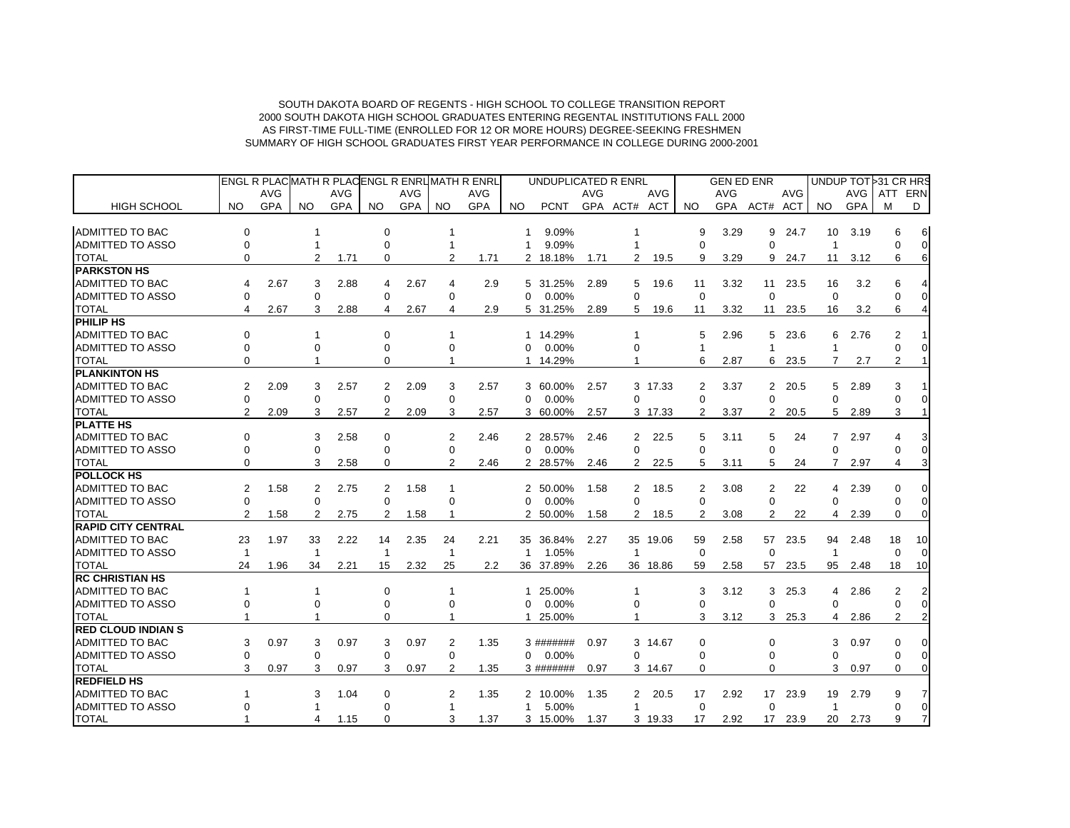|                           |                |            |           |            |                |            |                | ENGL R PLACMATH R PLACENGL R ENRUMATH R ENRL |          | UNDUPLICATED R ENRL |            |                      |            |             | <b>GEN ED ENR</b> |                 |            | UNDUP TOT 31 CR HRS |            |                |                |
|---------------------------|----------------|------------|-----------|------------|----------------|------------|----------------|----------------------------------------------|----------|---------------------|------------|----------------------|------------|-------------|-------------------|-----------------|------------|---------------------|------------|----------------|----------------|
|                           |                | <b>AVG</b> |           | <b>AVG</b> |                | <b>AVG</b> |                | <b>AVG</b>                                   |          |                     | <b>AVG</b> |                      | <b>AVG</b> |             | <b>AVG</b>        |                 | <b>AVG</b> |                     | AVG        | ATT            | ERN            |
| <b>HIGH SCHOOL</b>        | NO.            | <b>GPA</b> | <b>NO</b> | <b>GPA</b> | NO.            | <b>GPA</b> | <b>NO</b>      | <b>GPA</b>                                   | NO.      | <b>PCNT</b>         |            | GPA ACT# ACT         |            | NO.         |                   | GPA ACT# ACT    |            | NO.                 | <b>GPA</b> | м              | D              |
| <b>ADMITTED TO BAC</b>    | $\Omega$       |            |           |            | 0              |            |                |                                              | 1        | 9.09%               |            |                      |            | 9           | 3.29              | 9               | 24.7       | 10                  | 3.19       | 6              | 6              |
| <b>ADMITTED TO ASSO</b>   | $\Omega$       |            |           |            | 0              |            |                |                                              | 1        | 9.09%               |            |                      |            | $\Omega$    |                   | $\Omega$        |            | -1                  |            | ∩              | $\Omega$       |
| <b>TOTAL</b>              | $\Omega$       |            | 2         | 1.71       | $\Omega$       |            | 2              | 1.71                                         |          | 2 18.18%            | 1.71       | 2                    | 19.5       | 9           | 3.29              | 9               | 24.7       | 11                  | 3.12       | 6              | 6              |
| <b>PARKSTON HS</b>        |                |            |           |            |                |            |                |                                              |          |                     |            |                      |            |             |                   |                 |            |                     |            |                |                |
| <b>ADMITTED TO BAC</b>    |                | 2.67       | 3         | 2.88       | 4              | 2.67       | 4              | 2.9                                          | 5        | 31.25%              | 2.89       | 5                    | 19.6       | 11          | 3.32              | 11              | 23.5       | 16                  | 3.2        |                |                |
| <b>ADMITTED TO ASSO</b>   | 0              |            | 0         |            | 0              |            | 0              |                                              | $\Omega$ | 0.00%               |            | 0                    |            | $\mathbf 0$ |                   | $\mathbf 0$     |            | $\Omega$            |            |                | $\overline{0}$ |
| <b>TOTAL</b>              | 4              | 2.67       | 3         | 2.88       | 4              | 2.67       | 4              | 2.9                                          |          | 5 31.25%            | 2.89       | 5                    | 19.6       | 11          | 3.32              | 11              | 23.5       | 16                  | 3.2        | 6              |                |
| <b>PHILIP HS</b>          |                |            |           |            |                |            |                |                                              |          |                     |            |                      |            |             |                   |                 |            |                     |            |                |                |
| <b>ADMITTED TO BAC</b>    | $\Omega$       |            |           |            | $\Omega$       |            |                |                                              |          | 1 14.29%            |            |                      |            | 5           | 2.96              | 5               | 23.6       | 6                   | 2.76       | 2              |                |
| <b>ADMITTED TO ASSO</b>   | $\Omega$       |            | $\Omega$  |            | 0              |            | $\Omega$       |                                              | 0        | 0.00%               |            | 0                    |            |             |                   |                 |            |                     |            |                | $\Omega$       |
| <b>TOTAL</b>              | 0              |            |           |            | $\Omega$       |            |                |                                              |          | 1 14.29%            |            |                      |            | 6           | 2.87              | 6               | 23.5       | 7                   | 2.7        | 2              | 1              |
| <b>PLANKINTON HS</b>      |                |            |           |            |                |            |                |                                              |          |                     |            |                      |            |             |                   |                 |            |                     |            |                |                |
| <b>ADMITTED TO BAC</b>    | $\overline{2}$ | 2.09       | 3         | 2.57       | 2              | 2.09       | 3              | 2.57                                         | 3        | 60.00%              | 2.57       |                      | 3 17.33    | 2           | 3.37              | 2               | 20.5       | 5                   | 2.89       | 3              |                |
| <b>ADMITTED TO ASSO</b>   | $\Omega$       |            | $\Omega$  |            | 0              |            | 0              |                                              | $\Omega$ | 0.00%               |            | 0                    |            | $\Omega$    |                   | $\Omega$        |            | $\Omega$            |            |                | 0              |
| <b>TOTAL</b>              | $\overline{2}$ | 2.09       | 3         | 2.57       | $\overline{2}$ | 2.09       | 3              | 2.57                                         |          | 3 60.00%            | 2.57       |                      | 3 17.33    | 2           | 3.37              | $\overline{2}$  | 20.5       | 5                   | 2.89       | 3              |                |
| <b>PLATTE HS</b>          |                |            |           |            |                |            |                |                                              |          |                     |            |                      |            |             |                   |                 |            |                     |            |                |                |
| <b>ADMITTED TO BAC</b>    | $\Omega$       |            | 3         | 2.58       | $\Omega$       |            | $\overline{2}$ | 2.46                                         |          | 2 28.57%            | 2.46       | $\mathbf{2}^{\circ}$ | 22.5       | 5           | 3.11              | 5               | 24         | $\overline{7}$      | 2.97       |                | 3              |
| <b>ADMITTED TO ASSO</b>   | $\Omega$       |            | $\Omega$  |            | $\Omega$       |            | $\Omega$       |                                              | $\Omega$ | 0.00%               |            | 0                    |            | $\Omega$    |                   | $\Omega$        |            | $\Omega$            |            |                | $\Omega$       |
| <b>TOTAL</b>              | 0              |            | 3         | 2.58       | $\Omega$       |            | $\mathcal{P}$  | 2.46                                         |          | 2 28.57%            | 2.46       | $\overline{2}$       | 22.5       | 5           | 3.11              | 5               | 24         | 7                   | 2.97       | 4              | 3              |
| <b>POLLOCK HS</b>         |                |            |           |            |                |            |                |                                              |          |                     |            |                      |            |             |                   |                 |            |                     |            |                |                |
| <b>ADMITTED TO BAC</b>    | 2              | 1.58       | 2         | 2.75       | 2              | 1.58       |                |                                              |          | 2 50.00%            | 1.58       | 2                    | 18.5       | 2           | 3.08              | 2               | 22         | 4                   | 2.39       | $\Omega$       | 0              |
| <b>ADMITTED TO ASSO</b>   | 0              |            | 0         |            | 0              |            | $\Omega$       |                                              | 0        | 0.00%               |            | 0                    |            | $\mathbf 0$ |                   | $\Omega$        |            | $\mathbf 0$         |            | $\Omega$       | $\Omega$       |
| <b>TOTAL</b>              | 2              | 1.58       | 2         | 2.75       | 2              | 1.58       |                |                                              | 2        | 50.00%              | 1.58       | 2                    | 18.5       | 2           | 3.08              | 2               | 22         | 4                   | 2.39       | $\Omega$       | 0              |
| <b>RAPID CITY CENTRAL</b> |                |            |           |            |                |            |                |                                              |          |                     |            |                      |            |             |                   |                 |            |                     |            |                |                |
| <b>ADMITTED TO BAC</b>    | 23             | 1.97       | 33        | 2.22       | 14             | 2.35       | 24             | 2.21                                         |          | 35 36.84%           | 2.27       |                      | 35 19.06   | 59          | 2.58              |                 | 57 23.5    | 94                  | 2.48       | 18             | 10             |
| <b>ADMITTED TO ASSO</b>   | 1              |            | -1        |            | 1              |            | $\mathbf{1}$   |                                              | 1        | 1.05%               |            |                      |            | $\mathbf 0$ |                   | $\Omega$        |            | $\overline{1}$      |            | $\Omega$       |                |
| <b>TOTAL</b>              | 24             | 1.96       | 34        | 2.21       | 15             | 2.32       | 25             | 2.2                                          | 36       | 37.89%              | 2.26       |                      | 36 18.86   | 59          | 2.58              | 57              | 23.5       | 95                  | 2.48       | 18             | 10             |
| <b>RC CHRISTIAN HS</b>    |                |            |           |            |                |            |                |                                              |          |                     |            |                      |            |             |                   |                 |            |                     |            |                |                |
| <b>ADMITTED TO BAC</b>    |                |            | 1         |            | $\Omega$       |            |                |                                              | 1.       | 25.00%              |            |                      |            | 3           | 3.12              | 3               | 25.3       | 4                   | 2.86       | 2              |                |
| <b>ADMITTED TO ASSO</b>   | ∩              |            |           |            | 0              |            | 0              |                                              | 0        | 0.00%               |            | 0                    |            | $\mathbf 0$ |                   | $\Omega$        |            | $\Omega$            |            | $\Omega$       | $\Omega$       |
| <b>TOTAL</b>              |                |            |           |            | 0              |            |                |                                              | 1        | 25.00%              |            |                      |            | 3           | 3.12              | 3               | 25.3       | 4                   | 2.86       | $\overline{2}$ | 2              |
| <b>RED CLOUD INDIAN S</b> |                |            |           |            |                |            |                |                                              |          |                     |            |                      |            |             |                   |                 |            |                     |            |                |                |
| <b>ADMITTED TO BAC</b>    | 3              | 0.97       | 3         | 0.97       | 3              | 0.97       | 2              | 1.35                                         |          | 3 #######           | 0.97       |                      | 3 14.67    | $\Omega$    |                   | $\Omega$        |            | 3                   | 0.97       | $\Omega$       | 0              |
| <b>ADMITTED TO ASSO</b>   | 0              |            | 0         |            | 0              |            | $\mathbf 0$    |                                              | 0        | 0.00%               |            | 0                    |            | $\mathbf 0$ |                   | $\Omega$        |            | $\Omega$            |            | $\Omega$       | $\overline{0}$ |
| <b>TOTAL</b>              | 3              | 0.97       | 3         | 0.97       | 3              | 0.97       | $\overline{2}$ | 1.35                                         |          | 3 #######           | 0.97       |                      | 3 14.67    | $\Omega$    |                   | $\Omega$        |            | 3                   | 0.97       | $\Omega$       | $\Omega$       |
| <b>REDFIELD HS</b>        |                |            |           |            |                |            |                |                                              |          |                     |            |                      |            |             |                   |                 |            |                     |            |                |                |
| <b>ADMITTED TO BAC</b>    |                |            | з         | 1.04       | 0              |            | 2              | 1.35                                         |          | 2 10.00%            | 1.35       | 2                    | 20.5       | 17          | 2.92              | 17 <sup>2</sup> | 23.9       | 19                  | 2.79       | 9              |                |
| <b>ADMITTED TO ASSO</b>   |                |            |           |            | $\Omega$       |            |                |                                              | 1        | 5.00%               |            | 1                    |            | $\mathbf 0$ |                   | $\mathbf 0$     |            | $\mathbf{1}$        |            | $\Omega$       | $\overline{0}$ |
| <b>TOTAL</b>              |                |            | 4         | 1.15       | $\Omega$       |            | 3              | 1.37                                         |          | 3 15.00%            | 1.37       |                      | 3 19.33    | 17          | 2.92              | 17 <sup>2</sup> | 23.9       | 20                  | 2.73       | 9              | $\overline{7}$ |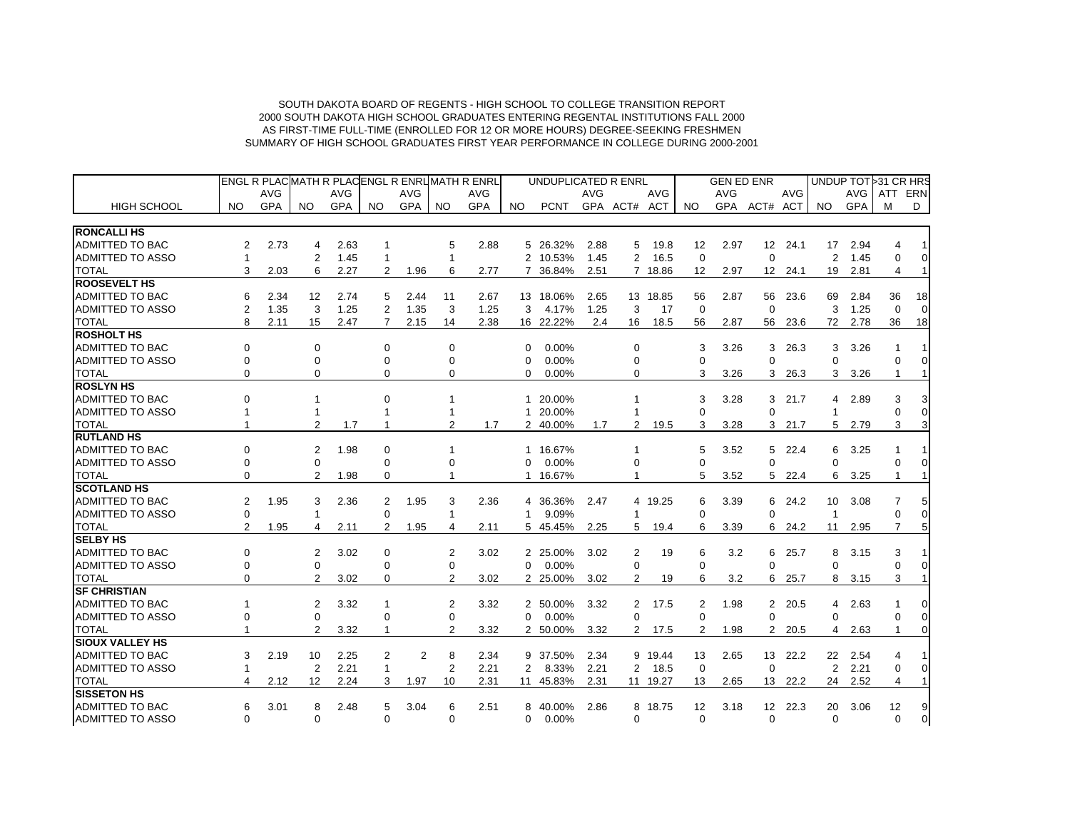|                         |                |            |                |            |              | ENGL R PLACMATH R PLACENGL R ENRUMATH R ENRL |                |            | UNDUPLICATED R ENRL |             |            |                |            | <b>GEN ED ENR</b> |            |                   |            | UNDUP TOT 31 CR HRS |      |                |                |
|-------------------------|----------------|------------|----------------|------------|--------------|----------------------------------------------|----------------|------------|---------------------|-------------|------------|----------------|------------|-------------------|------------|-------------------|------------|---------------------|------|----------------|----------------|
|                         |                | <b>AVG</b> |                | <b>AVG</b> |              | <b>AVG</b>                                   |                | <b>AVG</b> |                     |             | <b>AVG</b> |                | <b>AVG</b> |                   | <b>AVG</b> |                   | <b>AVG</b> |                     | AVG  | ATT            | ERN            |
| <b>HIGH SCHOOL</b>      | <b>NO</b>      | GPA        | NO.            | <b>GPA</b> | NO.          | <b>GPA</b>                                   | NO.            | <b>GPA</b> | NO.                 | <b>PCNT</b> |            | GPA ACT# ACT   |            | NO.               | <b>GPA</b> | ACT#              | ACT        | NO.                 | GPA  | м              | D              |
| <b>RONCALLI HS</b>      |                |            |                |            |              |                                              |                |            |                     |             |            |                |            |                   |            |                   |            |                     |      |                |                |
| ADMITTED TO BAC         | 2              | 2.73       | 4              | 2.63       | 1            |                                              | 5              | 2.88       | 5                   | 26.32%      | 2.88       | 5              | 19.8       | 12                | 2.97       | $12 \overline{ }$ | 24.1       | 17                  | 2.94 | 4              | 1              |
| <b>ADMITTED TO ASSO</b> | $\mathbf{1}$   |            | $\overline{2}$ | 1.45       | -1           |                                              |                |            | $\overline{2}$      | 10.53%      | 1.45       | $\overline{2}$ | 16.5       | $\mathbf 0$       |            | $\Omega$          |            | $\overline{2}$      | 1.45 | $\Omega$       | $\mathbf 0$    |
| <b>TOTAL</b>            | 3              | 2.03       | 6              | 2.27       | 2            | 1.96                                         | 6              | 2.77       | 7                   | 36.84%      | 2.51       |                | 7 18.86    | 12                | 2.97       | 12 <sup>7</sup>   | 24.1       | 19                  | 2.81 | 4              | $\mathbf{1}$   |
| <b>ROOSEVELT HS</b>     |                |            |                |            |              |                                              |                |            |                     |             |            |                |            |                   |            |                   |            |                     |      |                |                |
| <b>ADMITTED TO BAC</b>  | 6              | 2.34       | 12             | 2.74       | 5            | 2.44                                         | 11             | 2.67       |                     | 13 18.06%   | 2.65       |                | 13 18.85   | 56                | 2.87       | 56                | 23.6       | 69                  | 2.84 | 36             | 18             |
| <b>ADMITTED TO ASSO</b> | $\overline{2}$ | 1.35       | 3              | 1.25       | 2            | 1.35                                         | 3              | 1.25       | 3                   | 4.17%       | 1.25       | 3              | 17         | $\mathbf 0$       |            | $\Omega$          |            | 3                   | 1.25 | $\Omega$       | $\Omega$       |
| <b>TOTAL</b>            | 8              | 2.11       | 15             | 2.47       | 7            | 2.15                                         | 14             | 2.38       |                     | 16 22.22%   | 2.4        | 16             | 18.5       | 56                | 2.87       | 56                | 23.6       | 72                  | 2.78 | 36             | 18             |
| <b>ROSHOLT HS</b>       |                |            |                |            |              |                                              |                |            |                     |             |            |                |            |                   |            |                   |            |                     |      |                |                |
| <b>ADMITTED TO BAC</b>  | $\mathbf 0$    |            | $\Omega$       |            | $\mathbf 0$  |                                              | $\mathbf 0$    |            | 0                   | 0.00%       |            | $\mathbf 0$    |            | 3                 | 3.26       | 3                 | 26.3       | 3                   | 3.26 | 1              |                |
| <b>ADMITTED TO ASSO</b> | $\Omega$       |            | 0              |            | $\Omega$     |                                              | $\Omega$       |            | $\Omega$            | 0.00%       |            | 0              |            | $\Omega$          |            | $\Omega$          |            | $\Omega$            |      | $\Omega$       | $\Omega$       |
| <b>TOTAL</b>            | $\Omega$       |            | 0              |            | 0            |                                              | $\Omega$       |            | $\Omega$            | 0.00%       |            | 0              |            | 3                 | 3.26       | 3                 | 26.3       | 3                   | 3.26 | 1              | $\mathbf{1}$   |
| <b>ROSLYN HS</b>        |                |            |                |            |              |                                              |                |            |                     |             |            |                |            |                   |            |                   |            |                     |      |                |                |
| <b>ADMITTED TO BAC</b>  | $\Omega$       |            | 1              |            | $\Omega$     |                                              |                |            | 1                   | 20.00%      |            |                |            | 3                 | 3.28       | 3                 | 21.7       | 4                   | 2.89 | 3              | 3              |
| <b>ADMITTED TO ASSO</b> |                |            |                |            |              |                                              |                |            | 1                   | 20.00%      |            |                |            | $\Omega$          |            | $\Omega$          |            | $\overline{1}$      |      |                | $\Omega$       |
| <b>TOTAL</b>            |                |            | $\overline{2}$ | 1.7        |              |                                              | 2              | 1.7        | 2                   | 40.00%      | 1.7        | 2              | 19.5       | 3                 | 3.28       | 3                 | 21.7       | 5                   | 2.79 | 3              | 3              |
| <b>RUTLAND HS</b>       |                |            |                |            |              |                                              |                |            |                     |             |            |                |            |                   |            |                   |            |                     |      |                |                |
| <b>ADMITTED TO BAC</b>  | $\Omega$       |            | 2              | 1.98       | 0            |                                              |                |            | 1                   | 16.67%      |            |                |            | 5                 | 3.52       |                   | 5 22.4     | 6                   | 3.25 | -1             |                |
| <b>ADMITTED TO ASSO</b> | $\Omega$       |            | $\Omega$       |            | $\Omega$     |                                              | $\Omega$       |            | $\Omega$            | 0.00%       |            | 0              |            | $\Omega$          |            | 0                 |            | $\Omega$            |      | $\Omega$       | 0              |
| <b>TOTAL</b>            | $\Omega$       |            | 2              | 1.98       | 0            |                                              |                |            |                     | 16.67%      |            |                |            | 5                 | 3.52       | 5                 | 22.4       | 6                   | 3.25 | 1              |                |
| <b>SCOTLAND HS</b>      |                |            |                |            |              |                                              |                |            |                     |             |            |                |            |                   |            |                   |            |                     |      |                |                |
| <b>ADMITTED TO BAC</b>  | 2              | 1.95       | 3              | 2.36       | 2            | 1.95                                         | 3              | 2.36       | 4                   | 36.36%      | 2.47       |                | 4 19.25    | 6                 | 3.39       | 6                 | 24.2       | 10                  | 3.08 | 7              | 5              |
| <b>ADMITTED TO ASSO</b> | $\Omega$       |            | $\mathbf{1}$   |            | $\Omega$     |                                              | 1              |            | 1                   | 9.09%       |            | 1              |            | $\Omega$          |            | $\Omega$          |            | $\overline{1}$      |      | $\Omega$       | 0              |
| <b>TOTAL</b>            | 2              | 1.95       | 4              | 2.11       | 2            | 1.95                                         | 4              | 2.11       |                     | 5 45.45%    | 2.25       | 5              | 19.4       | 6                 | 3.39       | 6                 | 24.2       | 11                  | 2.95 | 7              | 5              |
| <b>SELBY HS</b>         |                |            |                |            |              |                                              |                |            |                     |             |            |                |            |                   |            |                   |            |                     |      |                |                |
| <b>ADMITTED TO BAC</b>  | 0              |            | $\overline{2}$ | 3.02       | 0            |                                              | 2              | 3.02       |                     | 2 25.00%    | 3.02       | 2              | 19         | 6                 | 3.2        | 6                 | 25.7       | 8                   | 3.15 | 3              |                |
| <b>ADMITTED TO ASSO</b> | 0              |            | 0              |            | 0            |                                              | 0              |            | $\Omega$            | 0.00%       |            | $\Omega$       |            | $\mathbf 0$       |            | $\Omega$          |            | $\Omega$            |      | $\Omega$       | 0              |
| <b>TOTAL</b>            | $\Omega$       |            | $\overline{2}$ | 3.02       | 0            |                                              | $\overline{2}$ | 3.02       |                     | 2 25.00%    | 3.02       | 2              | 19         | 6                 | 3.2        | 6                 | 25.7       | 8                   | 3.15 | 3              |                |
| <b>SF CHRISTIAN</b>     |                |            |                |            |              |                                              |                |            |                     |             |            |                |            |                   |            |                   |            |                     |      |                |                |
| <b>ADMITTED TO BAC</b>  |                |            | $\overline{2}$ | 3.32       |              |                                              | 2              | 3.32       |                     | 2 50.00%    | 3.32       | $\overline{2}$ | 17.5       | 2                 | 1.98       |                   | 2 20.5     | 4                   | 2.63 |                | 0              |
| <b>ADMITTED TO ASSO</b> |                |            | 0              |            | 0            |                                              | 0              |            | $\Omega$            | 0.00%       |            | 0              |            | $\mathbf 0$       |            | $\Omega$          |            | $\Omega$            |      | $\Omega$       | $\Omega$       |
| <b>TOTAL</b>            |                |            | $\overline{2}$ | 3.32       |              |                                              | 2              | 3.32       |                     | 2 50.00%    | 3.32       | 2              | 17.5       | 2                 | 1.98       | 2                 | 20.5       | 4                   | 2.63 |                | $\Omega$       |
| <b>SIOUX VALLEY HS</b>  |                |            |                |            |              |                                              |                |            |                     |             |            |                |            |                   |            |                   |            |                     |      |                |                |
| ADMITTED TO BAC         | 3              | 2.19       | 10             | 2.25       | 2            | $\overline{2}$                               | 8              | 2.34       | 9                   | 37.50%      | 2.34       |                | 9 19.44    | 13                | 2.65       |                   | 13 22.2    | 22                  | 2.54 | 4              |                |
| <b>ADMITTED TO ASSO</b> |                |            | $\overline{2}$ | 2.21       | $\mathbf{1}$ |                                              | $\overline{2}$ | 2.21       | 2                   | 8.33%       | 2.21       | $\overline{2}$ | 18.5       | $\mathbf 0$       |            | $\Omega$          |            | $\overline{2}$      | 2.21 | 0              | $\overline{0}$ |
| <b>TOTAL</b>            |                | 2.12       | 12             | 2.24       | 3            | 1.97                                         | 10             | 2.31       | 11                  | 45.83%      | 2.31       | 11             | 19.27      | 13                | 2.65       | 13                | 22.2       | 24                  | 2.52 | $\overline{4}$ | $\mathbf{1}$   |
| <b>SISSETON HS</b>      |                |            |                |            |              |                                              |                |            |                     |             |            |                |            |                   |            |                   |            |                     |      |                |                |
| <b>ADMITTED TO BAC</b>  | 6              | 3.01       | 8              | 2.48       | 5            | 3.04                                         | 6              | 2.51       | 8                   | 40.00%      | 2.86       |                | 8 18.75    | 12                | 3.18       |                   | 12 22.3    | 20                  | 3.06 | 12             | 9              |
| <b>ADMITTED TO ASSO</b> | $\Omega$       |            | 0              |            | $\Omega$     |                                              | $\Omega$       |            | $\Omega$            | 0.00%       |            | $\Omega$       |            | $\Omega$          |            | $\Omega$          |            | $\Omega$            |      | $\Omega$       | $\overline{0}$ |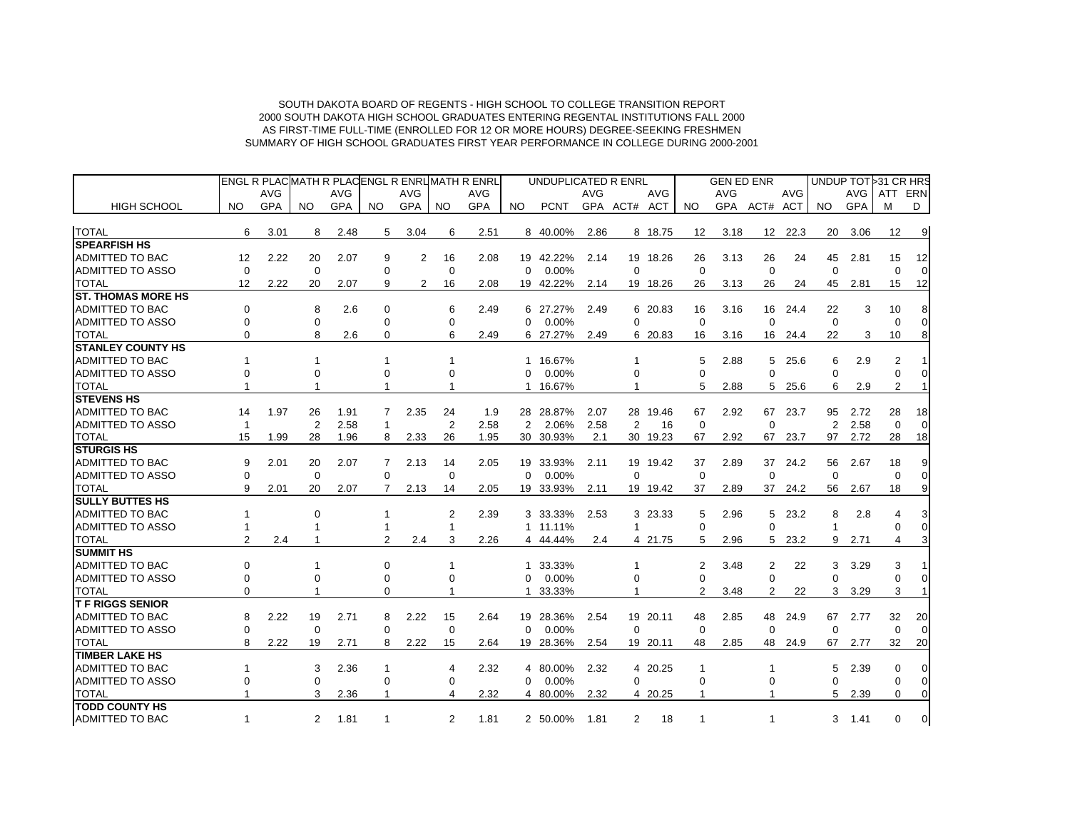|                            |             |            |                |            |              |      |                | ENGL R PLACMATH R PLACENGL R ENRUMATH R ENRL |              | UNDUPLICATED R ENRL |            |                |          |             | <b>GEN ED ENR</b> |                 |            |                |            | UNDUP TOT 31 CR HRS |             |
|----------------------------|-------------|------------|----------------|------------|--------------|------|----------------|----------------------------------------------|--------------|---------------------|------------|----------------|----------|-------------|-------------------|-----------------|------------|----------------|------------|---------------------|-------------|
|                            |             | <b>AVG</b> |                | AVG        |              | AVG  |                | AVG                                          |              |                     | <b>AVG</b> |                | AVG      |             | <b>AVG</b>        |                 | <b>AVG</b> |                | <b>AVG</b> | ATT                 | ERN         |
| <b>HIGH SCHOOL</b>         | NO.         | GPA        | NO.            | <b>GPA</b> | NO.          | GPA  | <b>NO</b>      | GPA                                          | NO.          | <b>PCNT</b>         |            | GPA ACT# ACT   |          | NO.         |                   | GPA ACT# ACT    |            | NO.            | <b>GPA</b> | м                   | D           |
| <b>TOTAL</b>               | 6           | 3.01       | 8              | 2.48       | 5            | 3.04 | 6              | 2.51                                         |              | 8 40.00%            | 2.86       |                | 8 18.75  | 12          | 3.18              | 12 <sup>2</sup> | 22.3       | 20             | 3.06       | 12                  | 9           |
| <b>SPEARFISH HS</b>        |             |            |                |            |              |      |                |                                              |              |                     |            |                |          |             |                   |                 |            |                |            |                     |             |
| <b>ADMITTED TO BAC</b>     | 12          | 2.22       | 20             | 2.07       | 9            | 2    | 16             | 2.08                                         |              | 19 42.22%           | 2.14       |                | 19 18.26 | 26          | 3.13              | 26              | 24         | 45             | 2.81       | 15                  | 12          |
| ADMITTED TO ASSO           | $\Omega$    |            | $\mathbf 0$    |            | $\Omega$     |      | 0              |                                              | $\Omega$     | 0.00%               |            | 0              |          | $\Omega$    |                   | $\Omega$        |            | $\Omega$       |            | $\Omega$            |             |
| <b>TOTAL</b>               | 12          | 2.22       | 20             | 2.07       | 9            | 2    | 16             | 2.08                                         |              | 19 42.22%           | 2.14       |                | 19 18.26 | 26          | 3.13              | 26              | 24         | 45             | 2.81       | 15                  | 12          |
| <b>IST. THOMAS MORE HS</b> |             |            |                |            |              |      |                |                                              |              |                     |            |                |          |             |                   |                 |            |                |            |                     |             |
| ADMITTED TO BAC            | $\Omega$    |            | 8              | 2.6        | $\Omega$     |      | 6              | 2.49                                         | 6            | 27.27%              | 2.49       |                | 6 20.83  | 16          | 3.16              | 16              | 24.4       | 22             | 3          | 10                  | 8           |
| <b>ADMITTED TO ASSO</b>    | $\Omega$    |            | 0              |            | $\Omega$     |      | 0              |                                              | $\Omega$     | 0.00%               |            | $\Omega$       |          | $\mathbf 0$ |                   | $\mathbf 0$     |            | $\mathbf 0$    |            | $\Omega$            | $\Omega$    |
| <b>TOTAL</b>               | $\Omega$    |            | 8              | 2.6        | $\Omega$     |      | 6              | 2.49                                         | 6            | 27.27%              | 2.49       |                | 6 20.83  | 16          | 3.16              | 16              | 24.4       | 22             | 3          | 10                  | 8           |
| <b>ISTANLEY COUNTY HS</b>  |             |            |                |            |              |      |                |                                              |              |                     |            |                |          |             |                   |                 |            |                |            |                     |             |
| <b>ADMITTED TO BAC</b>     |             |            |                |            |              |      |                |                                              |              | 1 16.67%            |            |                |          | 5           | 2.88              | 5               | 25.6       | 6              | 2.9        | 2                   |             |
| <b>ADMITTED TO ASSO</b>    | $\Omega$    |            | 0              |            | 0            |      | $\Omega$       |                                              | $\Omega$     | 0.00%               |            | 0              |          | $\Omega$    |                   | $\Omega$        |            | $\Omega$       |            | $\Omega$            | $\Omega$    |
| <b>TOTAL</b>               |             |            |                |            |              |      |                |                                              | 1            | 16.67%              |            |                |          | 5           | 2.88              | 5               | 25.6       | 6              | 2.9        | $\overline{2}$      |             |
| <b>STEVENS HS</b>          |             |            |                |            |              |      |                |                                              |              |                     |            |                |          |             |                   |                 |            |                |            |                     |             |
| <b>ADMITTED TO BAC</b>     | 14          | 1.97       | 26             | 1.91       | 7            | 2.35 | 24             | 1.9                                          |              | 28 28.87%           | 2.07       |                | 28 19.46 | 67          | 2.92              | 67              | 23.7       | 95             | 2.72       | 28                  | 18          |
| <b>ADMITTED TO ASSO</b>    | -1          |            | $\overline{2}$ | 2.58       | $\mathbf{1}$ |      | 2              | 2.58                                         | 2            | 2.06%               | 2.58       | $\overline{2}$ | 16       | $\mathbf 0$ |                   | $\mathbf 0$     |            | $\overline{2}$ | 2.58       | $\Omega$            | $\mathbf 0$ |
| <b>TOTAL</b>               | 15          | 1.99       | 28             | 1.96       | 8            | 2.33 | 26             | 1.95                                         |              | 30 30.93%           | 2.1        |                | 30 19.23 | 67          | 2.92              | 67              | 23.7       | 97             | 2.72       | 28                  | 18          |
| <b>STURGIS HS</b>          |             |            |                |            |              |      |                |                                              |              |                     |            |                |          |             |                   |                 |            |                |            |                     |             |
| ADMITTED TO BAC            | 9           | 2.01       | 20             | 2.07       | 7            | 2.13 | 14             | 2.05                                         |              | 19 33.93%           | 2.11       |                | 19 19.42 | 37          | 2.89              | 37              | 24.2       | 56             | 2.67       | 18                  | 9           |
| <b>ADMITTED TO ASSO</b>    | $\Omega$    |            | $\Omega$       |            | $\Omega$     |      | $\Omega$       |                                              | $\Omega$     | 0.00%               |            | $\Omega$       |          | $\Omega$    |                   | $\Omega$        |            | $\Omega$       |            | $\Omega$            | $\Omega$    |
| <b>TOTAL</b>               | 9           | 2.01       | 20             | 2.07       | 7            | 2.13 | 14             | 2.05                                         |              | 19 33.93%           | 2.11       |                | 19 19.42 | 37          | 2.89              |                 | 37 24.2    | 56             | 2.67       | 18                  | 9           |
| <b>SULLY BUTTES HS</b>     |             |            |                |            |              |      |                |                                              |              |                     |            |                |          |             |                   |                 |            |                |            |                     |             |
| <b>ADMITTED TO BAC</b>     |             |            | 0              |            |              |      | 2              | 2.39                                         |              | 3 33.33%            | 2.53       |                | 3 23.33  | 5           | 2.96              | 5               | 23.2       | 8              | 2.8        | 4                   | 3           |
| <b>ADMITTED TO ASSO</b>    |             |            |                |            |              |      |                |                                              | $\mathbf{1}$ | 11.11%              |            | 1              |          | $\Omega$    |                   | $\Omega$        |            | -1             |            | $\Omega$            | $\mathbf 0$ |
| <b>TOTAL</b>               | 2           | 2.4        | -1             |            | 2            | 2.4  | 3              | 2.26                                         |              | 4 44.44%            | 2.4        |                | 4 21.75  | 5           | 2.96              | 5               | 23.2       | 9              | 2.71       | 4                   | 3           |
| <b>SUMMIT HS</b>           |             |            |                |            |              |      |                |                                              |              |                     |            |                |          |             |                   |                 |            |                |            |                     |             |
| <b>ADMITTED TO BAC</b>     | $\Omega$    |            |                |            | 0            |      |                |                                              | 1            | 33.33%              |            |                |          | 2           | 3.48              | 2               | 22         | 3              | 3.29       | 3                   |             |
| <b>ADMITTED TO ASSO</b>    | $\Omega$    |            | 0              |            | 0            |      | 0              |                                              | $\Omega$     | 0.00%               |            | $\Omega$       |          | $\Omega$    |                   | 0               |            | $\Omega$       |            | O                   | $\Omega$    |
| <b>TOTAL</b>               | $\Omega$    |            |                |            | $\Omega$     |      |                |                                              | 1            | 33.33%              |            | 1              |          | 2           | 3.48              | $\overline{2}$  | 22         | 3              | 3.29       | 3                   |             |
| <b>T F RIGGS SENIOR</b>    |             |            |                |            |              |      |                |                                              |              |                     |            |                |          |             |                   |                 |            |                |            |                     |             |
| <b>ADMITTED TO BAC</b>     | 8           | 2.22       | 19             | 2.71       | 8            | 2.22 | 15             | 2.64                                         | 19           | 28.36%              | 2.54       |                | 19 20.11 | 48          | 2.85              | 48              | 24.9       | 67             | 2.77       | 32                  | 20          |
| <b>ADMITTED TO ASSO</b>    | $\Omega$    |            | $\Omega$       |            | $\Omega$     |      | 0              |                                              | $\Omega$     | 0.00%               |            | $\Omega$       |          | $\Omega$    |                   | $\Omega$        |            | $\Omega$       |            | $\Omega$            | $\Omega$    |
| <b>TOTAL</b>               | 8           | 2.22       | 19             | 2.71       | 8            | 2.22 | 15             | 2.64                                         |              | 19 28.36%           | 2.54       |                | 19 20.11 | 48          | 2.85              | 48              | 24.9       | 67             | 2.77       | 32                  | 20          |
| <b>TIMBER LAKE HS</b>      |             |            |                |            |              |      |                |                                              |              |                     |            |                |          |             |                   |                 |            |                |            |                     |             |
| <b>ADMITTED TO BAC</b>     |             |            | 3              | 2.36       | -1           |      | 4              | 2.32                                         |              | 4 80.00%            | 2.32       |                | 4 20.25  | -1          |                   |                 |            | 5              | 2.39       | $\Omega$            | $\Omega$    |
| <b>ADMITTED TO ASSO</b>    | $\Omega$    |            | $\Omega$       |            | $\Omega$     |      | $\Omega$       |                                              | $\Omega$     | 0.00%               |            | $\Omega$       |          | $\Omega$    |                   | $\Omega$        |            | 0              |            | $\Omega$            | $\Omega$    |
| <b>TOTAL</b>               |             |            | 3              | 2.36       | 1            |      | 4              | 2.32                                         |              | 4 80.00%            | 2.32       |                | 4 20.25  | -1          |                   |                 |            | 5              | 2.39       | $\Omega$            | ∩           |
| <b>TODD COUNTY HS</b>      |             |            |                |            |              |      |                |                                              |              |                     |            |                |          |             |                   |                 |            |                |            |                     |             |
| <b>ADMITTED TO BAC</b>     | $\mathbf 1$ |            | 2              | 1.81       | $\mathbf 1$  |      | $\overline{2}$ | 1.81                                         |              | 2 50.00%            | 1.81       | 2              | 18       | -1          |                   |                 |            | 3              | 1.41       | $\Omega$            | $\Omega$    |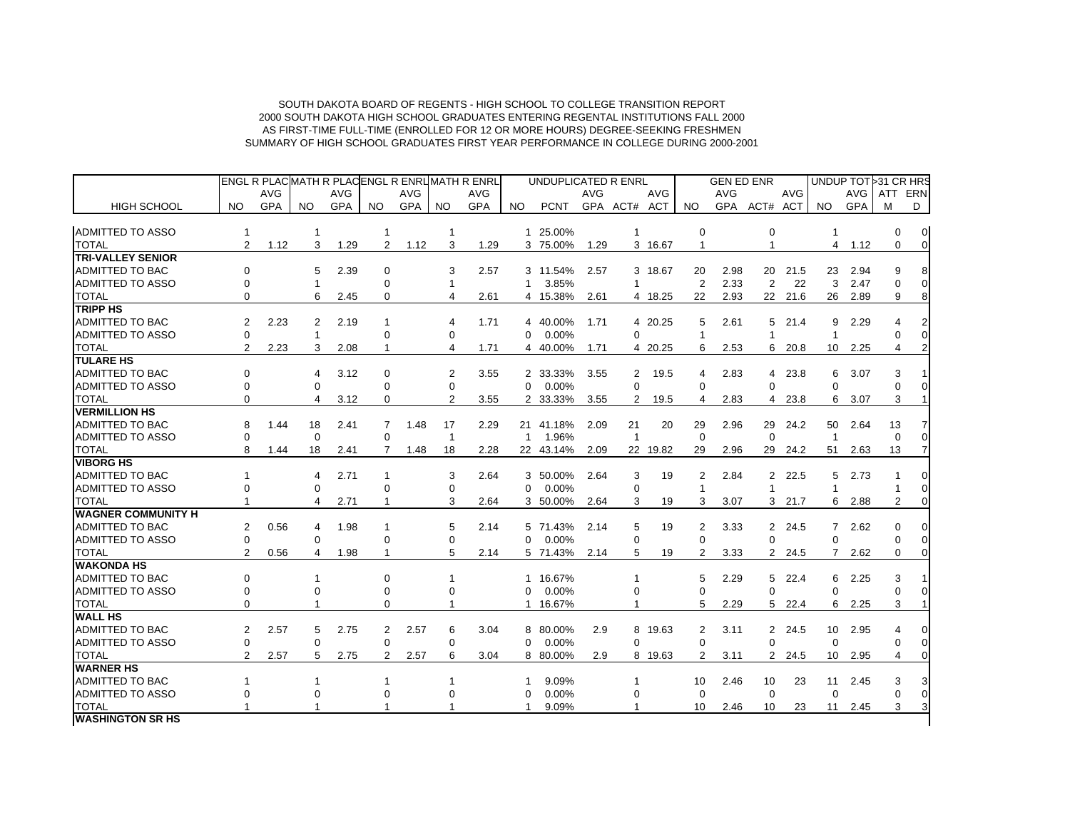|                           | <b>ENGL R PLACMATH R PLACENGL R ENRUMATH R ENRL</b> |            |                |            |                | UNDUPLICATED R ENRL |                |            |              |             | <b>GEN ED ENR</b> |                       |            |                |            |                | UNDUP TOT 31 CR HRS |                 |            |                |                |
|---------------------------|-----------------------------------------------------|------------|----------------|------------|----------------|---------------------|----------------|------------|--------------|-------------|-------------------|-----------------------|------------|----------------|------------|----------------|---------------------|-----------------|------------|----------------|----------------|
|                           |                                                     | <b>AVG</b> |                | <b>AVG</b> |                | <b>AVG</b>          |                | AVG        |              |             | <b>AVG</b>        |                       | <b>AVG</b> |                | <b>AVG</b> |                | AVG                 |                 | AVG        | ATT ERN        |                |
| <b>HIGH SCHOOL</b>        | NO.                                                 | <b>GPA</b> | NO.            | <b>GPA</b> | NO.            | <b>GPA</b>          | NO.            | <b>GPA</b> | NO.          | <b>PCNT</b> |                   | GPA ACT# ACT          |            | NO.            | <b>GPA</b> | ACT# ACT       |                     | NO.             | <b>GPA</b> | M              | D              |
|                           |                                                     |            |                |            |                |                     |                |            |              |             |                   |                       |            |                |            |                |                     |                 |            |                |                |
| <b>ADMITTED TO ASSO</b>   | 1                                                   |            |                |            |                |                     | $\mathbf 1$    |            |              | 1 25.00%    |                   |                       |            | $\mathbf 0$    |            | $\mathbf 0$    |                     | $\mathbf{1}$    |            | 0              | $\overline{0}$ |
| <b>TOTAL</b>              | 2                                                   | 1.12       | 3              | 1.29       | 2              | 1.12                | 3              | 1.29       |              | 3 75.00%    | 1.29              |                       | 3 16.67    | $\mathbf{1}$   |            | $\mathbf{1}$   |                     | $\overline{4}$  | 1.12       | $\Omega$       | $\Omega$       |
| <b>TRI-VALLEY SENIOR</b>  |                                                     |            |                |            |                |                     |                |            |              |             |                   |                       |            |                |            |                |                     |                 |            |                |                |
| <b>ADMITTED TO BAC</b>    | $\Omega$                                            |            | 5              | 2.39       | $\Omega$       |                     | 3              | 2.57       |              | 3 11.54%    | 2.57              |                       | 3 18.67    | 20             | 2.98       | 20             | 21.5                | 23              | 2.94       | 9              |                |
| <b>ADMITTED TO ASSO</b>   | $\Omega$                                            |            | $\overline{1}$ |            | 0              |                     | $\mathbf{1}$   |            | $\mathbf{1}$ | 3.85%       |                   | $\mathbf{1}$          |            | 2              | 2.33       | 2              | 22                  | 3               | 2.47       | $\Omega$       | $\Omega$       |
| <b>TOTAL</b>              | $\Omega$                                            |            | 6              | 2.45       | 0              |                     | 4              | 2.61       |              | 4 15.38%    | 2.61              |                       | 4 18.25    | 22             | 2.93       |                | 22 21.6             | 26              | 2.89       | 9              |                |
| <b>TRIPP HS</b>           |                                                     |            |                |            |                |                     |                |            |              |             |                   |                       |            |                |            |                |                     |                 |            |                |                |
| <b>ADMITTED TO BAC</b>    | 2                                                   | 2.23       | 2              | 2.19       | $\mathbf{1}$   |                     | 4              | 1.71       |              | 4 40.00%    | 1.71              |                       | 4 20.25    | 5              | 2.61       | 5              | 21.4                | 9               | 2.29       | 4              |                |
| ADMITTED TO ASSO          | $\Omega$                                            |            | $\mathbf{1}$   |            | 0              |                     | $\Omega$       |            | $\Omega$     | 0.00%       |                   | $\Omega$              |            | $\mathbf{1}$   |            | $\overline{1}$ |                     | $\mathbf{1}$    |            | $\Omega$       |                |
| <b>TOTAL</b>              | $\overline{2}$                                      | 2.23       | 3              | 2.08       | $\mathbf{1}$   |                     | 4              | 1.71       |              | 4 40.00%    | 1.71              |                       | 4 20.25    | 6              | 2.53       |                | 6 20.8              | 10 <sup>1</sup> | 2.25       | 4              |                |
| <b>TULARE HS</b>          |                                                     |            |                |            |                |                     |                |            |              |             |                   |                       |            |                |            |                |                     |                 |            |                |                |
| <b>ADMITTED TO BAC</b>    | 0                                                   |            | 4              | 3.12       | $\mathbf 0$    |                     | $\overline{2}$ | 3.55       |              | 2 33.33%    | 3.55              | $\overline{2}$        | 19.5       | $\overline{4}$ | 2.83       |                | 4 23.8              | 6               | 3.07       | 3              |                |
| <b>ADMITTED TO ASSO</b>   | $\Omega$                                            |            | $\Omega$       |            | 0              |                     | $\Omega$       |            | $\Omega$     | 0.00%       |                   | $\Omega$              |            | $\Omega$       |            | $\Omega$       |                     | $\Omega$        |            | $\Omega$       |                |
| <b>TOTAL</b>              | $\Omega$                                            |            | 4              | 3.12       | 0              |                     | $\overline{2}$ | 3.55       |              | 2 33.33%    | 3.55              | $\mathbf{2}^{\prime}$ | 19.5       | $\overline{4}$ | 2.83       | $\overline{4}$ | 23.8                | 6               | 3.07       | 3              |                |
| <b>VERMILLION HS</b>      |                                                     |            |                |            |                |                     |                |            |              |             |                   |                       |            |                |            |                |                     |                 |            |                |                |
| <b>ADMITTED TO BAC</b>    | 8                                                   | 1.44       | 18             | 2.41       | 7              | 1.48                | 17             | 2.29       |              | 21 41.18%   | 2.09              | 21                    | 20         | 29             | 2.96       | 29             | 24.2                | 50              | 2.64       | 13             |                |
| <b>ADMITTED TO ASSO</b>   | 0                                                   |            | $\Omega$       |            | 0              |                     | $\mathbf{1}$   |            | $\mathbf{1}$ | 1.96%       |                   | $\overline{1}$        |            | $\mathbf 0$    |            | $\Omega$       |                     | $\mathbf{1}$    |            | $\Omega$       |                |
| <b>TOTAL</b>              | 8                                                   | 1.44       | 18             | 2.41       | 7              | 1.48                | 18             | 2.28       |              | 22 43.14%   | 2.09              |                       | 22 19.82   | 29             | 2.96       |                | 29 24.2             | 51              | 2.63       | 13             |                |
| <b>VIBORG HS</b>          |                                                     |            |                |            |                |                     |                |            |              |             |                   |                       |            |                |            |                |                     |                 |            |                |                |
| <b>ADMITTED TO BAC</b>    |                                                     |            | 4              | 2.71       | $\mathbf{1}$   |                     | 3              | 2.64       |              | 3 50.00%    | 2.64              | 3                     | 19         | 2              | 2.84       |                | 2 22.5              | 5               | 2.73       | -1             |                |
| ADMITTED TO ASSO          | $\Omega$                                            |            | 0              |            | 0              |                     | $\Omega$       |            | $\Omega$     | 0.00%       |                   | $\Omega$              |            | $\mathbf{1}$   |            | $\overline{1}$ |                     | $\mathbf{1}$    |            | 1              | $\Omega$       |
| <b>TOTAL</b>              |                                                     |            | 4              | 2.71       |                |                     | 3              | 2.64       |              | 3 50.00%    | 2.64              | 3                     | 19         | 3              | 3.07       |                | $3$ 21.7            | 6               | 2.88       | $\overline{2}$ |                |
| <b>WAGNER COMMUNITY H</b> |                                                     |            |                |            |                |                     |                |            |              |             |                   |                       |            |                |            |                |                     |                 |            |                |                |
| <b>ADMITTED TO BAC</b>    | 2                                                   | 0.56       | 4              | 1.98       | 1              |                     | 5              | 2.14       | 5            | 71.43%      | 2.14              | 5                     | 19         | 2              | 3.33       |                | 2 24.5              | $\overline{7}$  | 2.62       | $\Omega$       |                |
| <b>ADMITTED TO ASSO</b>   | $\Omega$                                            |            | $\Omega$       |            | $\Omega$       |                     | $\Omega$       |            | $\Omega$     | 0.00%       |                   | $\Omega$              |            | $\Omega$       |            | $\Omega$       |                     | $\Omega$        |            | $\Omega$       |                |
| <b>TOTAL</b>              | $\overline{2}$                                      | 0.56       | 4              | 1.98       | $\overline{1}$ |                     | 5              | 2.14       |              | 5 71.43%    | 2.14              | 5                     | 19         | $\overline{2}$ | 3.33       |                | 2 24.5              | 7               | 2.62       | $\Omega$       |                |
| <b>WAKONDA HS</b>         |                                                     |            |                |            |                |                     |                |            |              |             |                   |                       |            |                |            |                |                     |                 |            |                |                |
| <b>ADMITTED TO BAC</b>    | $\Omega$                                            |            | $\mathbf{1}$   |            | $\Omega$       |                     | $\mathbf{1}$   |            | $\mathbf{1}$ | 16.67%      |                   |                       |            | 5              | 2.29       |                | 5 22.4              | 6               | 2.25       | 3              |                |
| <b>ADMITTED TO ASSO</b>   | $\Omega$                                            |            | 0              |            | 0              |                     | $\Omega$       |            | $\Omega$     | 0.00%       |                   | $\Omega$              |            | $\Omega$       |            | $\Omega$       |                     | $\Omega$        |            | $\Omega$       |                |
| <b>TOTAL</b>              | $\Omega$                                            |            |                |            | 0              |                     |                |            | $\mathbf{1}$ | 16.67%      |                   |                       |            | 5              | 2.29       | 5              | 22.4                | 6               | 2.25       | 3              |                |
| <b>WALL HS</b>            |                                                     |            |                |            |                |                     |                |            |              |             |                   |                       |            |                |            |                |                     |                 |            |                |                |
| <b>ADMITTED TO BAC</b>    | $\overline{2}$                                      | 2.57       | 5              | 2.75       | 2              | 2.57                | 6              | 3.04       |              | 8 80.00%    | 2.9               |                       | 8 19.63    | $\overline{2}$ | 3.11       |                | 2 24.5              | 10 <sup>1</sup> | 2.95       | 4              |                |
| <b>ADMITTED TO ASSO</b>   | $\mathbf 0$                                         |            | $\Omega$       |            | 0              |                     | $\Omega$       |            | $\Omega$     | 0.00%       |                   | $\Omega$              |            | $\Omega$       |            | $\Omega$       |                     | $\Omega$        |            | $\Omega$       |                |
| <b>TOTAL</b>              | $\overline{2}$                                      | 2.57       | 5              | 2.75       | $\overline{2}$ | 2.57                | 6              | 3.04       |              | 8 80.00%    | 2.9               |                       | 8 19.63    | 2              | 3.11       |                | 2 24.5              | 10 <sup>°</sup> | 2.95       | 4              |                |
| <b>WARNER HS</b>          |                                                     |            |                |            |                |                     |                |            |              |             |                   |                       |            |                |            |                |                     |                 |            |                |                |
| <b>ADMITTED TO BAC</b>    | 1                                                   |            | $\mathbf 1$    |            | $\overline{1}$ |                     | $\mathbf{1}$   |            | -1           | 9.09%       |                   | 1                     |            | 10             | 2.46       | 10             | 23                  | 11              | 2.45       | 3              |                |
| ADMITTED TO ASSO          | O                                                   |            | 0              |            | 0              |                     | $\Omega$       |            | $\Omega$     | 0.00%       |                   | $\Omega$              |            | $\Omega$       |            | $\Omega$       |                     | $\Omega$        |            | $\Omega$       |                |
| <b>TOTAL</b>              |                                                     |            |                |            |                |                     | 1              |            | $\mathbf{1}$ | 9.09%       |                   |                       |            | 10             | 2.46       | 10             | 23                  | 11              | 2.45       | 3              |                |
| <b>WASHINGTON SR HS</b>   |                                                     |            |                |            |                |                     |                |            |              |             |                   |                       |            |                |            |                |                     |                 |            |                |                |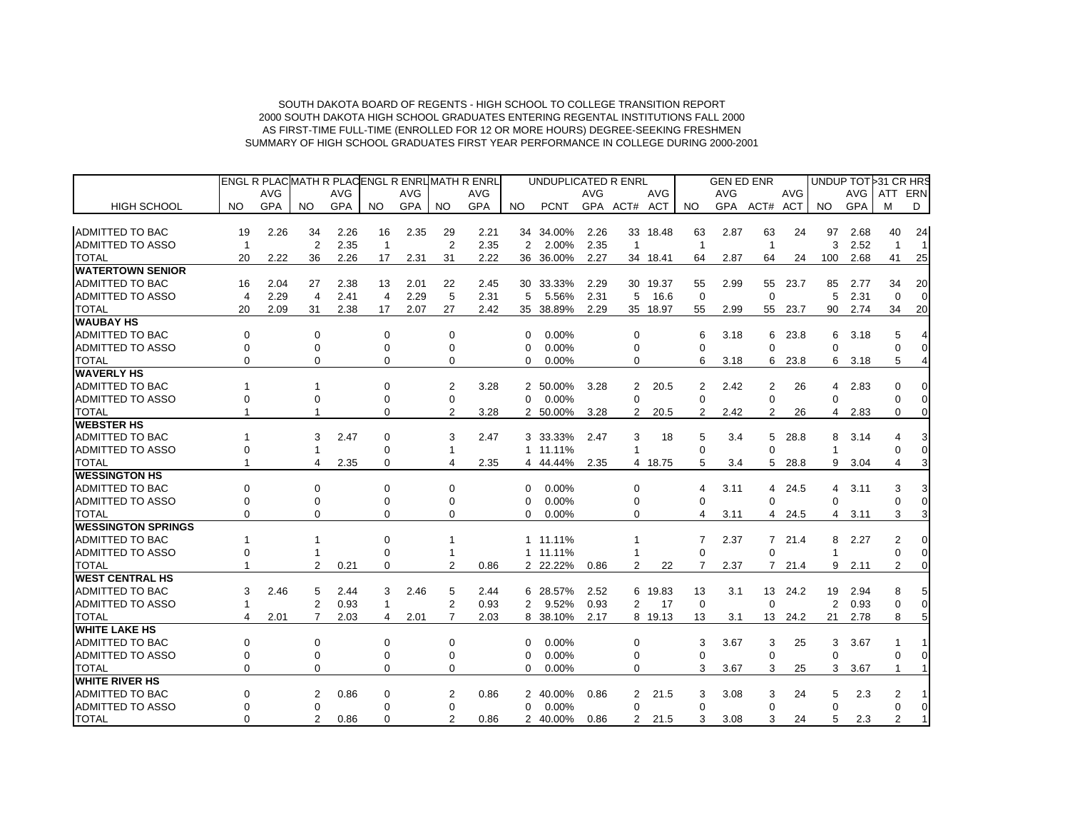|                            |                |            |                |            | ENGL R PLACMATH R PLACENGL R ENRUMATH R ENRL |            |                |            | UNDUPLICATED R ENRL |             |            |                         |            | <b>GEN ED ENR</b> |            |                |            | UNDUP TOT 31 CR HRS |            |                |                |
|----------------------------|----------------|------------|----------------|------------|----------------------------------------------|------------|----------------|------------|---------------------|-------------|------------|-------------------------|------------|-------------------|------------|----------------|------------|---------------------|------------|----------------|----------------|
|                            |                | <b>AVG</b> |                | <b>AVG</b> |                                              | <b>AVG</b> |                | <b>AVG</b> |                     |             | <b>AVG</b> |                         | <b>AVG</b> |                   | <b>AVG</b> |                | <b>AVG</b> |                     | AVG        | ATT            | ERN            |
| <b>HIGH SCHOOL</b>         | NO.            | <b>GPA</b> | NO.            | <b>GPA</b> | NO.                                          | GPA        | NO.            | <b>GPA</b> | NO.                 | <b>PCNT</b> |            | GPA ACT# ACT            |            | NO.               |            | GPA ACT# ACT   |            | NO.                 | <b>GPA</b> | м              | D              |
| <b>ADMITTED TO BAC</b>     | 19             | 2.26       | 34             | 2.26       | 16                                           | 2.35       | 29             | 2.21       | 34                  | 34.00%      | 2.26       |                         | 33 18.48   | 63                | 2.87       | 63             | 24         | 97                  | 2.68       | 40             | 24             |
| <b>ADMITTED TO ASSO</b>    | $\mathbf 1$    |            | 2              | 2.35       | $\overline{1}$                               |            | $\overline{2}$ | 2.35       | 2                   | 2.00%       | 2.35       | $\overline{\mathbf{1}}$ |            | $\overline{1}$    |            | $\overline{1}$ |            | 3                   | 2.52       | $\overline{1}$ | $\overline{1}$ |
| <b>TOTAL</b>               | 20             | 2.22       | 36             | 2.26       | 17                                           | 2.31       | 31             | 2.22       | 36                  | 36.00%      | 2.27       |                         | 34 18.41   | 64                | 2.87       | 64             | 24         | 100                 | 2.68       | 41             | 25             |
| <b>WATERTOWN SENIOR</b>    |                |            |                |            |                                              |            |                |            |                     |             |            |                         |            |                   |            |                |            |                     |            |                |                |
| <b>ADMITTED TO BAC</b>     | 16             | 2.04       | 27             | 2.38       | 13                                           | 2.01       | 22             | 2.45       |                     | 30 33.33%   | 2.29       |                         | 30 19.37   | 55                | 2.99       | 55             | 23.7       | 85                  | 2.77       | 34             | 20             |
| <b>ADMITTED TO ASSO</b>    | $\overline{4}$ | 2.29       | $\overline{4}$ | 2.41       | 4                                            | 2.29       | 5              | 2.31       | 5                   | 5.56%       | 2.31       | 5                       | 16.6       | $\mathbf 0$       |            | $\mathbf 0$    |            | 5                   | 2.31       | $\mathbf 0$    | $\Omega$       |
| <b>TOTAL</b>               | 20             | 2.09       | 31             | 2.38       | 17                                           | 2.07       | 27             | 2.42       |                     | 35 38.89%   | 2.29       |                         | 35 18.97   | 55                | 2.99       | 55             | 23.7       | 90                  | 2.74       | 34             | 20             |
| <b>WAUBAY HS</b>           |                |            |                |            |                                              |            |                |            |                     |             |            |                         |            |                   |            |                |            |                     |            |                |                |
| <b>ADMITTED TO BAC</b>     | $\Omega$       |            | $\Omega$       |            | 0                                            |            | 0              |            | 0                   | $0.00\%$    |            | 0                       |            | 6                 | 3.18       | 6              | 23.8       | 6                   | 3.18       | 5              |                |
| <b>ADMITTED TO ASSO</b>    | $\Omega$       |            | $\Omega$       |            | 0                                            |            | $\Omega$       |            | $\Omega$            | 0.00%       |            | 0                       |            | $\Omega$          |            | $\Omega$       |            | $\Omega$            |            |                | $\Omega$       |
| <b>TOTAL</b>               | $\Omega$       |            | $\Omega$       |            | $\Omega$                                     |            | $\Omega$       |            | $\Omega$            | 0.00%       |            | 0                       |            | 6                 | 3.18       | 6              | 23.8       | 6                   | 3.18       | 5              |                |
| <b>WAVERLY HS</b>          |                |            |                |            |                                              |            |                |            |                     |             |            |                         |            |                   |            |                |            |                     |            |                |                |
| <b>ADMITTED TO BAC</b>     |                |            |                |            | $\Omega$                                     |            | $\overline{2}$ | 3.28       |                     | 2 50.00%    | 3.28       | 2                       | 20.5       | 2                 | 2.42       | 2              | 26         | 4                   | 2.83       | $\Omega$       | $\Omega$       |
| <b>ADMITTED TO ASSO</b>    |                |            | U              |            | $\Omega$                                     |            | 0              |            | $\Omega$            | 0.00%       |            | 0                       |            | $\mathbf 0$       |            | $\Omega$       |            | $\Omega$            |            |                | 0              |
| <b>TOTAL</b>               |                |            |                |            | 0                                            |            | $\overline{2}$ | 3.28       |                     | 2 50.00%    | 3.28       | $\overline{2}$          | 20.5       | 2                 | 2.42       | 2              | 26         | 4                   | 2.83       | $\Omega$       | $\overline{0}$ |
| <b>WEBSTER HS</b>          |                |            |                |            |                                              |            |                |            |                     |             |            |                         |            |                   |            |                |            |                     |            |                |                |
| <b>ADMITTED TO BAC</b>     |                |            | 3              | 2.47       | $\Omega$                                     |            | 3              | 2.47       |                     | 3 33.33%    | 2.47       | 3                       | 18         | 5                 | 3.4        | 5              | 28.8       | 8                   | 3.14       | 4              | 3              |
| <b>ADMITTED TO ASSO</b>    | ∩              |            |                |            | $\Omega$                                     |            |                |            |                     | 1 11.11%    |            |                         |            | $\Omega$          |            | $\Omega$       |            | -1                  |            |                | $\Omega$       |
| <b>TOTAL</b>               |                |            | 4              | 2.35       | 0                                            |            | 4              | 2.35       |                     | 4 44.44%    | 2.35       |                         | 4 18.75    | 5                 | 3.4        | 5              | 28.8       | 9                   | 3.04       | 4              | 3              |
| <b>WESSINGTON HS</b>       |                |            |                |            |                                              |            |                |            |                     |             |            |                         |            |                   |            |                |            |                     |            |                |                |
| <b>ADMITTED TO BAC</b>     | $\Omega$       |            | $\Omega$       |            | $\Omega$                                     |            | $\Omega$       |            | $\mathbf 0$         | 0.00%       |            | 0                       |            | 4                 | 3.11       |                | 4 24.5     | 4                   | 3.11       | 3              | 3              |
| <b>ADMITTED TO ASSO</b>    | $\Omega$       |            | $\Omega$       |            | $\Omega$                                     |            | $\Omega$       |            | $\Omega$            | 0.00%       |            | 0                       |            | $\Omega$          |            | $\Omega$       |            | $\Omega$            |            | $\Omega$       | $\Omega$       |
| <b>TOTAL</b>               | $\Omega$       |            | $\Omega$       |            | $\Omega$                                     |            | 0              |            | 0                   | 0.00%       |            | 0                       |            | 4                 | 3.11       | 4              | 24.5       | 4                   | 3.11       | 3              | 3              |
| <b>IWESSINGTON SPRINGS</b> |                |            |                |            |                                              |            |                |            |                     |             |            |                         |            |                   |            |                |            |                     |            |                |                |
| <b>ADMITTED TO BAC</b>     |                |            |                |            | 0                                            |            |                |            |                     | 1 11.11%    |            |                         |            | 7                 | 2.37       |                | 721.4      | 8                   | 2.27       | 2              | $\Omega$       |
| <b>ADMITTED TO ASSO</b>    | $\Omega$       |            |                |            | 0                                            |            |                |            |                     | 1 11.11%    |            |                         |            | $\mathbf 0$       |            | $\Omega$       |            |                     |            | $\Omega$       | $\Omega$       |
| <b>TOTAL</b>               |                |            | 2              | 0.21       | 0                                            |            | $\overline{2}$ | 0.86       |                     | 2 22.22%    | 0.86       | 2                       | 22         | 7                 | 2.37       | 7              | 21.4       | 9                   | 2.11       | $\overline{2}$ | $\Omega$       |
| <b>WEST CENTRAL HS</b>     |                |            |                |            |                                              |            |                |            |                     |             |            |                         |            |                   |            |                |            |                     |            |                |                |
| <b>ADMITTED TO BAC</b>     | 3              | 2.46       | 5              | 2.44       | 3                                            | 2.46       | 5              | 2.44       | 6                   | 28.57%      | 2.52       |                         | 6 19.83    | 13                | 3.1        | 13             | 24.2       | 19                  | 2.94       | 8              | 5              |
| <b>ADMITTED TO ASSO</b>    | 1              |            | 2              | 0.93       | $\mathbf{1}$                                 |            | $\overline{2}$ | 0.93       | 2                   | 9.52%       | 0.93       | 2                       | 17         | $\mathbf 0$       |            | $\Omega$       |            | 2                   | 0.93       | $\Omega$       | $\overline{0}$ |
| <b>TOTAL</b>               | 4              | 2.01       | $\overline{7}$ | 2.03       | 4                                            | 2.01       | $\overline{7}$ | 2.03       | 8                   | 38.10%      | 2.17       |                         | 8 19.13    | 13                | 3.1        | 13             | 24.2       | 21                  | 2.78       | 8              | 5              |
| <b>WHITE LAKE HS</b>       |                |            |                |            |                                              |            |                |            |                     |             |            |                         |            |                   |            |                |            |                     |            |                |                |
| <b>ADMITTED TO BAC</b>     | 0              |            | $\Omega$       |            | $\Omega$                                     |            | 0              |            | $\Omega$            | 0.00%       |            | 0                       |            | 3                 | 3.67       | 3              | 25         | 3                   | 3.67       |                |                |
| <b>ADMITTED TO ASSO</b>    | 0              |            | 0              |            | 0                                            |            | 0              |            | $\mathbf 0$         | 0.00%       |            | 0                       |            | $\mathbf 0$       |            | 0              |            | $\Omega$            |            | 0              | 0              |
| <b>TOTAL</b>               | $\Omega$       |            | $\Omega$       |            | $\Omega$                                     |            | $\Omega$       |            | O                   | 0.00%       |            | 0                       |            | 3                 | 3.67       | 3              | 25         | 3                   | 3.67       | $\mathbf{1}$   | $\mathbf{1}$   |
| <b>WHITE RIVER HS</b>      |                |            |                |            |                                              |            |                |            |                     |             |            |                         |            |                   |            |                |            |                     |            |                |                |
| <b>ADMITTED TO BAC</b>     | 0              |            | 2              | 0.86       | 0                                            |            | 2              | 0.86       | 2                   | 40.00%      | 0.86       | 2                       | 21.5       | 3                 | 3.08       | 3              | 24         | 5                   | 2.3        | 2              |                |
| <b>ADMITTED TO ASSO</b>    |                |            | $\Omega$       |            | $\Omega$                                     |            | $\Omega$       |            | $\Omega$            | 0.00%       |            | $\Omega$                |            | $\Omega$          |            | $\Omega$       |            | $\Omega$            |            | $\Omega$       | $\overline{0}$ |
| <b>TOTAL</b>               | $\Omega$       |            | $\overline{2}$ | 0.86       | 0                                            |            | $\overline{2}$ | 0.86       |                     | 2 40.00%    | 0.86       | 2                       | 21.5       | 3                 | 3.08       | 3              | 24         | 5                   | 2.3        |                | $\mathbf{1}$   |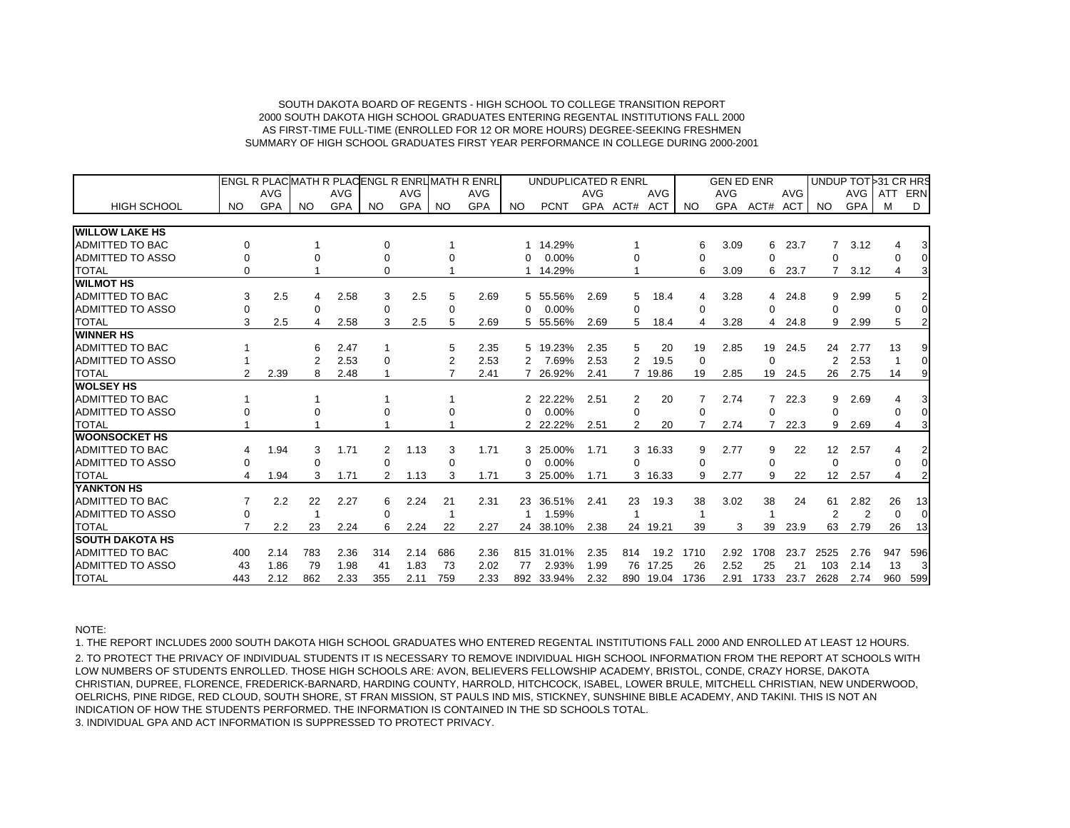|                         | IENGL R PLACIMATH R PLACIENGL R ENRLIMATH R ENRL |            |           |            |           |            |                |            |           | UNDUPLICATED R ENRL |            |                |            |             | <b>GEN ED ENR</b> |          |            |                   |                | UNDUP TOT 31 CR HRS |                |
|-------------------------|--------------------------------------------------|------------|-----------|------------|-----------|------------|----------------|------------|-----------|---------------------|------------|----------------|------------|-------------|-------------------|----------|------------|-------------------|----------------|---------------------|----------------|
|                         |                                                  | <b>AVG</b> |           | <b>AVG</b> |           | <b>AVG</b> |                | <b>AVG</b> |           |                     | <b>AVG</b> |                | <b>AVG</b> |             | <b>AVG</b>        |          | <b>AVG</b> |                   | <b>AVG</b>     | <b>ATT</b>          | ERN            |
| <b>HIGH SCHOOL</b>      | <b>NO</b>                                        | <b>GPA</b> | <b>NO</b> | <b>GPA</b> | <b>NO</b> | <b>GPA</b> | <b>NO</b>      | <b>GPA</b> | <b>NO</b> | <b>PCNT</b>         |            | GPA ACT#       | <b>ACT</b> | NO.         | <b>GPA</b>        | ACT#     | ACT        | N <sub>O</sub>    | <b>GPA</b>     | M                   | D              |
| <b>WILLOW LAKE HS</b>   |                                                  |            |           |            |           |            |                |            |           |                     |            |                |            |             |                   |          |            |                   |                |                     |                |
| <b>ADMITTED TO BAC</b>  | $\Omega$                                         |            |           |            |           |            |                |            | 1         | 14.29%              |            |                |            | 6           | 3.09              | 6        | 23.7       |                   | 3.12           |                     | 3              |
| <b>ADMITTED TO ASSO</b> | $\Omega$                                         |            |           |            |           |            |                |            | $\Omega$  | 0.00%               |            |                |            | 0           |                   | 0        |            | 0                 |                | 0                   | $\Omega$       |
| <b>TOTAL</b>            | $\Omega$                                         |            |           |            | $\Omega$  |            |                |            |           | 14.29%              |            |                |            | 6           | 3.09              | 6        | 23.7       |                   | 3.12           | 4                   | 3              |
| <b>WILMOT HS</b>        |                                                  |            |           |            |           |            |                |            |           |                     |            |                |            |             |                   |          |            |                   |                |                     |                |
| <b>ADMITTED TO BAC</b>  | 3                                                | 2.5        | 4         | 2.58       | 3         | 2.5        | 5              | 2.69       | 5         | 55.56%              | 2.69       | 5              | 18.4       | 4           | 3.28              | 4        | 24.8       | 9                 | 2.99           |                     |                |
| <b>ADMITTED TO ASSO</b> | $\Omega$                                         |            | $\Omega$  |            | $\Omega$  |            | $\Omega$       |            | $\Omega$  | 0.00%               |            | 0              |            | $\Omega$    |                   | $\Omega$ |            | $\Omega$          |                | $\Omega$            | $\Omega$       |
| <b>TOTAL</b>            | 3                                                | 2.5        | 4         | 2.58       | 3         | 2.5        | 5              | 2.69       |           | 5 55.56%            | 2.69       | 5              | 18.4       | 4           | 3.28              | 4        | 24.8       | 9                 | 2.99           | 5                   |                |
| <b>WINNER HS</b>        |                                                  |            |           |            |           |            |                |            |           |                     |            |                |            |             |                   |          |            |                   |                |                     |                |
| <b>ADMITTED TO BAC</b>  |                                                  |            | 6         | 2.47       |           |            | 5              | 2.35       | 5         | 19.23%              | 2.35       | 5              | 20         | 19          | 2.85              | 19       | 24.5       | 24                | 2.77           | 13                  |                |
| <b>ADMITTED TO ASSO</b> |                                                  |            |           | 2.53       | $\Omega$  |            | $\overline{2}$ | 2.53       | 2         | 7.69%               | 2.53       | $\overline{2}$ | 19.5       | $\mathbf 0$ |                   | $\Omega$ |            | $\overline{2}$    | 2.53           | -1                  | $\overline{0}$ |
| <b>TOTAL</b>            | 2                                                | 2.39       | 8         | 2.48       |           |            | 7              | 2.41       |           | 26.92%              | 2.41       | 7              | 19.86      | 19          | 2.85              | 19       | 24.5       | 26                | 2.75           | 14                  | 9              |
| <b>WOLSEY HS</b>        |                                                  |            |           |            |           |            |                |            |           |                     |            |                |            |             |                   |          |            |                   |                |                     |                |
| ADMITTED TO BAC         |                                                  |            |           |            |           |            |                |            | 2         | 22.22%              | 2.51       | 2              | 20         |             | 2.74              |          | 722.3      | 9                 | 2.69           | 4                   | 3              |
| <b>ADMITTED TO ASSO</b> |                                                  |            |           |            |           |            |                |            | $\Omega$  | 0.00%               |            | 0              |            | 0           |                   | $\Omega$ |            | $\Omega$          |                | 0                   | $\overline{0}$ |
| <b>TOTAL</b>            |                                                  |            |           |            |           |            |                |            | 2         | 22.22%              | 2.51       | 2              | 20         |             | 2.74              |          | 22.3       | 9                 | 2.69           | $\overline{4}$      | 3              |
| <b>WOONSOCKET HS</b>    |                                                  |            |           |            |           |            |                |            |           |                     |            |                |            |             |                   |          |            |                   |                |                     |                |
| <b>ADMITTED TO BAC</b>  | 4                                                | 1.94       | 3         | 1.71       | 2         | 1.13       | 3              | 1.71       | 3         | 25.00%              | 1.71       |                | 3 16.33    | 9           | 2.77              | 9        | 22         | $12 \overline{ }$ | 2.57           |                     | 2              |
| <b>ADMITTED TO ASSO</b> | 0                                                |            | 0         |            | $\Omega$  |            | 0              |            | 0         | 0.00%               |            | $\Omega$       |            | 0           |                   | 0        |            | $\mathbf 0$       |                |                     | $\Omega$       |
| <b>TOTAL</b>            |                                                  | 1.94       | 3         | 1.71       | 2         | 1.13       | 3              | 1.71       |           | 3 25.00%            | 1.71       |                | 3 16.33    | 9           | 2.77              | 9        | 22         | 12 <sup>2</sup>   | 2.57           | 4                   |                |
| YANKTON HS              |                                                  |            |           |            |           |            |                |            |           |                     |            |                |            |             |                   |          |            |                   |                |                     |                |
| <b>ADMITTED TO BAC</b>  | 7                                                | 2.2        | 22        | 2.27       | 6         | 2.24       | 21             | 2.31       | 23        | 36.51%              | 2.41       | 23             | 19.3       | 38          | 3.02              | 38       | 24         | 61                | 2.82           | 26                  | 13             |
| <b>ADMITTED TO ASSO</b> | 0                                                |            |           |            | 0         |            |                |            | -1        | 1.59%               |            | 1              |            | -1          |                   | -1       |            | $\overline{2}$    | $\overline{2}$ | $\Omega$            | $\overline{0}$ |
| <b>TOTAL</b>            |                                                  | $2.2\,$    | 23        | 2.24       | 6         | 2.24       | 22             | 2.27       |           | 24 38.10%           | 2.38       |                | 24 19.21   | 39          | 3                 | 39       | 23.9       | 63                | 2.79           | 26                  | 13             |
| <b>SOUTH DAKOTA HS</b>  |                                                  |            |           |            |           |            |                |            |           |                     |            |                |            |             |                   |          |            |                   |                |                     |                |
| <b>ADMITTED TO BAC</b>  | 400                                              | 2.14       | 783       | 2.36       | 314       | 2.14       | 686            | 2.36       |           | 815 31.01%          | 2.35       | 814            | 19.2       | 1710        | 2.92              | 1708     | 23.7       | 2525              | 2.76           | 947                 | 596            |
| <b>ADMITTED TO ASSO</b> | 43                                               | 1.86       | 79        | 1.98       | 41        | 1.83       | 73             | 2.02       | 77        | 2.93%               | 1.99       | 76             | 17.25      | 26          | 2.52              | 25       | 21         | 103               | 2.14           | 13                  | 3              |
| <b>TOTAL</b>            | 443                                              | 2.12       | 862       | 2.33       | 355       | 2.11       | 759            | 2.33       | 892       | 33.94%              | 2.32       |                | 890 19.04  | 1736        | 2.91              | 1733     | 23.7       | 2628              | 2.74           | 960                 | 599            |

NOTE:

1. THE REPORT INCLUDES 2000 SOUTH DAKOTA HIGH SCHOOL GRADUATES WHO ENTERED REGENTAL INSTITUTIONS FALL 2000 AND ENROLLED AT LEAST 12 HOURS. 2. TO PROTECT THE PRIVACY OF INDIVIDUAL STUDENTS IT IS NECESSARY TO REMOVE INDIVIDUAL HIGH SCHOOL INFORMATION FROM THE REPORT AT SCHOOLS WITH LOW NUMBERS OF STUDENTS ENROLLED. THOSE HIGH SCHOOLS ARE: AVON, BELIEVERS FELLOWSHIP ACADEMY, BRISTOL, CONDE, CRAZY HORSE, DAKOTA CHRISTIAN, DUPREE, FLORENCE, FREDERICK-BARNARD, HARDING COUNTY, HARROLD, HITCHCOCK, ISABEL, LOWER BRULE, MITCHELL CHRISTIAN, NEW UNDERWOOD, OELRICHS, PINE RIDGE, RED CLOUD, SOUTH SHORE, ST FRAN MISSION, ST PAULS IND MIS, STICKNEY, SUNSHINE BIBLE ACADEMY, AND TAKINI. THIS IS NOT AN INDICATION OF HOW THE STUDENTS PERFORMED. THE INFORMATION IS CONTAINED IN THE SD SCHOOLS TOTAL.

3. INDIVIDUAL GPA AND ACT INFORMATION IS SUPPRESSED TO PROTECT PRIVACY.